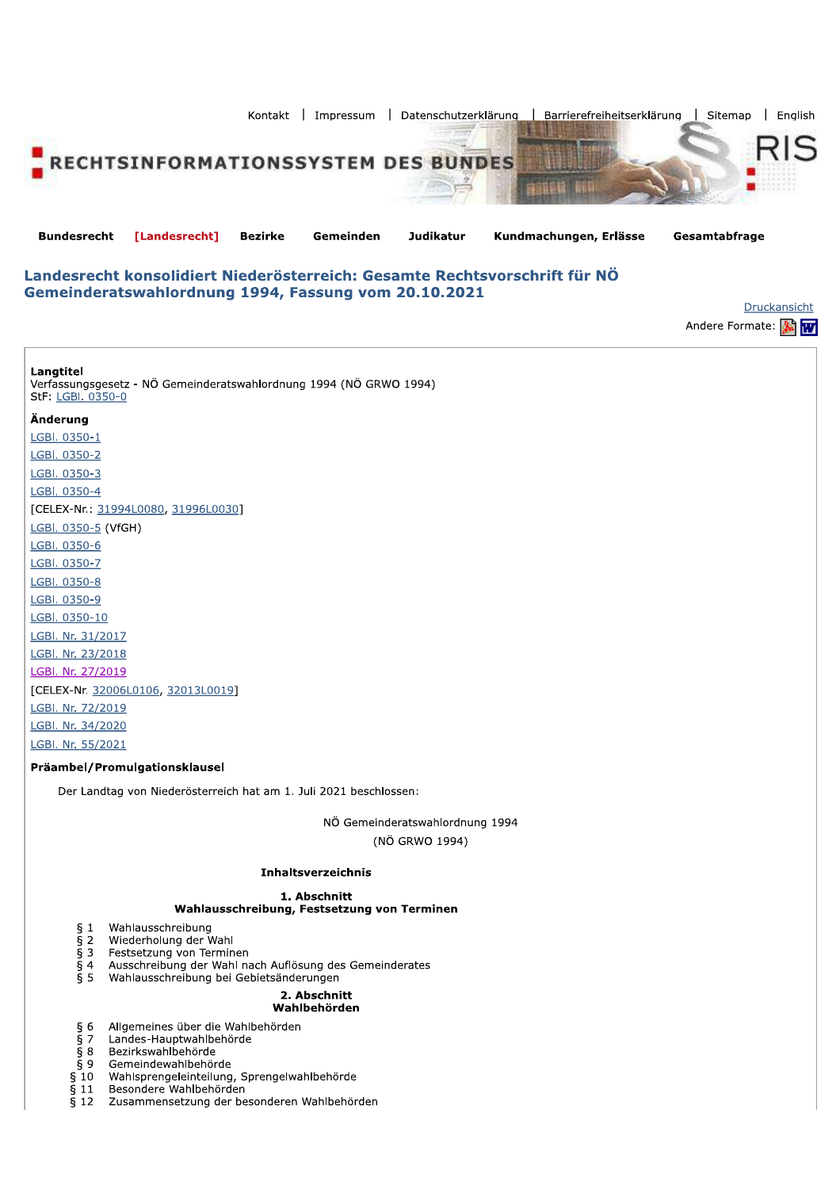

**Bundesrecht** [Landesrecht] **Bezirke** Gemeinden **Judikatur** Kundmachungen, Erlässe

Gesamtabfrage

# Landesrecht konsolidiert Niederösterreich: Gesamte Rechtsvorschrift für NÖ Gemeinderatswahlordnung 1994, Fassung vom 20.10.2021

Druckansicht Andere Formate:

Langtitel Verfassungsgesetz - NÖ Gemeinderatswahlordnung 1994 (NÖ GRWO 1994) StF: LGBI. 0350-0

## Änderung

LGBI. 0350-1 LGBI. 0350-2 LGBI. 0350-3 LGBI. 0350-4 [CELEX-Nr.: 31994L0080, 31996L0030] LGBI. 0350-5 (VfGH) LGBI. 0350-6 LGBI. 0350-7 LGBI. 0350-8 LGBI. 0350-9 LGBI. 0350-10 LGBI. Nr. 31/2017 LGBI. Nr. 23/2018 LGBI. Nr. 27/2019 [CELEX-Nr. 32006L0106, 32013L0019] LGBI. Nr. 72/2019 LGBI. Nr. 34/2020 LGBI. Nr. 55/2021

## Präambel/Promulgationsklausel

Der Landtag von Niederösterreich hat am 1. Juli 2021 beschlossen:

NÖ Gemeinderatswahlordnung 1994 (NÖ GRWO 1994)

## **Inhaltsverzeichnis**

## 1. Abschnitt

# Wahlausschreibung, Festsetzung von Terminen

- Wahlausschreibung  $§$  1
- $\overline{5}$  2 Wiederholung der Wahl
- Festsetzung von Terminen  $§$ 3
- Ausschreibung der Wahl nach Auflösung des Gemeinderates  $§ 4$
- $\bar{\S}$  5 Wahlausschreibung bei Gebietsänderungen

#### 2. Abschnitt Wahlbehörden

- $§ 6$ Allgemeines über die Wahlbehörden
- $rac{5}{9}$  7 Landes-Hauptwahlbehörde
- Bezirkswahlbehörde
- Gemeindewahlbehörde  $\S9$
- Wahlsprengeleinteilung, Sprengelwahlbehörde  $§ 10$
- $§11$ Besondere Wahlbehörden
- $\bar{\S}$  12 Zusammensetzung der besonderen Wahlbehörden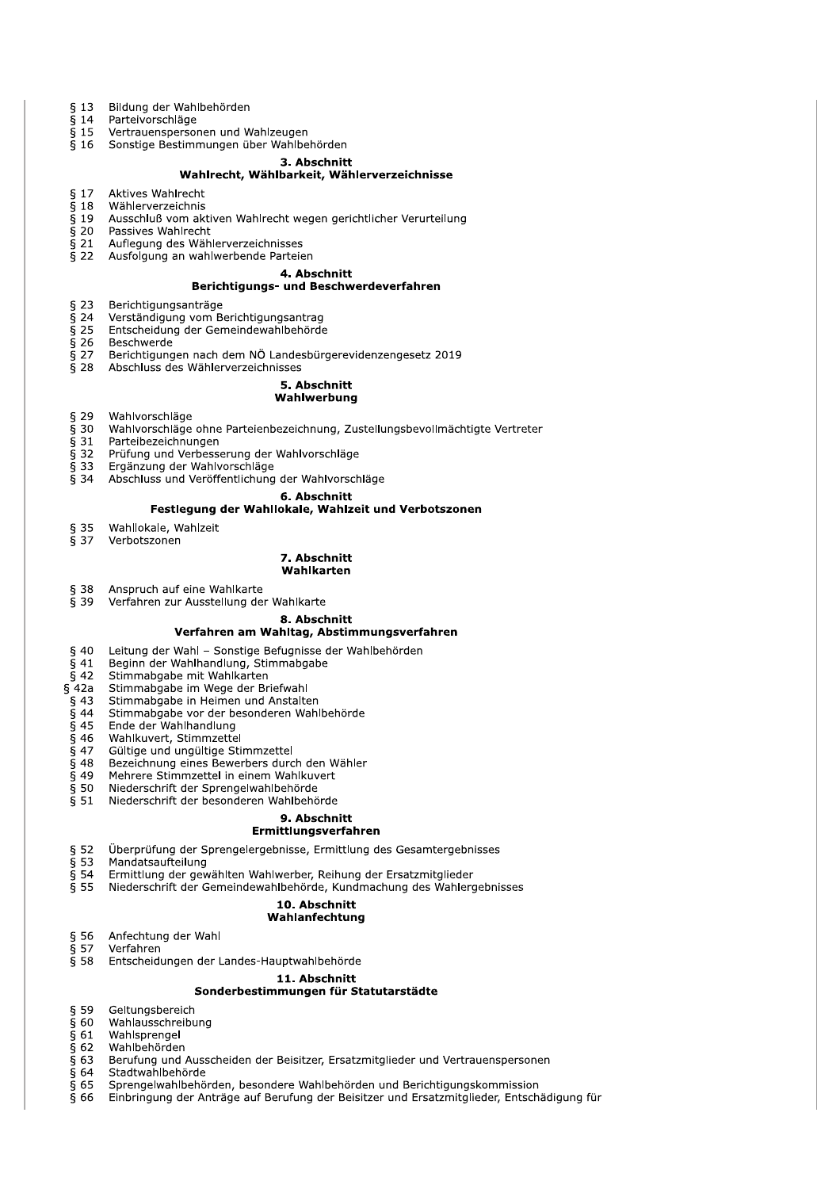- Bildung der Wahlbehörden  $§$  13
- $\overline{\S}$  14 Parteivorschläge
- $§$  15 Vertrauenspersonen und Wahlzeugen
- Sonstige Bestimmungen über Wahlbehörden  $$16$

# 3. Abschnitt

# Wahlrecht, Wählbarkeit, Wählerverzeichnisse

- $§ 17$ Aktives Wahlrecht
- $\bar{\S}$  18 Wählerverzeichnis
- $\bar{\S}$  19 Ausschluß vom aktiven Wahlrecht wegen gerichtlicher Verurteilung
- $\overline{5}$  20 Passives Wahlrecht
- $§$  21 Aufleaung des Wählerverzeichnisses  $$22$ 
	- Ausfolgung an wahlwerbende Parteien

# 4. Abschnitt

## Berichtigungs- und Beschwerdeverfahren

- $§$  23 Berichtigungsanträge
- $\overline{\S}$  24 Verständigung vom Berichtigungsantrag
- $\overline{5}$  25 Entscheidung der Gemeindewahlbehörde
- $\bar{\S}$  26 **Beschwerde**
- $§ 27$ Berichtigungen nach dem NÖ Landesbürgerevidenzengesetz 2019
- $§ 28$ Abschluss des Wählerverzeichnisses

# 5. Abschnitt

## Wahlwerbung

- $$29$ Wahlvorschläge
- $\overline{\S}$  30 Wahlvorschläge ohne Parteienbezeichnung, Zustellungsbevollmächtigte Vertreter
- $\overline{5}$  31 Parteibezeichnungen
- § 32 Prüfung und Verbesserung der Wahlvorschläge
- $§$  33 Ergänzung der Wahlvorschläge
- $\bar{\S}$  34 Abschluss und Veröffentlichung der Wahlvorschläge

#### 6. Abschnitt

#### Festlegung der Wahllokale, Wahlzeit und Verbotszonen

- § 35 Wahllokale, Wahlzeit
- $\overline{8}$  37 Verhotszonen

#### 7. Abschnitt Wahlkarten

- $§ 38$ Anspruch auf eine Wahlkarte
- $539$ Verfahren zur Ausstellung der Wahlkarte

8. Abschnitt

# Verfahren am Wahltag, Abstimmungsverfahren

- $$40$ Leitung der Wahl - Sonstige Befugnisse der Wahlbehörden
- $\overline{6}$  41 Beginn der Wahlhandlung, Stimmabgabe
- $\overline{6}$  42 Stimmabgabe mit Wahlkarten
- $§$  42a Stimmabgabe im Wege der Briefwahl
- $\frac{2}{9}$  43 Stimmabgabe in Heimen und Anstalten
- $\overline{\S}$  44 Stimmabgabe vor der besonderen Wahlbehörde
- $\overline{\S}$  45 Ende der Wahlhandlung
- $\overline{5}$  46 Wahlkuvert, Stimmzettel
- $\overline{5}$  47 Gültige und ungültige Stimmzettel
- $§$  48 Bezeichnung eines Bewerbers durch den Wähler
- $§49$ Mehrere Stimmzettel in einem Wahlkuvert
- $§$  50 Niederschrift der Sprengelwahlbehörde
- $\bar{\S}$  51 Niederschrift der besonderen Wahlbehörde

# 9. Abschnitt

## Ermittlungsverfahren

- $§ 52$ Überprüfung der Sprengelergebnisse, Ermittlung des Gesamtergebnisses
- $\frac{3}{5}$  53 Mandatsaufteilung
- $\bar{\S}$  54 Ermittlung der gewählten Wahlwerber, Reihung der Ersatzmitglieder
- $\overline{S}$  55 Niederschrift der Gemeindewahlbehörde, Kundmachung des Wahlergebnisses

#### 10. Abschnitt

## Wahlanfechtung

- $§ 56$ Anfechtung der Wahl
- $§ 57$ Verfahren
- $§ 58$ Entscheidungen der Landes-Hauptwahlbehörde

#### 11. Abschnitt

## Sonderbestimmungen für Statutarstädte

- $§ 59$ Geltungsbereich
- $\bar{\S}$  60 Wahlausschreibung
- $\bar$  61 Wahlsprengel
- $§62$ Wahlbehörden
- § 63 Berufung und Ausscheiden der Beisitzer, Ersatzmitglieder und Vertrauenspersonen
- $§64$ Stadtwahlbehörde
- $§65$ Sprengelwahlbehörden, besondere Wahlbehörden und Berichtigungskommission
- Einbringung der Anträge auf Berufung der Beisitzer und Ersatzmitglieder, Entschädigung für  $§66$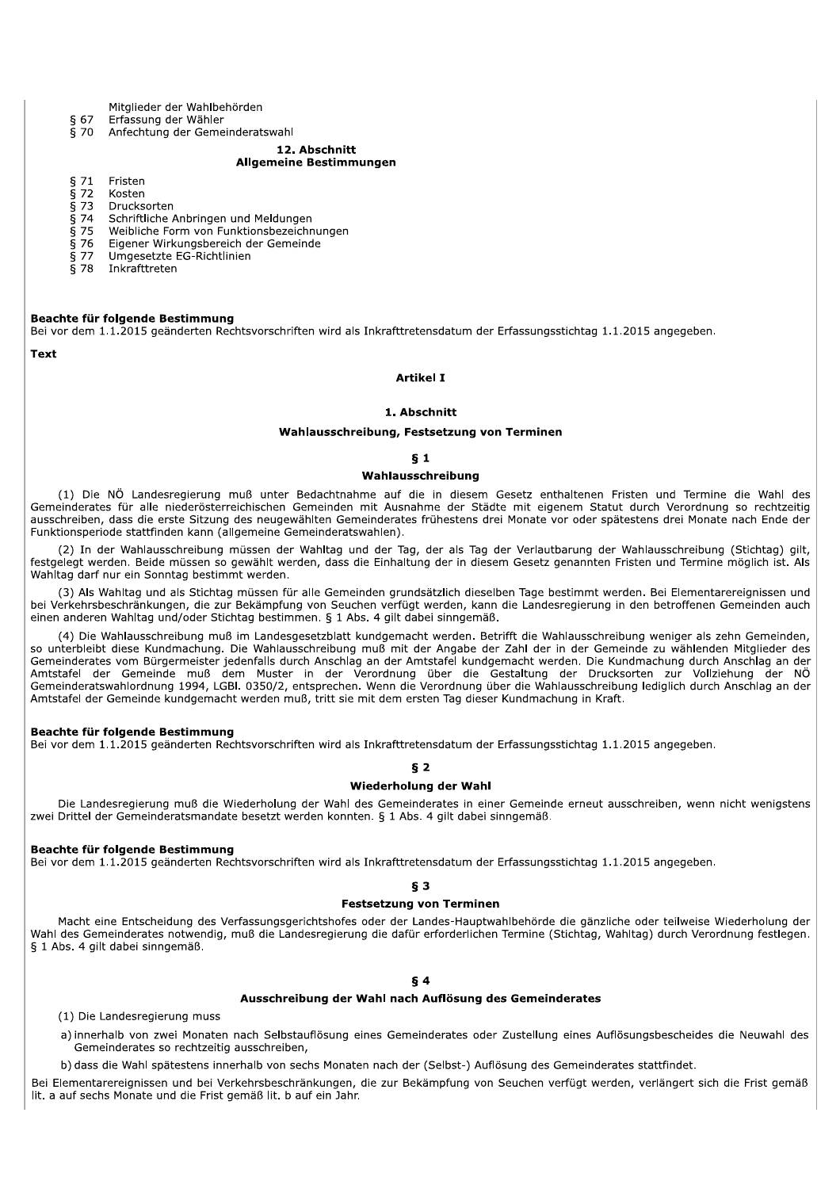Mitglieder der Wahlbehörden

- Erfassung der Wähler § 67
- $\overline{6}$  70 Anfechtung der Gemeinderatswahl
	- 12. Abschnitt

# **Allgemeine Bestimmungen**

- $§71$ Fristen
- $\overline{\S}$  72 Kosten
- $\bar{\S}$  73 Drucksorten
- $\bar{\S}$  74 Schriftliche Anbringen und Meldungen
- $\bar{\S}$  75 Weibliche Form von Funktionsbezeichnungen  $\frac{5}{5}$  76 Eigener Wirkungsbereich der Gemeinde
- Umgesetzte EG-Richtlinien  $§77$
- $\bar{\S}$  78 Inkrafttreten

#### Beachte für folgende Bestimmung

Bei vor dem 1.1.2015 geänderten Rechtsvorschriften wird als Inkrafttretensdatum der Erfassungsstichtag 1.1.2015 angegeben.

**Text** 

## **Artikel I**

#### 1. Abschnitt

#### Wahlausschreibung, Festsetzung von Terminen

#### $\S$  1

#### Wahlausschreibung

(1) Die NÖ Landesregierung muß unter Bedachtnahme auf die in diesem Gesetz enthaltenen Fristen und Termine die Wahl des Gemeinderates für alle niederösterreichischen Gemeinden mit Ausnahme der Städte mit eigenem Statut durch Verordnung so rechtzeitig ausschreiben, dass die erste Sitzung des neugewählten Gemeinderates frühestens drei Monate vor oder spätestens drei Monate nach Ende der Funktionsperiode stattfinden kann (allgemeine Gemeinderatswahlen).

(2) In der Wahlausschreibung müssen der Wahltag und der Tag, der als Tag der Verlautbarung der Wahlausschreibung (Stichtag) gilt, festgelegt werden. Beide müssen so gewählt werden, dass die Einhaltung der in diesem Gesetz genannten Fristen und Termine möglich ist. Als Wahltag darf nur ein Sonntag bestimmt werden.

(3) Als Wahltag und als Stichtag müssen für alle Gemeinden grundsätzlich dieselben Tage bestimmt werden. Bei Elementarereignissen und bei Verkehrsbeschränkungen, die zur Bekämpfung von Seuchen verfügt werden, kann die Landesregierung in den betroffenen Gemeinden auch einen anderen Wahltag und/oder Stichtag bestimmen. § 1 Abs. 4 gilt dabei sinngemäß.

(4) Die Wahlausschreibung muß im Landesgesetzblatt kundgemacht werden. Betrifft die Wahlausschreibung weniger als zehn Gemeinden, so unterbleibt diese Kundmachung. Die Wahlausschreibung muß mit der Angabe der Zahl der in der Gemeinde zu wählenden Mitglieder des Gemeinderates vom Bürgermeister jedenfalls durch Anschlag an der Amtstafel kundgemacht werden. Die Kundmachung durch Anschlag an der Amtstafel der Gemeinde muß dem Muster in der Verordnung über die Gestaltung der Drucksorten zur Vollziehung der NÖ<br>Gemeinderatswahlordnung 1994, LGBI. 0350/2, entsprechen. Wenn die Verordnung über die Gestaltung der Drucks Amtstafel der Gemeinde kundgemacht werden muß, tritt sie mit dem ersten Tag dieser Kundmachung in Kraft.

#### Beachte für folgende Bestimmung

Bei vor dem 1.1.2015 geänderten Rechtsvorschriften wird als Inkrafttretensdatum der Erfassungsstichtag 1.1.2015 angegeben.

## $52$

## Wiederholung der Wahl

Die Landesregierung muß die Wiederholung der Wahl des Gemeinderates in einer Gemeinde erneut ausschreiben, wenn nicht wenigstens zwei Drittel der Gemeinderatsmandate besetzt werden konnten. § 1 Abs. 4 gilt dabei sinngemäß.

#### Beachte für folgende Bestimmung

Bei vor dem 1.1.2015 geänderten Rechtsvorschriften wird als Inkrafttretensdatum der Erfassungsstichtag 1.1.2015 angegeben.

**δ3** 

#### **Festsetzung von Terminen**

Macht eine Entscheidung des Verfassungsgerichtshofes oder der Landes-Hauptwahlbehörde die gänzliche oder teilweise Wiederholung der Wahl des Gemeinderates notwendig, muß die Landesregierung die dafür erforderlichen Termine (Stichtag, Wahltag) durch Verordnung festlegen. § 1 Abs. 4 gilt dabei sinngemäß.

## Ausschreibung der Wahl nach Auflösung des Gemeinderates

(1) Die Landesregierung muss

a) innerhalb von zwei Monaten nach Selbstauflösung eines Gemeinderates oder Zustellung eines Auflösungsbescheides die Neuwahl des Gemeinderates so rechtzeitig ausschreiben,

b) dass die Wahl spätestens innerhalb von sechs Monaten nach der (Selbst-) Auflösung des Gemeinderates stattfindet.

Bei Elementarereignissen und bei Verkehrsbeschränkungen, die zur Bekämpfung von Seuchen verfügt werden, verlängert sich die Frist gemäß lit. a auf sechs Monate und die Frist gemäß lit. b auf ein Jahr.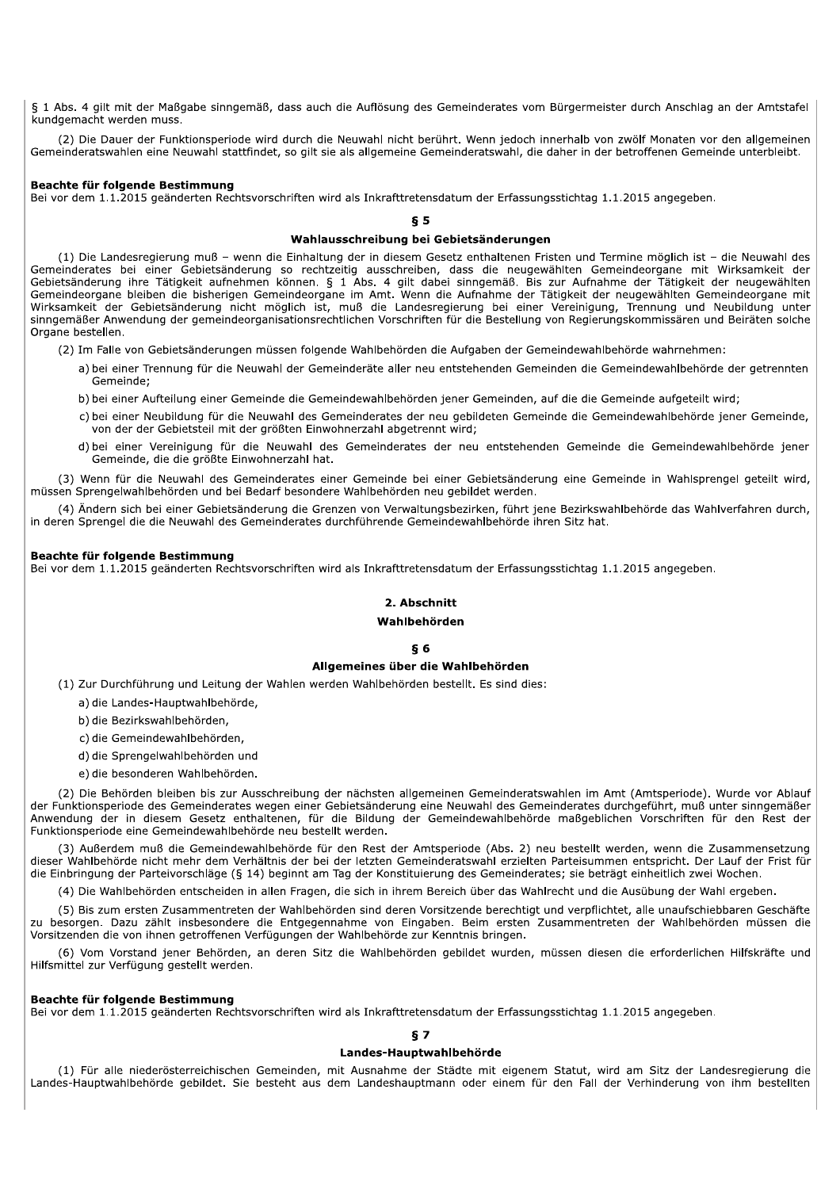§ 1 Abs. 4 gilt mit der Maßgabe sinngemäß, dass auch die Auflösung des Gemeinderates vom Bürgermeister durch Anschlag an der Amtstafel kundgemacht werden muss.

(2) Die Dauer der Funktionsperiode wird durch die Neuwahl nicht berührt. Wenn jedoch innerhalb von zwölf Monaten vor den allgemeinen Gemeinderatswahlen eine Neuwahl stattfindet, so gilt sie als allgemeine Gemeinderatswahl, die daher in der betroffenen Gemeinde unterbleibt.

#### Beachte für folgende Bestimmung

Bei vor dem 1.1.2015 geänderten Rechtsvorschriften wird als Inkrafttretensdatum der Erfassungsstichtag 1.1.2015 angegeben.

#### $55$

# Wahlausschreibung bei Gebietsänderungen

(1) Die Landesregierung muß - wenn die Einhaltung der in diesem Gesetz enthaltenen Fristen und Termine möglich ist - die Neuwahl des Gemeinderates bei einer Gebietsänderung so rechtzeitig ausschreiben, dass die neugewählten Gemeindeorgane mit Wirksamkeit der Cebietsänderung ihre Tätigkeit aufnehmen können. § 1 Abs. 4 gilt dabei sinngemäß. Bis zur Aufnahme der Tätigkeit der neugewählten<br>Gebietsänderung ihre Tätigkeit aufnehmen können. § 1 Abs. 4 gilt dabei sinngemäß. Bis zur Au Wirksamkeit der Gebietsänderung nicht möglich ist, muß die Landesregierung bei einer Vereinigung, Trennung und Neubildung unter sinngemäßer Anwendung der gemeindeorganisationsrechtlichen Vorschriften für die Bestellung von Regierungskommissären und Beiräten solche Organe bestellen.

(2) Im Falle von Gebietsänderungen müssen folgende Wahlbehörden die Aufgaben der Gemeindewahlbehörde wahrnehmen:

- a) bei einer Trennung für die Neuwahl der Gemeinderäte aller neu entstehenden Gemeinden die Gemeindewahlbehörde der getrennten Gemeinde:
- b) bei einer Aufteilung einer Gemeinde die Gemeindewahlbehörden jener Gemeinden, auf die die Gemeinde aufgeteilt wird;
- c) bei einer Neubildung für die Neuwahl des Gemeinderates der neu gebildeten Gemeinde die Gemeindewahlbehörde jener Gemeinde, von der der Gebietsteil mit der größten Einwohnerzahl abgetrennt wird:
- d) bei einer Vereinigung für die Neuwahl des Gemeinderates der neu entstehenden Gemeinde die Gemeindewahlbehörde jener Gemeinde, die die größte Einwohnerzahl hat.

(3) Wenn für die Neuwahl des Gemeinderates einer Gemeinde bei einer Gebietsänderung eine Gemeinde in Wahlsprengel geteilt wird, müssen Sprengelwahlbehörden und bei Bedarf besondere Wahlbehörden neu gebildet werden.

(4) Ändern sich bei einer Gebietsänderung die Grenzen von Verwaltungsbezirken, führt iene Bezirkswahlbehörde das Wahlverfahren durch, in deren Sprengel die die Neuwahl des Gemeinderates durchführende Gemeindewahlbehörde ihren Sitz hat.

#### Beachte für folgende Bestimmung

Bei vor dem 1.1.2015 geänderten Rechtsvorschriften wird als Inkrafttretensdatum der Erfassungsstichtag 1.1.2015 angegeben.

## 2. Abschnitt

#### Wahlbehörden

## **86**

## Allgemeines über die Wahlbehörden

(1) Zur Durchführung und Leitung der Wahlen werden Wahlbehörden bestellt. Es sind dies:

a) die Landes-Hauptwahlbehörde,

b) die Bezirkswahlbehörden,

c) die Gemeindewahlbehörden,

d) die Sprengelwahlbehörden und

e) die besonderen Wahlbehörden.

(2) Die Behörden bleiben bis zur Ausschreibung der nächsten allgemeinen Gemeinderatswahlen im Amt (Amtsperiode). Wurde vor Ablauf der Funktionsperiode des Gemeinderates wegen einer Gebietsänderung eine Neuwahl des Gemeinderates durchgeführt, muß unter sinngemäßer Anwendung der in diesem Gesetz enthaltenen, für die Bildung der Gemeindewahlbehörde maßgeblichen Vorschriften für den Rest der Funktionsperiode eine Gemeindewahlbehörde neu bestellt werden.

(3) Außerdem muß die Gemeindewahlbehörde für den Rest der Amtsperiode (Abs. 2) neu bestellt werden, wenn die Zusammensetzung dieser Wahlbehörde nicht mehr dem Verhältnis der bei der letzten Gemeinderatswahl erzielten Parteisummen entspricht. Der Lauf der Frist für die Einbringung der Parteivorschläge (§ 14) beginnt am Tag der Konstituierung des Gemeinderates; sie beträgt einheitlich zwei Wochen.

(4) Die Wahlbehörden entscheiden in allen Fragen, die sich in ihrem Bereich über das Wahlrecht und die Ausübung der Wahl ergeben.

(5) Bis zum ersten Zusammentreten der Wahlbehörden sind deren Vorsitzende berechtigt und verpflichtet, alle unaufschiebbaren Geschäfte zu besorgen. Dazu zählt insbesondere die Entgegennahme von Eingaben. Beim ersten Zusammentreten der Wahlbehörden müssen die Vorsitzenden die von ihnen getroffenen Verfügungen der Wahlbehörde zur Kenntnis bringen.

(6) Vom Vorstand jener Behörden, an deren Sitz die Wahlbehörden gebildet wurden, müssen diesen die erforderlichen Hilfskräfte und Hilfsmittel zur Verfügung gestellt werden.

## Beachte für folgende Bestimmung

Bei vor dem 1.1.2015 geänderten Rechtsvorschriften wird als Inkrafttretensdatum der Erfassungsstichtag 1.1.2015 angegeben.

#### $57$

#### Landes-Hauptwahlbehörde

(1) Für alle niederösterreichischen Gemeinden, mit Ausnahme der Städte mit eigenem Statut, wird am Sitz der Landesregierung die Landes-Hauptwahlbehörde gebildet. Sie besteht aus dem Landeshauptmann oder einem für den Fall der Verhinderung von ihm bestellten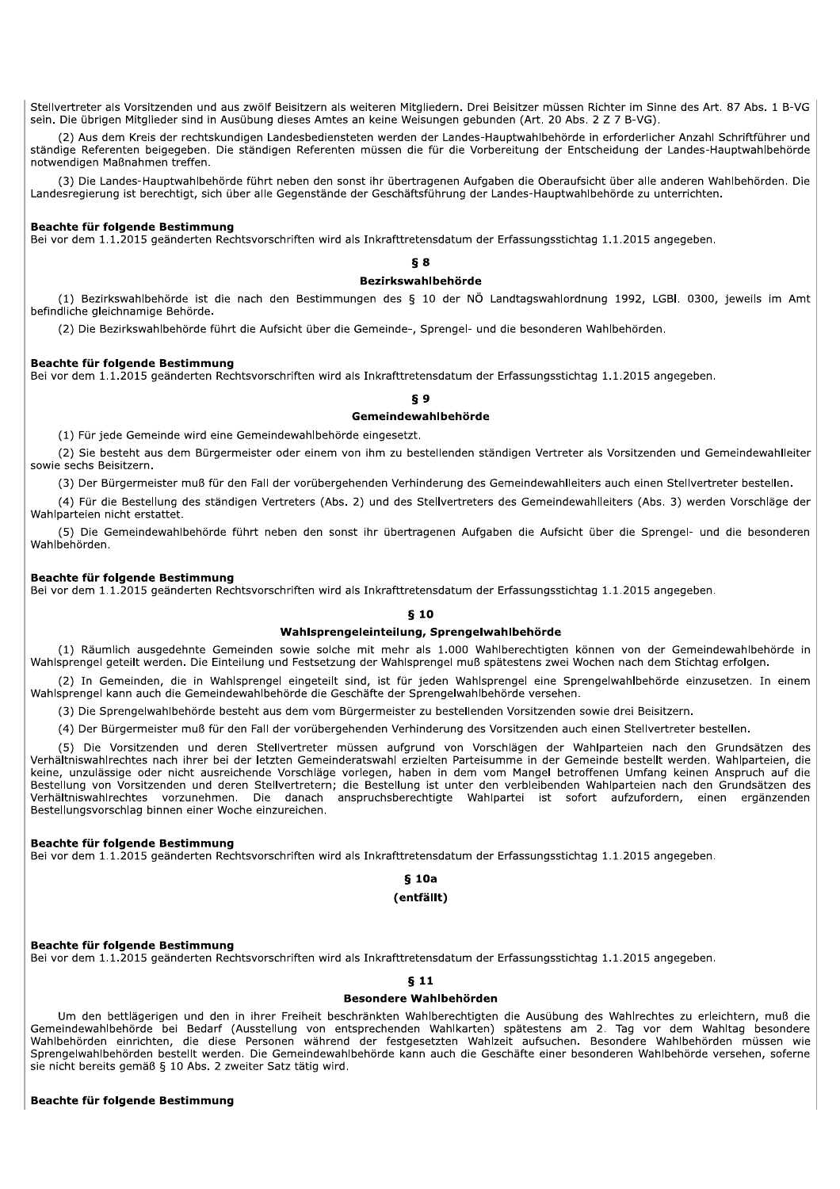Stellvertreter als Vorsitzenden und aus zwölf Beisitzern als weiteren Mitgliedern. Drei Beisitzer müssen Richter im Sinne des Art. 87 Abs. 1 B-VG sein. Die übrigen Mitglieder sind in Ausübung dieses Amtes an keine Weisungen gebunden (Art. 20 Abs. 2 Z 7 B-VG).

(2) Aus dem Kreis der rechtskundigen Landesbediensteten werden der Landes-Hauptwahlbehörde in erforderlicher Anzahl Schriftführer und ständige Referenten beigegeben. Die ständigen Referenten müssen die für die Vorbereitung der Entscheidung der Landes-Hauptwahlbehörde notwendigen Maßnahmen treffen.

(3) Die Landes-Hauptwahlbehörde führt neben den sonst ihr übertragenen Aufgaben die Oberaufsicht über alle anderen Wahlbehörden. Die Landesregierung ist berechtigt, sich über alle Gegenstände der Geschäftsführung der Landes-Hauptwahlbehörde zu unterrichten.

## Beachte für folgende Bestimmung

Bei vor dem 1.1.2015 geänderten Rechtsvorschriften wird als Inkrafttretensdatum der Erfassungsstichtag 1.1.2015 angegeben.

# **δ** 8

## Bezirkswahlbehörde

(1) Bezirkswahlbehörde ist die nach den Bestimmungen des § 10 der NÖ Landtagswahlordnung 1992, LGBI. 0300, jeweils im Amt befindliche gleichnamige Behörde.

(2) Die Bezirkswahlbehörde führt die Aufsicht über die Gemeinde-, Sprengel- und die besonderen Wahlbehörden.

#### Beachte für folgende Bestimmung

Bei vor dem 1.1.2015 geänderten Rechtsvorschriften wird als Inkrafttretensdatum der Erfassungsstichtag 1.1.2015 angegeben.

# εq

# Gemeindewahlbehörde

(1) Für jede Gemeinde wird eine Gemeindewahlbehörde eingesetzt.

(2) Sie besteht aus dem Bürgermeister oder einem von ihm zu bestellenden ständigen Vertreter als Vorsitzenden und Gemeindewahlleiter sowie sechs Beisitzern.

(3) Der Bürgermeister muß für den Fall der vorübergehenden Verhinderung des Gemeindewahlleiters auch einen Stellvertreter bestellen.

(4) Für die Bestellung des ständigen Vertreters (Abs. 2) und des Stellvertreters des Gemeindewahlleiters (Abs. 3) werden Vorschläge der Wahlparteien nicht erstattet.

(5) Die Gemeindewahlbehörde führt neben den sonst ihr übertragenen Aufgaben die Aufsicht über die Sprengel- und die besonderen Wahlbehörden.

#### Beachte für folgende Bestimmung

Bei vor dem 1.1.2015 geänderten Rechtsvorschriften wird als Inkrafttretensdatum der Erfassungsstichtag 1.1.2015 angegeben.

#### $610$

#### Wahlsprengeleinteilung, Sprengelwahlbehörde

(1) Räumlich ausgedehnte Gemeinden sowie solche mit mehr als 1.000 Wahlberechtigten können von der Gemeindewahlbehörde in Wahlsprengel geteilt werden. Die Einteilung und Festsetzung der Wahlsprengel muß spätestens zwei Wochen nach dem Stichtag erfolgen.

(2) In Gemeinden, die in Wahlsprengel eingeteilt sind, ist für jeden Wahlsprengel eine Sprengelwahlbehörde einzusetzen. In einem Wahlsprengel kann auch die Gemeindewahlbehörde die Geschäfte der Sprengelwahlbehörde versehen.

(3) Die Sprengelwahlbehörde besteht aus dem vom Bürgermeister zu bestellenden Vorsitzenden sowie drei Beisitzern.

(4) Der Bürgermeister muß für den Fall der vorübergehenden Verhinderung des Vorsitzenden auch einen Stellvertreter bestellen.

(5) Die Vorsitzenden und deren Stellvertreter müssen aufgrund von Vorschlägen der Wahlparteien nach den Grundsätzen des Verhältniswahlrechtes nach ihrer bei der letzten Gemeinderatswahl erzielten Parteisumme in der Gemeinde bestellt werden. Wahlparteien, die keine, unzulässige oder nicht ausreichende Vorschläge vorlegen, haben in dem vom Mangel betroffenen Umfang keinen Anspruch auf die Bestellung von Vorsitzenden und deren Stellvertretern; die Bestellung ist unter den verbleibenden Wahlparteien nach den Grundsätzen des Verhältniswahlrechtes vorzunehmen. Die danach anspruchsberechtigte Wahlpartei ist sofort aufzufordern, einen ergänzenden Bestellungsvorschlag binnen einer Woche einzureichen.

## Beachte für folgende Bestimmung

Bei vor dem 1.1.2015 geänderten Rechtsvorschriften wird als Inkrafttretensdatum der Erfassungsstichtag 1.1.2015 angegeben.

 $$10a$ 

# (entfällt)

## Beachte für folgende Bestimmung

Bei vor dem 1.1.2015 geänderten Rechtsvorschriften wird als Inkrafttretensdatum der Erfassungsstichtag 1.1.2015 angegeben.

## $S<sub>11</sub>$

#### **Besondere Wahlbehörden**

Um den bettlägerigen und den in ihrer Freiheit beschränkten Wahlberechtigten die Ausübung des Wahlrechtes zu erleichtern, muß die Gemeindewahlbehörde bei Bedarf (Ausstellung von entsprechenden Wahlkarten) spätestens am 2. Tag vor dem Wahltag besondere Wahlbehörden einrichten, die diese Personen während der festgesetzten Wahlzeit aufsuchen. Besondere Wahlbehörden müssen wie Sprengelwahlbehörden bestellt werden. Die Gemeindewahlbehörde kann auch die Geschäfte einer besonderen Wahlbehörde versehen, soferne sie nicht bereits gemäß § 10 Abs. 2 zweiter Satz tätig wird.

#### Beachte für folgende Bestimmung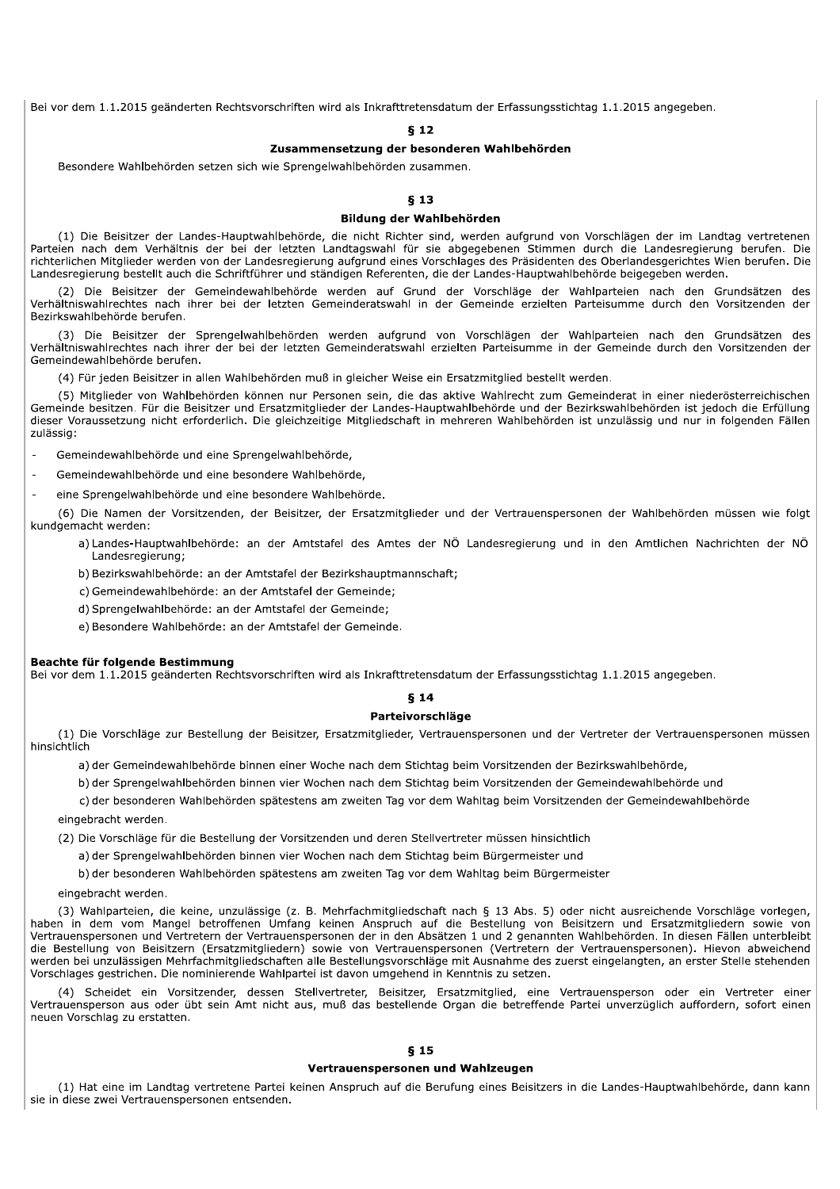Bei vor dem 1.1.2015 geänderten Rechtsvorschriften wird als Inkrafttretensdatum der Erfassungsstichtag 1.1.2015 angegeben.

ch wie Sprengelwahlbehörden zusammen.

#### **813**

#### Bildung der Wahlbehörden

et als Inkrafttretensdatum der Erfassungsstic<br>
8 12<br>
2 Usammensetzung der besonderen Wahlbehörden<br>
8 12<br>
2 Usammensetzung der besonderen Wahlbehörden<br>
8 13<br>
Bildung der Wahlbehörden<br>
8 13<br>
6 Bildung der Wahlbehörden<br>
ien n (1) Die Beisitzer der Landes-Hauptwahlbehörde, die nicht Richter sind, werden aufgrund von Vorschlägen der im Landtag vertretenen Parteien nach dem Verhältnis der bei der letzten Landtagswahl für sie abgegebenen Stimmen durch die Landesregierung berufen. Die richterlichen Mitglieder werden von der Landesregierung aufgrund eines Vorschlages des Präsidenten des Oberlandesgerichtes Wien berufen. Die Landesregierung bestellt auch die Schriftführer und ständigen Referenten, die der Landes-Hauptwahlbehörde beigegeben werden.

(2) Die Beisitzer der Gemeindewahlbehörde werden auf Grund der Vorschläge der Wahlparteien nach den Grundsätzen des Verhältniswahlrechtes nach ihrer bei der letzten Gemeinderatswahl in der Gemeinde erzielten Parteisumme durch den Vorsitzenden der Bezirkswahlbehörde berufen.

(3) Die Beisitzer der Sprengelwahlbehörden werden aufgrund von Vorschlägen der Wahlparteien nach den Grundsätzen des Verhältniswahlrechtes nach ihrer der bei der letzten Gemeinderatswahl erzielten Parteisumme in der Gemeinde durch den Vorsitzenden der Gemeindewahlbehörde berufen.

(4) Für jeden Beisitzer in allen Wahlbehörden muß in gleicher Weise ein Ersatzmitglied bestellt werden.

(5) Mitglieder von Wahlbehörden können nur Personen sein, die das aktive Wahlrecht zum Gemeinderat in einer niederösterreichischen Gemeinde besitzen. Für die Beisitzer und Ersatzmitglieder der Landes-Hauptwahlbehörde und der Bezirkswahlbehörden ist jedoch die Erfüllung dieser Voraussetzung nicht erforderlich. Die gleichzeitige Mitgliedschaft in mehreren Wahlbehörden ist unzulässig und nur in folgenden Fällen zulässig:

- Gemeindewahlbehörde und eine Sprengelwahlbehörde.

- Gemeindewahlbehörde und eine besondere Wahlbehörde.

- eine Sprengelwahlbehörde und eine besondere Wahlbehörde.

(6) Die Namen der Vorsitzenden, der Beisitzer, der Ersatzmitglieder und der Vertrauenspersonen der Wahlbehörden müssen wie folgt kundgemacht werden:

a)Landes-Hauptwahlbehörde: an der Amtstafel des Amtes der NÖ Landesregierung und in den Amtlichen Nachrichten der NÖ Landesregierung:

b) Bezirkswahlbehörde: an der Amtstafel der Bezirkshauptmannschaft:

c) Gemeindewahlbehörde: an der Amtstafel der Gemeinde:

d) Sprengelwahlbehörde: an der Amtstafel der Gemeinde

e) Besondere Wahlbehörde: an der Amtstafel der Gemeinde.

vor dem 1.1.2015 geänderten Rechtsvorschriften wird als Inkrafttretensdatum der Erfassungsstichtag 1.1.2015 angegeben.

# $814$

#### Parteivorschläge

b) Bezirkswahlbehörde: an der Amtstafel der Bezirkshauptma<br>
c) Gemeindewahlbehörde: an der Amtstafel der Gemeinde;<br>
d) Sprengelwahlbehörde: an der Amtstafel der Gemeinde;<br>
e) Besondere Wahlbehörde: an der Amtstafel der Gem (1) Die Vorschläge zur Bestellung der Beisitzer, Ersatzmitglieder, Vertrauenspersonen und der Vertreter der Vertrauenspersonen müssen hinsichtlicl en.<br>En der Gemeindewahlbehörde binnen einer Woche nach dem Stichtag beim Vorsitzenden der Bezirkswahlbehörde.<br>Solder Gemeindewahlbehörde binnen einer Woche nach dem Stichtag beim Vorsitzenden der Bezirkswahlbehörde.

b) der Sprengelwahlbehörden binnen vier Wochen nach dem Stichtag beim Vorsitzenden der Gemeindewahlbehörde und

c) der besonderen Wahlbehörden spätestens am zweiten Tag vor dem Wahltag beim Vorsitzenden der Gemeindewahlbehörde

eingebracht werden.

(2) Die Vorschläge für die Bestellung der Vorsitzenden und deren Stellvertreter müssen hinsichtlich

a) der Sprengelwahlbehörden binnen vier Wochen nach dem Stichtag beim Bürgermeister und

b) der besonderen Wahlbehörden spätestens am zweiten Tag vor dem Wahltag beim Bürgermeister

eingebracht werden.

(3) Wahlparteien, die keine, unzulässige (z. B. Mehrfachmitgliedschaft nach § 13 Abs. 5) oder nicht ausreichende Vorschläge vorlegen, haben in dem vom Mangel betroffenen Umfang keinen Anspruch auf die Bestellung von Beisitzern und Ersatzmitgliedern sowie von Vertrauenspersonen und Vertretern der Vertrauenspersonen der in den Absätzen 1 und 2 genannten Wahlbehörden. In diesen Fällen unterbleibt die Bestellung von Beisitzern (Ersatzmitgliedern) sowie von Vertrauenspersonen (Vertretern der Vertrauenspersonen). Hievon abweichend werden bei unzulässigen Mehrfachmitgliedschaften alle Bestellungsvorschläge mit Ausnahme des zuerst eingelangten, an erster Stelle stehenden Vorschlages gestrichen. Die nominierende Wahlpartei ist davon umgehend in Kenntnis zu setzen.

(4) Scheidet ein Vorsitzender, dessen Stellvertreter, Beisitzer, Ersatzmitglied, eine Vertrauensperson oder ein Vertreter einer Vertrauensperson aus oder übt sein Amt nicht aus, muß das bestellende Organ die betreffende Partei unverzüglich auffordern, sofort einen neuen Vorschlag zu erstatten.

## $§$  15

## Vertrauenspersonen und Wahlzeugen

(1) Hat eine im Landtag vertretene Partei keinen Anspruch auf die Berufung eines Beisitzers in die Landes-Hauptwahlbehörde, dann kann sie in diese zwei Vertrauenspersonen entsenden.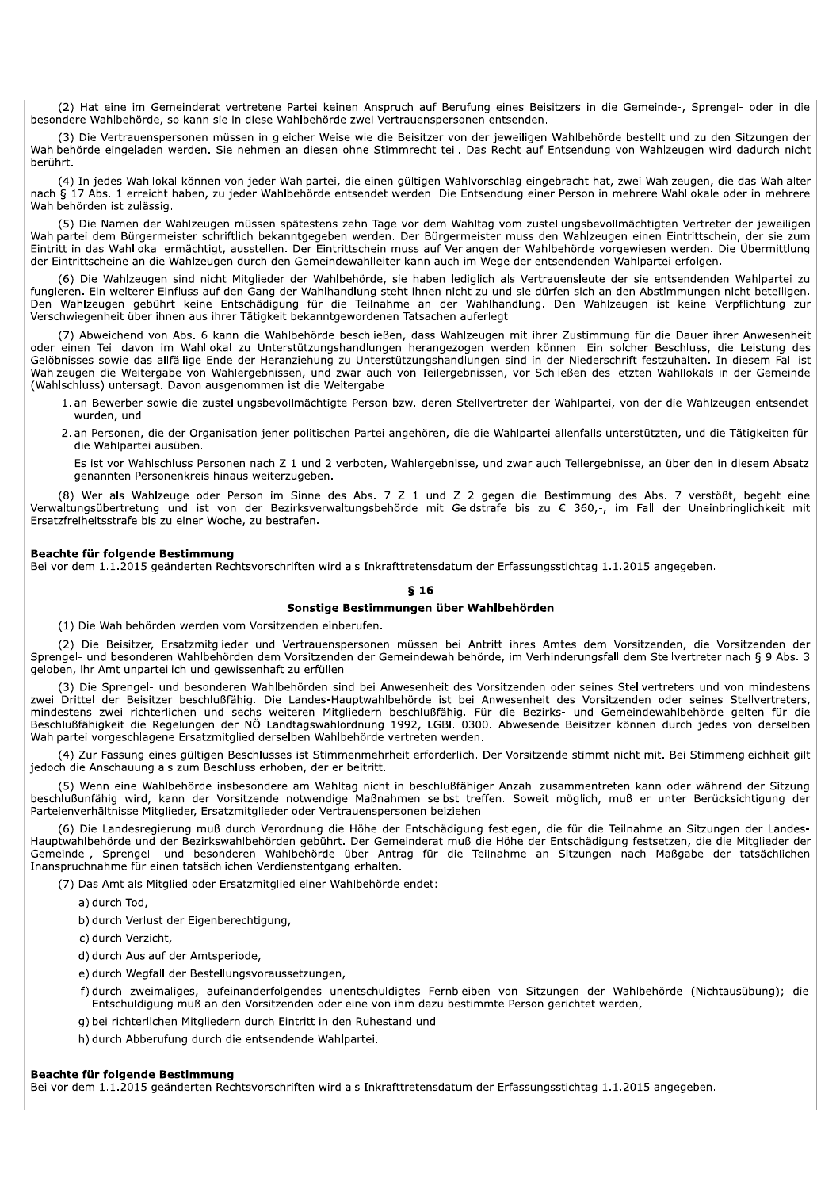(2) Hat eine im Gemeinderat vertretene Partei keinen Anspruch auf Berufung eines Beisitzers in die Gemeinde-, Sprengel- oder in die besondere Wahlbehörde, so kann sie in diese Wahlbehörde zwei Vertrauenspersonen entsenden.

(3) Die Vertrauenspersonen müssen in gleicher Weise wie die Beisitzer von der jeweiligen Wahlbehörde bestellt und zu den Sitzungen der Wahlbehörde eingeladen werden. Sie nehmen an diesen ohne Stimmrecht teil. Das Recht auf Entsendung von Wahlzeugen wird dadurch nicht berührt.

(4) In jedes Wahllokal können von jeder Wahlpartei, die einen gültigen Wahlvorschlag eingebracht hat, zwei Wahlzeugen, die das Wahlalter nach § 17 Abs. 1 erreicht haben, zu jeder Wahlbehörde entsendet werden. Die Entsendung einer Person in mehrere Wahllokale oder in mehrere Wahlbehörden ist zulässig.

(5) Die Namen der Wahlzeugen müssen spätestens zehn Tage vor dem Wahltag vom zustellungsbevollmächtigten Vertreter der jeweiligen Wahlpartei dem Bürgermeister schriftlich bekanntgegeben werden. Der Bürgermeister muss den Wahlzeugen einen Eintrittschein, der sie zum Eintritt in das Wahllokal ermächtigt, ausstellen. Der Eintrittschein muss auf Verlangen der Wahlbehörde vorgewiesen werden. Die Übermittlung der Eintrittscheine an die Wahlzeugen durch den Gemeindewahlleiter kann auch im Wege der entsendenden Wahlpartei erfolgen.

(6) Die Wahlzeugen sind nicht Mitglieder der Wahlbehörde, sie haben lediglich als Vertrauensleute der sie entsendenden Wahlpartei zu fungieren. Ein weiterer Einfluss auf den Gang der Wahlhandlung steht ihnen nicht zu und sie dürfen sich an den Abstimmungen nicht beteiligen. Den Wahlzeugen gebührt keine Entschädigung für die Teilnahme an der Wahlhandlung. Den Wahlzeugen ist keine Verpflichtung zur Verschwiegenheit über ihnen aus ihrer Tätigkeit bekanntgewordenen Tatsachen auferlegt.

7) Abweichend von Abs. 6 kann die Wahlbehörde beschließen, dass Wahlzeugen mit ihrer Zustimmung für die Dauer ihrer Anwesenheit oder einen Teil davon im Wahllokal zu Unterstützungshandlungen herangezogen werden können. Ein Gelöbnisses sowie das allfällige Ende der Heranziehung zu Unterstützungshandlungen sind in der Niederschrift festzuhalten. In diesem Fall ist Wahlzeugen die Weitergabe von Wahlergebnissen, und zwar auch von Teilergebnissen, vor Schließen des letzten Wahllokals in der Gemeinde (Wahlschluss) untersagt. Davon ausgenommen ist die Weitergabe

- 1. an Bewerber sowie die zustellungsbevollmächtigte Person bzw. deren Stellvertreter der Wahlpartei, von der die Wahlzeugen entsendet wurden, und
- 2. an Personen, die der Organisation jener politischen Partei angehören, die die Wahlpartei allenfalls unterstützten, und die Tätigkeiten für die Wahlpartei ausüben.

Es ist vor Wahlschluss Personen nach Z 1 und 2 verboten, Wahlergebnisse, und zwar auch Teilergebnisse, an über den in diesem Absatz genannten Personenkreis hinaus weiterzugeben.

(8) Wer als Wahlzeuge oder Person im Sinne des Abs. 7 Z 1 und Z 2 gegen die Bestimmung des Abs. 7 verstößt, begeht eine Verwaltungsübertretung und ist von der Bezirksverwaltungsbehörde mit Geldstrafe bis zu € 360,-, im Fall der Uneinbringlichkeit mit Ersatzfreiheitsstrafe bis zu einer Woche, zu bestrafen.

## Beachte für folgende Bestimmung

Bei vor dem 1.1.2015 geänderten Rechtsvorschriften wird als Inkrafttretensdatum der Erfassungsstichtag 1.1.2015 angegeben.

#### **816**

## Sonstige Bestimmungen über Wahlbehörden

(1) Die Wahlbehörden werden vom Vorsitzenden einberufen.

(2) Die Beisitzer, Ersatzmitglieder und Vertrauenspersonen müssen bei Antritt ihres Amtes dem Vorsitzenden, die Vorsitzenden der Sprengel- und besonderen Wahlbehörden dem Vorsitzenden der Gemeindewahlbehörde, im Verhinderungsfall dem Stellvertreter nach § 9 Abs. 3 geloben, ihr Amt unparteilich und gewissenhaft zu erfüllen.

(3) Die Sprengel- und besonderen Wahlbehörden sind bei Anwesenheit des Vorsitzenden oder seines Stellvertreters und von mindestens zwei Drittel der Beisitzer beschlußfähig. Die Landes-Hauptwahlbehörde ist bei Anwesenheit des Vorsitzenden oder seines Stellvertreters, mindestens zwei richterlichen und sechs weiteren Mitgliedern beschlußfähig. Für die Bezirks- und Gemeindewahlbehörde gelten für die Beschlußfähigkeit die Regelungen der NÖ Landtagswahlordnung 1992, LGBI. 0300. Abwesende Beisitzer können durch jedes von derselben Wahlpartei vorgeschlagene Ersatzmitglied derselben Wahlbehörde vertreten werden.

(4) Zur Fassung eines gültigen Beschlusses ist Stimmenmehrheit erforderlich. Der Vorsitzende stimmt nicht mit. Bei Stimmengleichheit gilt jedoch die Anschauung als zum Beschluss erhoben, der er beitritt.

(5) Wenn eine Wahlbehörde insbesondere am Wahltag nicht in beschlußfähiger Anzahl zusammentreten kann oder während der Sitzung beschlußunfähig wird, kann der Vorsitzende notwendige Maßnahmen selbst treffen. Soweit möglich, muß er unter Berücksichtigung der Parteienverhältnisse Mitglieder, Ersatzmitglieder oder Vertrauenspersonen beiziehen.

(6) Die Landesregierung muß durch Verordnung die Höhe der Entschädigung festlegen, die für die Teilnahme an Sitzungen der Landes-Hauptwahlbehörde und der Bezirkswahlbehörden gebührt. Der Gemeinderat muß die Höhe der Entschädigung festsetzen, die die Mitglieder der Gemeinde-, Sprengel- und besonderen Wahlbehörde über Antrag für die Teilnahme an Sitzungen nach Maßgabe der tatsächlichen Inanspruchnahme für einen tatsächlichen Verdienstentgang erhalten.

(7) Das Amt als Mitglied oder Ersatzmitglied einer Wahlbehörde endet:

a) durch Tod,

b) durch Verlust der Eigenberechtigung,

c) durch Verzicht,

d) durch Auslauf der Amtsperiode,

e) durch Wegfall der Bestellungsvoraussetzungen,

f) durch zweimaliges, aufeinanderfolgendes unentschuldigtes Fernbleiben von Sitzungen der Wahlbehörde (Nichtausübung); die Entschuldigung muß an den Vorsitzenden oder eine von ihm dazu bestimmte Person gerichtet werden,

g) bei richterlichen Mitgliedern durch Eintritt in den Ruhestand und

h) durch Abberufung durch die entsendende Wahlpartei.

#### Beachte für folgende Bestimmung

Bei vor dem 1.1.2015 geänderten Rechtsvorschriften wird als Inkrafttretensdatum der Erfassungsstichtag 1.1.2015 angegeben.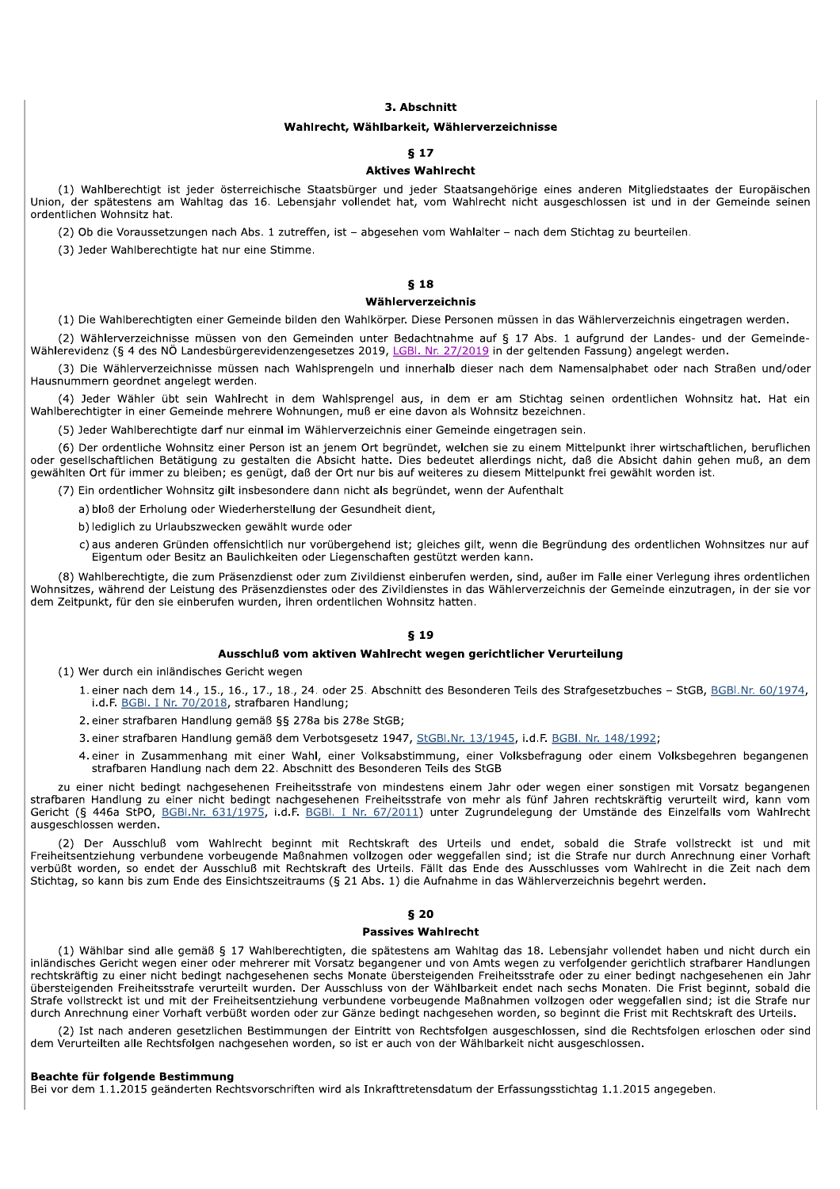## 3. Abschnitt

#### Wahlrecht, Wählbarkeit, Wählerverzeichnisse

## **817**

#### **Aktives Wahlrecht**

(1) Wahlberechtigt ist jeder österreichische Staatsbürger und jeder Staatsangehörige eines anderen Mitgliedstaates der Europäischen Union, der spätestens am Wahltag das 16. Lebensjahr vollendet hat, vom Wahlrecht nicht ausgeschlossen ist und in der Gemeinde seinen ordentlichen Wohnsitz hat.

(2) Ob die Voraussetzungen nach Abs. 1 zutreffen, ist - abgesehen vom Wahlalter - nach dem Stichtag zu beurteilen.

(3) Jeder Wahlberechtigte hat nur eine Stimme.

# **618**

## Wählerverzeichnis

(1) Die Wahlberechtigten einer Gemeinde bilden den Wahlkörper. Diese Personen müssen in das Wählerverzeichnis eingetragen werden.

(2) Wählerverzeichnisse müssen von den Gemeinden unter Bedachtnahme auf § 17 Abs. 1 aufgrund der Landes- und der Gemeinde-Wählerevidenz (§ 4 des NÖ Landesbürgerevidenzengesetzes 2019, LGBI. Nr. 27/2019 in der geltenden Fassung) angelegt werden.

(3) Die Wählerverzeichnisse müssen nach Wahlsprengeln und innerhalb dieser nach dem Namensalphabet oder nach Straßen und/oder Hausnummern geordnet angelegt werden.

(4) Jeder Wähler übt sein Wahlrecht in dem Wahlsprengel aus, in dem er am Stichtag seinen ordentlichen Wohnsitz hat. Hat ein Wahlberechtigter in einer Gemeinde mehrere Wohnungen, muß er eine davon als Wohnsitz bezeichnen.

(5) Jeder Wahlberechtigte darf nur einmal im Wählerverzeichnis einer Gemeinde eingetragen sein.

(6) Der ordentliche Wohnsitz einer Person ist an jenem Ort begründet, welchen sie zu einem Mittelpunkt ihrer wirtschaftlichen, beruflichen oder gesellschaftlichen Betätigung zu gestalten die Absicht hatte. Dies bedeutet allerdings nicht, daß die Absicht dahin gehen muß, an dem gewählten Ort für immer zu bleiben; es genügt, daß der Ort nur bis auf weiteres zu diesem Mittelpunkt frei gewählt worden ist.

(7) Ein ordentlicher Wohnsitz gilt insbesondere dann nicht als begründet, wenn der Aufenthalt

a) bloß der Erholung oder Wiederherstellung der Gesundheit dient,

b) lediglich zu Urlaubszwecken gewählt wurde oder

c) aus anderen Gründen offensichtlich nur vorübergehend ist; gleiches gilt, wenn die Begründung des ordentlichen Wohnsitzes nur auf Eigentum oder Besitz an Baulichkeiten oder Liegenschaften gestützt werden kann.

(8) Wahlberechtigte, die zum Präsenzdienst oder zum Zivildienst einberufen werden, sind, außer im Falle einer Verlegung ihres ordentlichen Wohnsitzes, während der Leistung des Präsenzdienstes oder des Zivildienstes in das Wählerverzeichnis der Gemeinde einzutragen, in der sie vor dem Zeitpunkt, für den sie einberufen wurden, ihren ordentlichen Wohnsitz hatten.

## $$19$

#### Ausschluß vom aktiven Wahlrecht wegen gerichtlicher Verurteilung

(1) Wer durch ein inländisches Gericht wegen

- 1. einer nach dem 14., 15., 16., 17., 18., 24. oder 25. Abschnitt des Besonderen Teils des Strafgesetzbuches StGB, BGBI.Nr. 60/1974. i.d.F. BGBI. I Nr. 70/2018, strafbaren Handlung;
- 2. einer strafbaren Handlung gemäß §§ 278a bis 278e StGB;
- 3. einer strafbaren Handlung gemäß dem Verbotsgesetz 1947, StGBI.Nr. 13/1945, i.d.F. BGBI. Nr. 148/1992;
- 4. einer in Zusammenhang mit einer Wahl, einer Volksabstimmung, einer Volksbefragung oder einem Volksbegehren begangenen strafbaren Handlung nach dem 22. Abschnitt des Besonderen Teils des StGB

zu einer nicht bedingt nachgesehenen Freiheitsstrafe von mindestens einem Jahr oder wegen einer sonstigen mit Vorsatz begangenen strafbaren Handlung zu einer nicht bedingt nachgesehenen Freiheitsstrafe von mehr als fünf Jahren rechtskräftig verurteilt wird, kann vom Gericht (§ 446a StPO, BGBI.Nr. 631/1975, i.d.F. BGBI. I Nr. 67/2011) unter Zugrundelegung der Umstände des Einzelfalls vom Wahlrecht ausgeschlossen werden.

(2) Der Ausschluß vom Wahlrecht beginnt mit Rechtskraft des Urteils und endet, sobald die Strafe vollstreckt ist und mit Freiheitsentziehung verbundene vorbeugende Maßnahmen vollzogen oder weggefallen sind; ist die Strafe nur durch Anrechnung einer Vorhaft verbüßt worden, so endet der Ausschluß mit Rechtskraft des Urteils. Fällt das Ende des Ausschlusses vom Wahlrecht in die Zeit nach dem Stichtag, so kann bis zum Ende des Einsichtszeitraums (§ 21 Abs. 1) die Aufnahme in das Wählerverzeichnis begehrt werden.

## $$20$

#### **Passives Wahlrecht**

(1) Wählbar sind alle gemäß § 17 Wahlberechtigten, die spätestens am Wahltag das 18. Lebensjahr vollendet haben und nicht durch ein inländisches Gericht wegen einer oder mehrerer mit Vorsatz begangener und von Amts wegen zu verfolgender gerichtlich strafbarer Handlungen rechtskräftig zu einer nicht bedingt nachgesehenen sechs Monate übersteigenden Freiheitsstrafe oder zu einer bedingt nachgesehenen ein Jahr übersteigenden Freiheitsstrafe verurteilt wurden. Der Ausschluss von der Wählbarkeit endet nach sechs Monaten. Die Frist beginnt, sobald die Strafe vollstreckt ist und mit der Freiheitsentziehung verbundene vorbeugende Maßnahmen vollzogen oder weggefallen sind; ist die Strafe nur durch Anrechnung einer Vorhaft verbüßt worden oder zur Gänze bedingt nachgesehen worden, so beginnt die Frist mit Rechtskraft des Urteils.

(2) Ist nach anderen gesetzlichen Bestimmungen der Eintritt von Rechtsfolgen ausgeschlossen, sind die Rechtsfolgen erloschen oder sind dem Verurteilten alle Rechtsfolgen nachgesehen worden, so ist er auch von der Wählbarkeit nicht ausgeschlossen.

## Beachte für folgende Bestimmung

Bei vor dem 1.1.2015 geänderten Rechtsvorschriften wird als Inkrafttretensdatum der Erfassungsstichtag 1.1.2015 angegeben.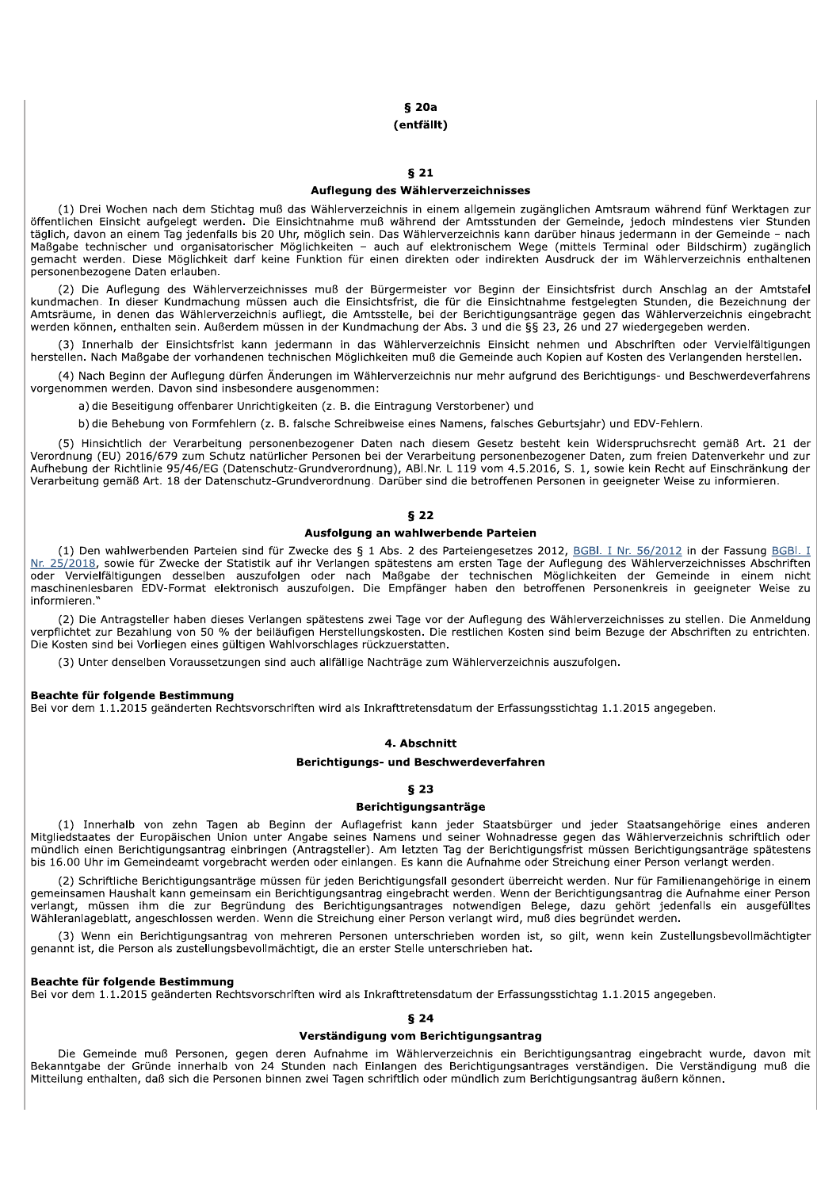# $§$  20a

# (entfällt)

## $§21$

#### Auflegung des Wählerverzeichnisses

(1) Drei Wochen nach dem Stichtag muß das Wählerverzeichnis in einem allgemein zugänglichen Amtsraum während fünf Werktagen zur öffentlichen Einsicht aufgelegt werden. Die Einsichtnahme muß während der Amtsstunden der Gemeinde, jedoch mindestens vier Stunden täglich, davon an einem Tag jedenfalls bis 20 Uhr, möglich sein. Das Wählerverzeichnis kann darüber hinaus jedermann in der Gemeinde - nach emacht werden. Diese Möglichkeit darf keine Funktion für einen direkten sich weise mit der Childels Terminal der Bildschirm) zugänglich<br>1999 gemacht werden. Diese Möglichkeit darf keine Funktion für einen direkten oder ind personenbezogene Daten erlauben.

(2) Die Auflegung des Wählerverzeichnisses muß der Bürgermeister vor Beginn der Einsichtsfrist durch Anschlag an der Amtstafel kundmachen. In dieser Kundmachung müssen auch die Einsichtsfrist, die für die Einsichtnahme festgelegten Stunden, die Bezeichnung der Amtsräume, in denen das Wählerverzeichnis aufliegt, die Amtsstelle, bei der Berichtigungsanträge gegen das Wählerverzeichnis eingebracht werden können, enthalten sein. Außerdem müssen in der Kundmachung der Abs. 3 und die §§ 23, 26 und 27 wiedergegeben werden.

(3) Innerhalb der Einsichtsfrist kann jedermann in das Wählerverzeichnis Einsicht nehmen und Abschriften oder Vervielfältigungen herstellen. Nach Maßgabe der vorhandenen technischen Möglichkeiten muß die Gemeinde auch Kopien auf Kosten des Verlangenden herstellen.

(4) Nach Beginn der Auflegung dürfen Änderungen im Wählerverzeichnis nur mehr aufgrund des Berichtigungs- und Beschwerdeverfahrens vorgenommen werden. Davon sind insbesondere ausgenommen:

a) die Beseitigung offenbarer Unrichtigkeiten (z. B. die Eintragung Verstorbener) und

b) die Behebung von Formfehlern (z. B. falsche Schreibweise eines Namens, falsches Geburtsjahr) und EDV-Fehlern.

(5) Hinsichtlich der Verarbeitung personenbezogener Daten nach diesem Gesetz besteht kein Widerspruchsrecht gemäß Art. 21 der Verordnung (EU) 2016/679 zum Schutz natürlicher Personen bei der Verarbeitung personenbezogener Daten, zum freien Datenverkehr und zur The burge (Datenschutz-Grundverordnung), ABI.Nr. L 119 vom 4.5.2016, S. 1, sowie kein Recht auf Einschränkung der<br>Verarbeitung gemäß Art. 18 der Datenschutz-Grundverordnung. Darüber sind die betroffenen Personen in geeigne

## $$22$

## Ausfolgung an wahlwerbende Parteien

(1) Den wahlwerbenden Parteien sind für Zwecke des § 1 Abs. 2 des Parteiengesetzes 2012, BGBI. I Nr. 56/2012 in der Fassung BGBI. I Nr. 25/2018, sowie für Zwecke der Statistik auf ihr Verlangen spätestens am ersten Tage der Auflegung des Wählerverzeichnisses Abschriften oder Vervielfältigungen desselben auszufolgen oder nach Maßgabe der technischen Möglichkeiten der Gemeinde in einem nicht maschinenlesbaren EDV-Format elektronisch auszufolgen. Die Empfänger haben den betroffenen Personenkreis in geeigneter Weise zu informieren<sup>1</sup>

(2) Die Antragsteller haben dieses Verlangen spätestens zwei Tage vor der Auflegung des Wählerverzeichnisses zu stellen. Die Anmeldung verpflichtet zur Bezahlung von 50 % der beiläufigen Herstellungskosten. Die restlichen Kosten sind beim Bezuge der Abschriften zu entrichten. Die Kosten sind bei Vorliegen eines gültigen Wahlvorschlages rückzuerstatten.

(3) Unter denselben Voraussetzungen sind auch allfällige Nachträge zum Wählerverzeichnis auszufolgen.

#### **Beachte für folgende Bestimmung**

Bei vor dem 1.1.2015 geänderten Rechtsvorschriften wird als Inkrafttretensdatum der Erfassungsstichtag 1.1.2015 angegeben.

#### 4 Ahechnitt

#### Berichtigungs- und Beschwerdeverfahren

#### $$23$

# Berichtigungsanträge

(1) Innerhalb von zehn Tagen ab Beginn der Auflagefrist kann jeder Staatsbürger und jeder Staatsangehörige eines anderen Mitgliedstaates der Europäischen Union unter Angabe seines Namens und seiner Wohnadresse gegen das Wählerverzeichnis schriftlich oder mündlich einen Berichtigungsantrag einbringen (Antragsteller). Am letzten Tag der Berichtigungsfrist müssen Berichtigungsanträge spätestens bis 16.00 Uhr im Gemeindeamt vorgebracht werden oder einlangen. Es kann die Aufnahme oder Streichung einer Person verlangt werden.

(2) Schriftliche Berichtigungsanträge müssen für jeden Berichtigungsfall gesondert überreicht werden. Nur für Familienangehörige in einem gemeinsamen Haushalt kann gemeinsam ein Berichtigungsantrag eingebracht werden. Wenn der Berichtigungsantrag die Aufnahme einer Person verlangt, müssen ihm die zur Begründung des Berichtigungsantrages notwendigen Belege, dazu gehört jedenfalls ein ausgefülltes Wähleranlageblatt, angeschlossen werden. Wenn die Streichung einer Person verlangt wird, muß dies begründet werden.

(3) Wenn ein Berichtigungsantrag von mehreren Personen unterschrieben worden ist, so gilt, wenn kein Zustellungsbevollmächtigter genannt ist, die Person als zustellungsbevollmächtigt, die an erster Stelle unterschrieben hat.

#### Beachte für folgende Bestimmung

Bei vor dem 1.1.2015 geänderten Rechtsvorschriften wird als Inkrafttretensdatum der Erfassungsstichtag 1.1.2015 angegeben.

## $$24$

## Verständigung vom Berichtigungsantrag

Die Gemeinde muß Personen, gegen deren Aufnahme im Wählerverzeichnis ein Berichtigungsantrag eingebracht wurde, davon mit Bekanntgabe der Gründe innerhalb von 24 Stunden nach Einlangen des Berichtigungsantrages verständigen. Die Verständigung muß die Mitteilung enthalten, daß sich die Personen binnen zwei Tagen schriftlich oder mündlich zum Berichtigungsantrag äußern können.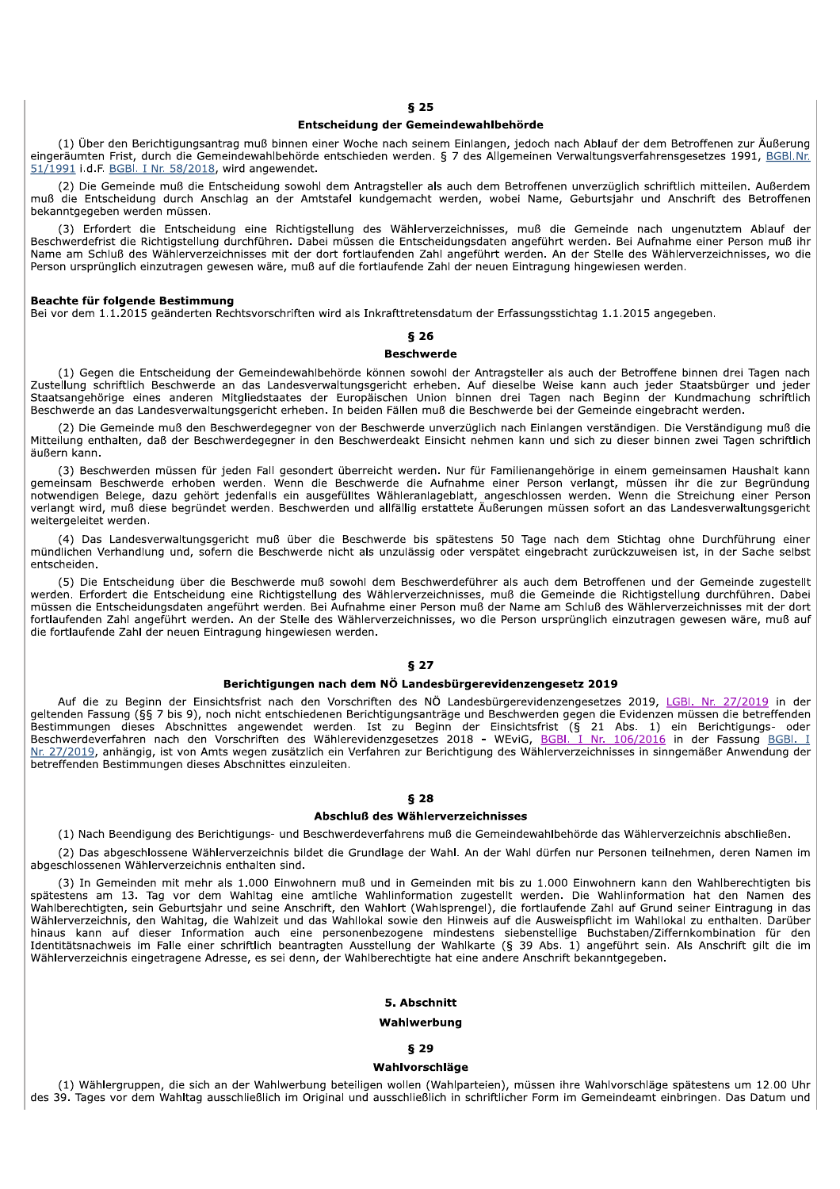#### Entscheidung der Gemeindewahlbehörde

(1) Über den Berichtigungsantrag muß binnen einer Woche nach seinem Einlangen, jedoch nach Ablauf der dem Betroffenen zur Äußerung eingeräumten Frist, durch die Gemeindewahlbehörde entschieden werden. § 7 des Allgemeinen Verwaltungsverfahrensgesetzes 1991, BGBI.Nr. 51/1991 i.d.F. BGBI. I Nr. 58/2018, wird angewendet.

(2) Die Gemeinde muß die Entscheidung sowohl dem Antragsteller als auch dem Betroffenen unverzüglich schriftlich mitteilen. Außerdem muß die Entscheidung durch Anschlag an der Amtstafel kundgemacht werden, wobei Name, Geburtsjahr und Anschrift des Betroffenen bekanntgegeben werden müssen.

(3) Erfordert die Entscheidung eine Richtigstellung des Wählerverzeichnisses, muß die Gemeinde nach ungenutztem Ablauf der Beschwerdefrist die Richtigstellung durchführen. Dabei müssen die Entscheidungsdaten angeführt werden. Bei Aufnahme einer Person muß ihr Name am Schluß des Wählerverzeichnisses mit der dort fortlaufenden Zahl angeführt werden. An der Stelle des Wählerverzeichnisses, wo die Person ursprünglich einzutragen gewesen wäre, muß auf die fortlaufende Zahl der neuen Eintragung hingewiesen werden.

#### Beachte für folgende Bestimmung

Bei vor dem 1.1.2015 geänderten Rechtsvorschriften wird als Inkrafttretensdatum der Erfassungsstichtag 1.1.2015 angegeben.

# $$26$

#### **Beschwerde**

(1) Gegen die Entscheidung der Gemeindewahlbehörde können sowohl der Antragsteller als auch der Betroffene binnen drei Tagen nach Zustellung schriftlich Beschwerde an das Landesverwaltungsgericht erheben. Auf dieselbe Weise kann auch jeder Staatsbürger und jeder Staatsangehörige eines anderen Mitgliedstaates der Europäischen Union binnen drei Tagen nach Beginn der Kundmachung schriftlich<br>Beschwerde an das Landesverwaltungsgericht erheben. In beiden Fällen muß die Beschwerde bei de

(2) Die Gemeinde muß den Beschwerdegegner von der Beschwerde unverzüglich nach Einlangen verständigen. Die Verständigung muß die Mitteilung enthalten, daß der Beschwerdegegner in den Beschwerdeakt Einsicht nehmen kann und sich zu dieser binnen zwei Tagen schriftlich äußern kann.

(3) Beschwerden müssen für jeden Fall gesondert überreicht werden. Nur für Familienangehörige in einem gemeinsamen Haushalt kann gemeinsam Beschwerde erhoben werden. Wenn die Beschwerde die Aufnahme einer Person verlangt, müssen ihr die zur Begründung notwendigen Belege, dazu gehört jedenfalls ein ausgefülltes Wähleranlageblatt, angeschlossen werden. Wenn die Streichung einer Person verlangt wird, muß diese begründet werden. Beschwerden und allfällig erstattete Äußerungen müssen sofort an das Landesverwaltungsgericht weitergeleitet werden.

(4) Das Landesverwaltungsgericht muß über die Beschwerde bis spätestens 50 Tage nach dem Stichtag ohne Durchführung einer mündlichen Verhandlung und, sofern die Beschwerde nicht als unzulässig oder verspätet eingebracht zurückzuweisen ist, in der Sache selbst entscheiden.

(5) Die Entscheidung über die Beschwerde muß sowohl dem Beschwerdeführer als auch dem Betroffenen und der Gemeinde zugestellt werden. Erfordert die Entscheidung eine Richtigstellung des Wählerverzeichnisses, muß die Gemeinde die Richtigstellung durchführen. Dabei müssen die Entscheidungsdaten angeführt werden. Bei Aufnahme einer Person muß der Name am Schluß des Wählerverzeichnisses mit der dort fortlaufenden Zahl angeführt werden. An der Stelle des Wählerverzeichnisses, wo die Person ursprünglich einzutragen gewesen wäre, muß auf die fortlaufende Zahl der neuen Eintragung hingewiesen werden.

## $$27$

#### Berichtigungen nach dem NÖ Landesbürgerevidenzengesetz 2019

Auf die zu Beginn der Einsichtsfrist nach den Vorschriften des NÖ Landesbürgerevidenzengesetzes 2019, LGBI. Nr. 27/2019 in der geltenden Fassung (§§ 7 bis 9), noch nicht entschiedenen Berichtigungsanträge und Beschwerden gegen die Evidenzen müssen die betreffenden Bestimmungen dieses Abschnittes angewendet werden. Ist zu Beginn der Einsichtsfrist (§ 21 Abs. 1) ein Berichtigungs- oder<br>Beschwerdeverfahren nach den Vorschriften des Wählerevidenzgesetzes 2018 - WEviG, <u>BGBI. I Nr. 106/2</u> betreffenden Bestimmungen dieses Abschnittes einzuleiten.

## **628**

## Abschluß des Wählerverzeichnisses

(1) Nach Beendigung des Berichtigungs- und Beschwerdeverfahrens muß die Gemeindewahlbehörde das Wählerverzeichnis abschließen.

(2) Das abgeschlossene Wählerverzeichnis bildet die Grundlage der Wahl. An der Wahl dürfen nur Personen teilnehmen, deren Namen im abgeschlossenen Wählerverzeichnis enthalten sind.

(3) In Gemeinden mit mehr als 1.000 Einwohnern muß und in Gemeinden mit bis zu 1.000 Einwohnern kann den Wahlberechtigten bis spätestens am 13. Tag vor dem Wahltag eine amtliche Wahlinformation zugestellt werden. Die Wahlinformation hat den Namen des Wahlberechtigten, sein Geburtsjahr und seine Anschrift, den Wahlort (Wahlsprengel), die fortlaufende Zahl auf Grund seiner Eintragung in das Wählerverzeichnis, den Wahltag, die Wahlzeit und das Wahllokal sowie den Hinweis auf die Ausweispflicht im Wahllokal zu enthalten. Darüber<br>Mählerverzeichnis, den Wahltag, die Wahlzeit und das Wahllokal sowie den Hinweis au Identitätsnachweis im Falle einer schriftlich beantragten Ausstellung der Wahlkarte (§ 39 Abs. 1) angeführt sein. Als Anschrift gilt die im Wählerverzeichnis eingetragene Adresse, es sei denn, der Wahlberechtigte hat eine andere Anschrift bekanntgegeben.

#### 5. Abschnitt

## Wahlwerbung

#### **829**

#### Wahlvorschläge

(1) Wählergruppen, die sich an der Wahlwerbung beteiligen wollen (Wahlparteien), müssen ihre Wahlvorschläge spätestens um 12.00 Uhr des 39. Tages vor dem Wahltag ausschließlich im Original und ausschließlich in schriftlicher Form im Gemeindeamt einbringen. Das Datum und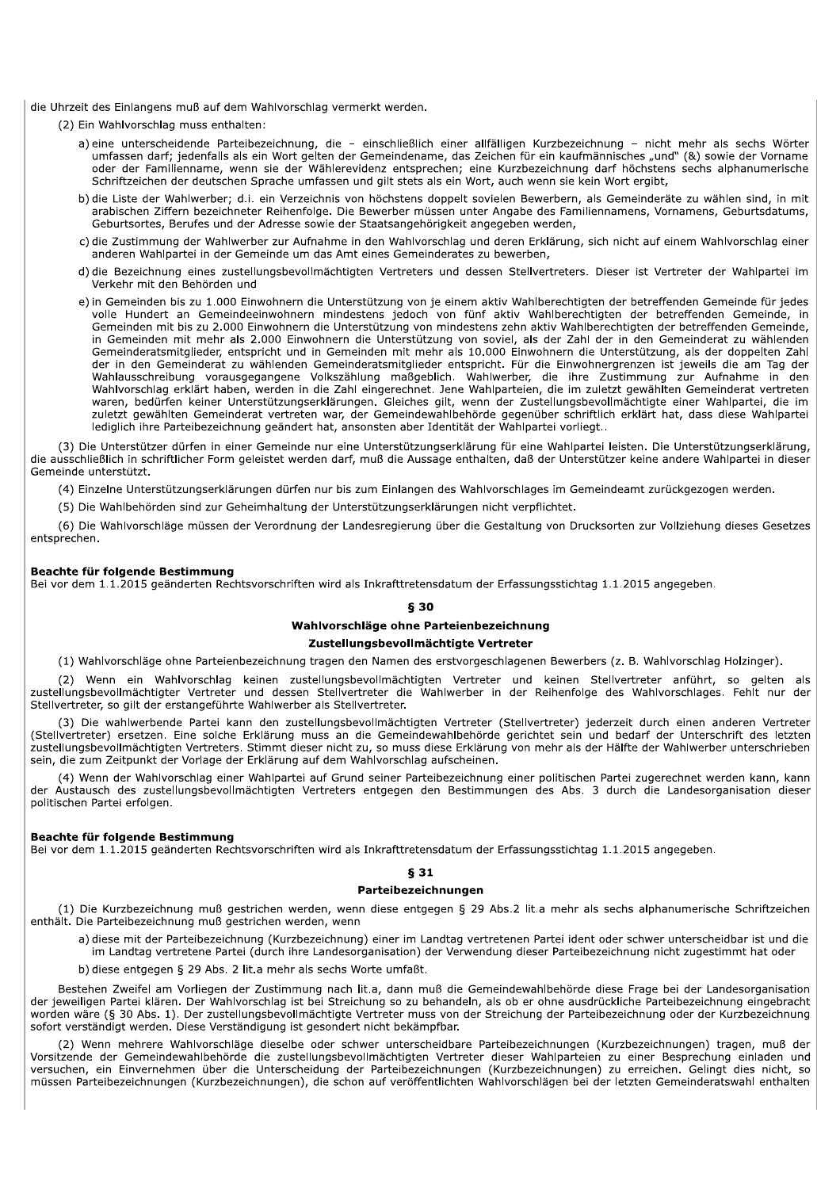die Uhrzeit des Einlangens muß auf dem Wahlvorschlag vermerkt werden.

(2) Ein Wahlvorschlag muss enthalten:

- a) eine unterscheidende Parteibezeichnung, die einschließlich einer allfälligen Kurzbezeichnung nicht mehr als sechs Wörter umfassen darf; jedenfalls als ein Wort gelten der Gemeindename, das Zeichen für ein kaufmännisches "und" (&) sowie der Vorname oder der Familienname, wenn sie der Wählerevidenz entsprechen; eine Kurzbezeichnung darf höchstens sechs alphanumerische Schriftzeichen der deutschen Sprache umfassen und gilt stets als ein Wort, auch wenn sie kein Wort ergibt,
- b) die Liste der Wahlwerber; d.i. ein Verzeichnis von höchstens doppelt sovielen Bewerbern, als Gemeinderäte zu wählen sind, in mit arabischen Ziffern bezeichneter Reihenfolge. Die Bewerber müssen unter Angabe des Familiennamens, Vornamens, Geburtsdatums, Geburtsortes, Berufes und der Adresse sowie der Staatsangehörigkeit angegeben werden,
- c) die Zustimmung der Wahlwerber zur Aufnahme in den Wahlvorschlag und deren Erklärung, sich nicht auf einem Wahlvorschlag einer anderen Wahlpartei in der Gemeinde um das Amt eines Gemeinderates zu bewerben,
- d) die Bezeichnung eines zustellungsbevollmächtigten Vertreters und dessen Stellvertreters. Dieser ist Vertreter der Wahlpartei im Verkehr mit den Behörden und
- e) in Gemeinden bis zu 1.000 Einwohnern die Unterstützung von je einem aktiv Wahlberechtigten der betreffenden Gemeinde für jedes volle Hundert an Gemeindeeinwohnern mindestens jedoch von fünf aktiv Wahlberechtigten der betreffenden Gemeinde, in Gemeinden mit bis zu 2.000 Einwohnern die Unterstützung von mindestens zehn aktiv Wahlberechtigten der betreffenden Gemeinde, in Gemeinden mit mehr als 2.000 Einwohnern die Unterstützung von soviel, als der Zahl der in den Gemeinderat zu wählenden Gemeinderatsmitglieder, entspricht und in Gemeinden mit mehr als 10.000 Einwohnern die Unterstützung, als der doppelten Zahl der in den Gemeinderat zu wählenden Gemeinderatsmitglieder entspricht. Für die Einwohnergrenzen ist jeweils die am Tag der Wahlausschreibung vorausgegangene Volkszählung maßgeblich. Wahlwerber, die ihre Zustimmung zur Aufnahme in den Wahlvorschlag erklärt haben, werden in die Zahl eingerechnet. Jene Wahlparteien, die im zuletzt gewählten Gemeinderat vertreten waren, bedürfen keiner Unterstützungserklärungen. Gleiches gilt, wenn der Zustellungsbevollmächtigte einer Wahlpartei, die im zuletzt gewählten Gemeinderat vertreten war, der Gemeindewahlbehörde gegenüber schriftlich erklärt hat, dass diese Wahlpartei lediglich ihre Parteibezeichnung geändert hat, ansonsten aber Identität der Wahlpartei vorliegt..

(3) Die Unterstützer dürfen in einer Gemeinde nur eine Unterstützungserklärung für eine Wahlpartei leisten. Die Unterstützungserklärung, die ausschließlich in schriftlicher Form geleistet werden darf, muß die Aussage enthalten, daß der Unterstützer keine andere Wahlpartei in dieser Gemeinde unterstützt.

(4) Einzelne Unterstützungserklärungen dürfen nur bis zum Einlangen des Wahlvorschlages im Gemeindeamt zurückgezogen werden.

(5) Die Wahlbehörden sind zur Geheimhaltung der Unterstützungserklärungen nicht verpflichtet.

(6) Die Wahlvorschläge müssen der Verordnung der Landesregierung über die Gestaltung von Drucksorten zur Vollziehung dieses Gesetzes entsprechen.

#### Beachte für folgende Bestimmung

Bei vor dem 1.1.2015 geänderten Rechtsvorschriften wird als Inkrafttretensdatum der Erfassungsstichtag 1.1.2015 angegeben.

## § 30

## Wahlvorschläge ohne Parteienbezeichnung

# Zustellungsbevollmächtigte Vertreter

(1) Wahlvorschläge ohne Parteienbezeichnung tragen den Namen des erstvorgeschlagenen Bewerbers (z. B. Wahlvorschlag Holzinger).

(2) Wenn ein Wahlvorschlag keinen zustellungsbevollmächtigten Vertreter und keinen Stellvertreter anführt, so gelten als zustellungsbevollmächtigter Vertreter und dessen Stellvertreter die Wahlwerber in der Reihenfolge des Wahlvorschlages. Fehlt nur der Stellvertreter, so gilt der erstangeführte Wahlwerber als Stellvertreter.

(3) Die wahlwerbende Partei kann den zustellungsbevollmächtigten Vertreter (Stellvertreter) jederzeit durch einen anderen Vertreter (Stellvertreter) ersetzen. Eine solche Erklärung muss an die Gemeindewahlbehörde gerichtet sein und bedarf der Unterschrift des letzten zustellungsbevollmächtigten Vertreters. Stimmt dieser nicht zu, so muss diese Erklärung von mehr als der Hälfte der Wahlwerber unterschrieben sein, die zum Zeitpunkt der Vorlage der Erklärung auf dem Wahlvorschlag aufscheinen.

(4) Wenn der Wahlvorschlag einer Wahlpartei auf Grund seiner Parteibezeichnung einer politischen Partei zugerechnet werden kann, kann der Austausch des zustellungsbevollmächtigten Vertreters entgegen den Bestimmungen des Abs. 3 durch die Landesorganisation dieser politischen Partei erfolgen.

#### Beachte für folgende Bestimmung

Bei vor dem 1.1.2015 geänderten Rechtsvorschriften wird als Inkrafttretensdatum der Erfassungsstichtag 1.1.2015 angegeben.

# 631

#### Parteibezeichnungen

(1) Die Kurzbezeichnung muß gestrichen werden, wenn diese entgegen § 29 Abs.2 lit.a mehr als sechs alphanumerische Schriftzeichen enthält. Die Parteibezeichnung muß gestrichen werden, wenn

a) diese mit der Parteibezeichnung (Kurzbezeichnung) einer im Landtag vertretenen Partei ident oder schwer unterscheidbar ist und die im Landtag vertretene Partei (durch ihre Landesorganisation) der Verwendung dieser Parteibezeichnung nicht zugestimmt hat oder

b) diese entgegen § 29 Abs. 2 lit.a mehr als sechs Worte umfaßt.

Bestehen Zweifel am Vorliegen der Zustimmung nach lit.a, dann muß die Gemeindewahlbehörde diese Frage bei der Landesorganisation der jeweiligen Partei klären. Der Wahlvorschlag ist bei Streichung so zu behandeln, als ob er ohne ausdrückliche Parteibezeichnung eingebracht worden wäre (§ 30 Abs. 1). Der zustellungsbevollmächtigte Vertreter muss von der Streichung der Parteibezeichnung oder der Kurzbezeichnung sofort verständigt werden. Diese Verständigung ist gesondert nicht bekämpfbar.

(2) Wenn mehrere Wahlvorschläge dieselbe oder schwer unterscheidbare Parteibezeichnungen (Kurzbezeichnungen) tragen, muß der Vorsitzende der Gemeindewahlbehörde die zustellungsbevollmächtigten Vertreter dieser Wahlparteien zu einer Besprechung einladen und versuchen, ein Einvernehmen über die Unterscheidung der Parteibezeichnungen (Kurzbezeichnungen) zu erreichen. Gelingt dies nicht, so müssen Parteibezeichnungen (Kurzbezeichnungen), die schon auf veröffentlichten Wahlvorschlägen bei der letzten Gemeinderatswahl enthalten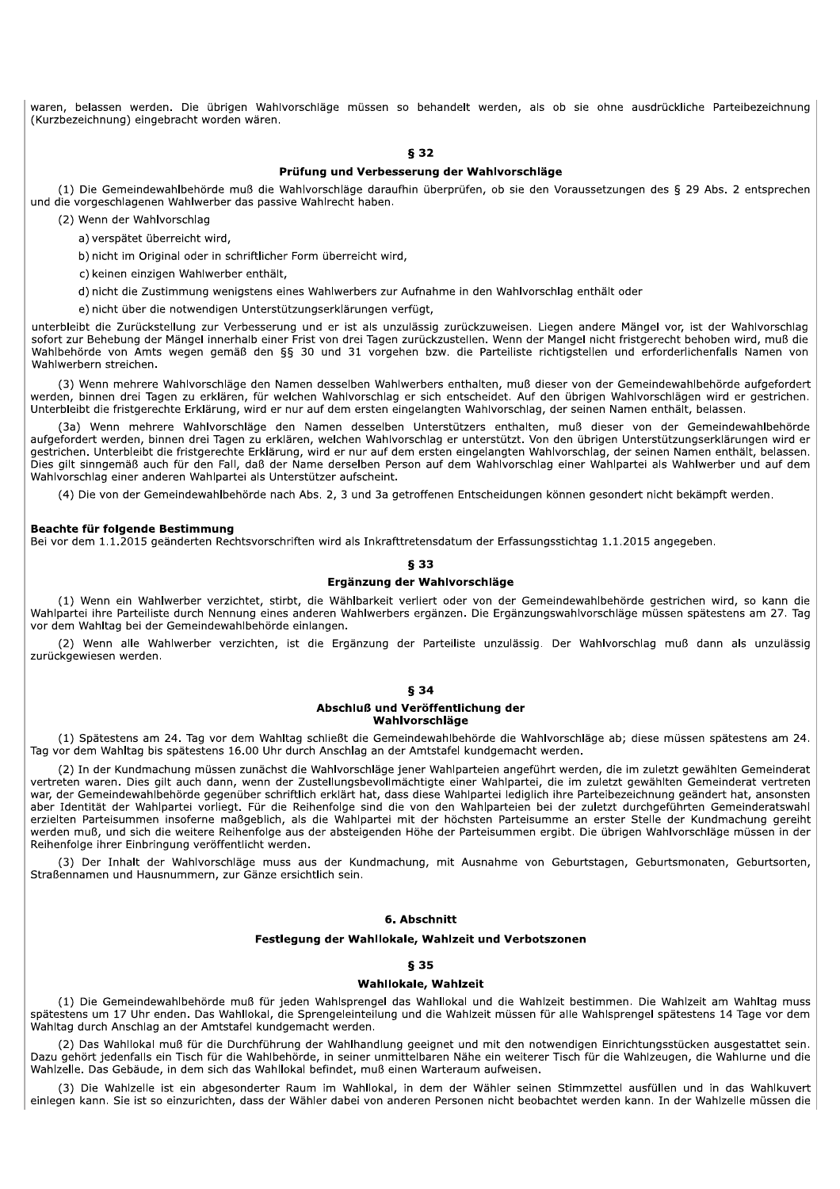waren, belassen werden. Die übrigen Wahlvorschläge müssen so behandelt werden, als ob sie ohne ausdrückliche Parteibezeichnung (Kurzbezeichnung) eingebracht worden wären.

## 8.32

#### Prüfung und Verbesserung der Wahlvorschläge

(1) Die Gemeindewahlbehörde muß die Wahlvorschläge daraufhin überprüfen, ob sie den Voraussetzungen des § 29 Abs. 2 entsprechen und die vorgeschlagenen Wahlwerber das passive Wahlrecht haben.

(2) Wenn der Wahlvorschlag

a) verspätet überreicht wird,

b) nicht im Original oder in schriftlicher Form überreicht wird,

c) keinen einzigen Wahlwerber enthält,

d) nicht die Zustimmung wenigstens eines Wahlwerbers zur Aufnahme in den Wahlvorschlag enthält oder

e) nicht über die notwendigen Unterstützungserklärungen verfügt,

unterbleibt die Zurückstellung zur Verbesserung und er ist als unzulässig zurückzuweisen. Liegen andere Mängel vor, ist der Wahlvorschlag sofort zur Behebung der Mängel innerhalb einer Frist von drei Tagen zurückzustellen. Wenn der Mangel nicht fristgerecht behoben wird, muß die Wahlbehörde von Amts wegen gemäß den §§ 30 und 31 vorgehen bzw. die Parteiliste richtigstellen und erforderlichenfalls Namen von Wahlwerbern streichen.

(3) Wenn mehrere Wahlvorschläge den Namen desselben Wahlwerbers enthalten, muß dieser von der Gemeindewahlbehörde aufgefordert werden, binnen drei Tagen zu erklären, für welchen Wahlvorschlag er sich entscheidet. Auf den übrigen Wahlvorschlägen wird er gestrichen. Unterbleibt die fristgerechte Erklärung, wird er nur auf dem ersten eingelangten Wahlvorschlag, der seinen Namen enthält, belassen.

(3a) Wenn mehrere Wahlvorschläge den Namen desselben Unterstützers enthalten, muß dieser von der Gemeindewahlbehörde aufgefordert werden, binnen drei Tagen zu erklären, welchen Wahlvorschlag er unterstützt. Von den übrigen Unterstützungserklärungen wird er gestrichen. Unterbleibt die fristgerechte Erklärung, wird er nur auf dem ersten eingelangten Wahlvorschlag, der seinen Namen enthält, belassen. Dies gilt sinngemäß auch für den Fall, daß der Name derselben Person auf dem Wahlvorschlag einer Wahlpartei als Wahlwerber und auf dem Wahlvorschlag einer anderen Wahlpartei als Unterstützer aufscheint.

(4) Die von der Gemeindewahlbehörde nach Abs. 2, 3 und 3a getroffenen Entscheidungen können gesondert nicht bekämpft werden.

#### Beachte für folgende Bestimmung

Bei vor dem 1.1.2015 geänderten Rechtsvorschriften wird als Inkrafttretensdatum der Erfassungsstichtag 1.1.2015 angegeben.

## 833

#### Ergänzung der Wahlvorschläge

(1) Wenn ein Wahlwerber verzichtet, stirbt, die Wählbarkeit verliert oder von der Gemeindewahlbehörde gestrichen wird, so kann die Wahlpartei ihre Parteiliste durch Nennung eines anderen Wahlwerbers ergänzen. Die Ergänzungswahlvorschläge müssen spätestens am 27. Tag vor dem Wahltag bei der Gemeindewahlbehörde einlangen.

(2) Wenn alle Wahlwerber verzichten, ist die Ergänzung der Parteiliste unzulässig. Der Wahlvorschlag muß dann als unzulässig zurückgewiesen werden.

# **§ 34**

#### Abschluß und Veröffentlichung der Wahlvorschläge

(1) Spätestens am 24. Tag vor dem Wahltag schließt die Gemeindewahlbehörde die Wahlvorschläge ab; diese müssen spätestens am 24. Tag vor dem Wahltag bis spätestens 16.00 Uhr durch Anschlag an der Amtstafel kundgemacht werden.

(2) In der Kundmachung müssen zunächst die Wahlvorschläge jener Wahlparteien angeführt werden, die im zuletzt gewählten Gemeinderat vertreten waren. Dies gilt auch dann, wenn der Zustellungsbevollmächtigte einer Wahlpartei, die im zuletzt gewählten Gemeinderat vertreten war, der Gemeindewahlbehörde gegenüber schriftlich erklärt hat, dass diese Wahlpartei lediglich ihre Parteibezeichnung geändert hat, ansonsten aber Identität der Wahlpartei vorliegt. Für die Reihenfolge sind die von den Wahlparteien bei der zuletzt durchgeführten Gemeinderatswahl erzielten Parteisummen insoferne maßgeblich, als die Wahlpartei mit der höchsten Parteisumme an erster Stelle der Kundmachung gereiht werden muß, und sich die weitere Reihenfolge aus der absteigenden Höhe der Parteisummen ergibt. Die übrigen Wahlvorschläge müssen in der Reihenfolge ihrer Einbringung veröffentlicht werden.

(3) Der Inhalt der Wahlvorschläge muss aus der Kundmachung, mit Ausnahme von Geburtstagen, Geburtsmonaten, Geburtsorten, Straßennamen und Hausnummern, zur Gänze ersichtlich sein.

## 6. Abschnitt

## Festlegung der Wahllokale, Wahlzeit und Verbotszonen

# **835**

# Wahllokale, Wahlzeit

(1) Die Gemeindewahlbehörde muß für jeden Wahlsprengel das Wahllokal und die Wahlzeit bestimmen. Die Wahlzeit am Wahltag muss spätestens um 17 Uhr enden. Das Wahllokal, die Sprengeleinteilung und die Wahlzeit müssen für alle Wahlsprengel spätestens 14 Tage vor dem Wahltag durch Anschlag an der Amtstafel kundgemacht werden.

(2) Das Wahllokal muß für die Durchführung der Wahlhandlung geeignet und mit den notwendigen Einrichtungsstücken ausgestattet sein. Dazu gehört jedenfalls ein Tisch für die Wahlbehörde, in seiner unmittelbaren Nähe ein weiterer Tisch für die Wahlzeugen, die Wahlurne und die Wahlzelle. Das Gebäude, in dem sich das Wahllokal befindet, muß einen Warteraum aufweisen.

(3) Die Wahlzelle ist ein abgesonderter Raum im Wahllokal, in dem der Wähler seinen Stimmzettel ausfüllen und in das Wahlkuvert einlegen kann. Sie ist so einzurichten, dass der Wähler dabei von anderen Personen nicht beobachtet werden kann. In der Wahlzelle müssen die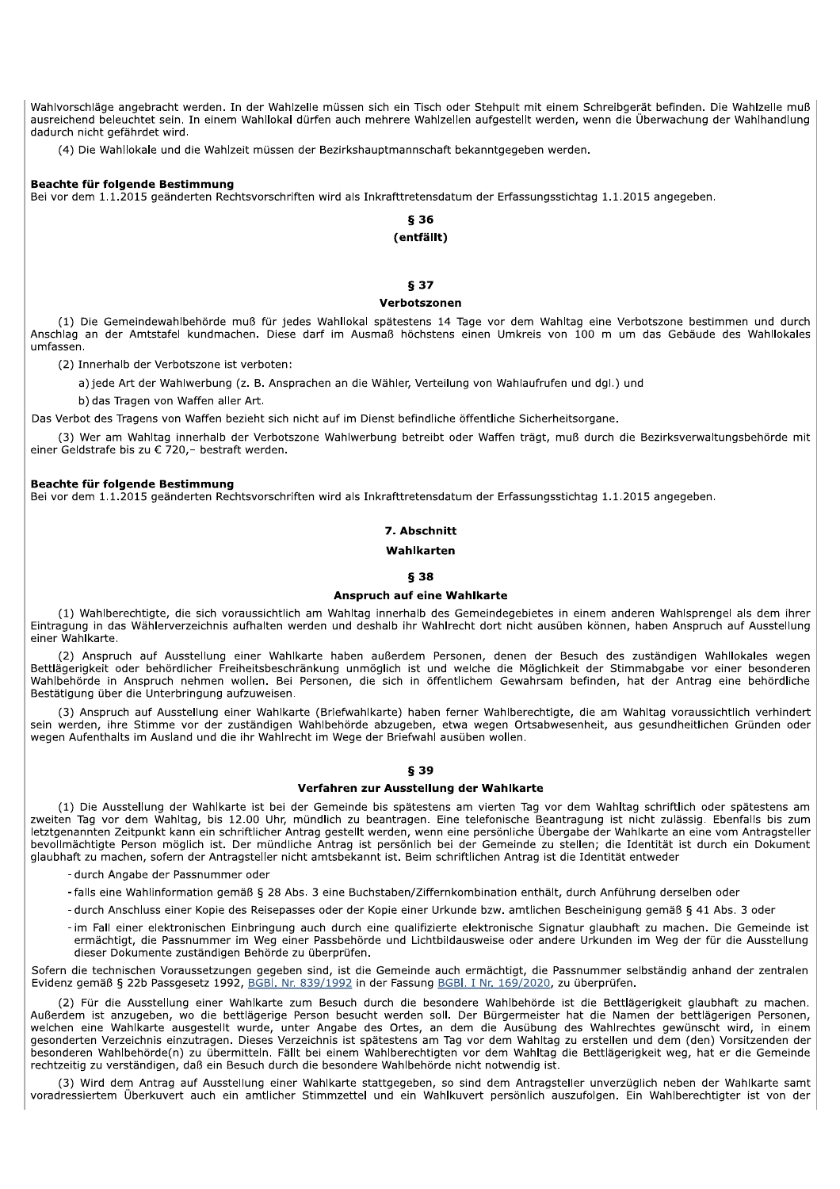Wahlvorschläge angebracht werden. In der Wahlzelle müssen sich ein Tisch oder Stehpult mit einem Schreibgerät befinden. Die Wahlzelle muß ausreichend beleuchtet sein. In einem Wahllokal dürfen auch mehrere Wahlzellen aufgestellt werden, wenn die Überwachung der Wahlhandlung dadurch nicht gefährdet wird.

(4) Die Wahllokale und die Wahlzeit müssen der Bezirkshauptmannschaft bekanntgegeben werden.

#### Beachte für folgende Bestimmung

Bei vor dem 1.1.2015 geänderten Rechtsvorschriften wird als Inkrafttretensdatum der Erfassungsstichtag 1.1.2015 angegeben.

## **836** (entfällt)

#### § 37

#### Verbotszonen

(1) Die Gemeindewahlbehörde muß für jedes Wahllokal spätestens 14 Tage vor dem Wahltag eine Verbotszone bestimmen und durch Anschlag an der Amtstafel kundmachen. Diese darf im Ausmaß höchstens einen Umkreis von 100 m um das Gebäude des Wahllokales umfassen

(2) Innerhalb der Verbotszone ist verboten:

a) jede Art der Wahlwerbung (z. B. Ansprachen an die Wähler, Verteilung von Wahlaufrufen und dgl.) und

b) das Tragen von Waffen aller Art.

Das Verbot des Tragens von Waffen bezieht sich nicht auf im Dienst befindliche öffentliche Sicherheitsorgane.

(3) Wer am Wahltag innerhalb der Verbotszone Wahlwerbung betreibt oder Waffen trägt, muß durch die Bezirksverwaltungsbehörde mit einer Geldstrafe bis zu € 720,- bestraft werden.

#### Beachte für folgende Bestimmung

Bei vor dem 1.1.2015 geänderten Rechtsvorschriften wird als Inkrafttretensdatum der Erfassungsstichtag 1.1.2015 angegeben.

## 7. Abschnitt

## Wahlkarten

## **838**

## **Anspruch auf eine Wahlkarte**

(1) Wahlberechtigte, die sich voraussichtlich am Wahltag innerhalb des Gemeindegebietes in einem anderen Wahlsprengel als dem ihrer Eintragung in das Wählerverzeichnis aufhalten werden und deshalb ihr Wahlrecht dort nicht ausüben können, haben Anspruch auf Ausstellung einer Wahlkarte.

(2) Anspruch auf Ausstellung einer Wahlkarte haben außerdem Personen, denen der Besuch des zuständigen Wahllokales wegen Bettlägerigkeit oder behördlicher Freiheitsbeschränkung unmöglich ist und welche die Möglichkeit der Stimmabgabe vor einer besonderen Wahlbehörde in Anspruch nehmen wollen. Bei Personen, die sich in öffentlichem Gewahrsam befinden, hat der Antrag eine behördliche Bestätigung über die Unterbringung aufzuweisen.

(3) Anspruch auf Ausstellung einer Wahlkarte (Briefwahlkarte) haben ferner Wahlberechtigte, die am Wahltag voraussichtlich verhindert sein werden, ihre Stimme vor der zuständigen Wahlbehörde abzugeben, etwa wegen Ortsabwesenheit, aus gesundheitlichen Gründen oder wegen Aufenthalts im Ausland und die ihr Wahlrecht im Wege der Briefwahl ausüben wollen.

## § 39

#### Verfahren zur Ausstellung der Wahlkarte

(1) Die Ausstellung der Wahlkarte ist bei der Gemeinde bis spätestens am vierten Tag vor dem Wahltag schriftlich oder spätestens am zweiten Tag vor dem Wahltag, bis 12.00 Uhr, mündlich zu beantragen. Eine telefonische Beantragung ist nicht zulässig. Ebenfalls bis zum letztgenannten Zeitpunkt kann ein schriftlicher Antrag gestellt werden, wenn eine persönliche Übergabe der Wahlkarte an eine vom Antragsteller bevollmächtigte Person möglich ist. Der mündliche Antrag ist persönlich bei der Gemeinde zu stellen; die Identität ist durch ein Dokument glaubhaft zu machen, sofern der Antragsteller nicht amtsbekannt ist. Beim schriftlichen Antrag ist die Identität entweder

- durch Angabe der Passnummer oder
- falls eine Wahlinformation gemäß § 28 Abs. 3 eine Buchstaben/Ziffernkombination enthält, durch Anführung derselben oder
- durch Anschluss einer Kopie des Reisepasses oder der Kopie einer Urkunde bzw. amtlichen Bescheinigung gemäß § 41 Abs. 3 oder
- im Fall einer elektronischen Einbringung auch durch eine gualifizierte elektronische Signatur glaubhaft zu machen. Die Gemeinde ist ermächtigt, die Passnummer im Weg einer Passbehörde und Lichtbildausweise oder andere Urkunden im Weg der für die Ausstellung dieser Dokumente zuständigen Behörde zu überprüfen.

Sofern die technischen Voraussetzungen gegeben sind, ist die Gemeinde auch ermächtigt, die Passnummer selbständig anhand der zentralen Evidenz gemäß § 22b Passgesetz 1992, BGBI. Nr. 839/1992 in der Fassung BGBI. I Nr. 169/2020, zu überprüfen.

(2) Für die Ausstellung einer Wahlkarte zum Besuch durch die besondere Wahlbehörde ist die Bettlägerigkeit glaubhaft zu machen. Außerdem ist anzugeben, wo die bettlägerige Person besucht werden soll. Der Bürgermeister hat die Namen der bettlägerigen Personen, welchen eine Wahlkarte ausgestellt wurde, unter Angabe des Ortes, an dem die Ausübung des Wahlrechtes gewünscht wird, in einem gesonderten Verzeichnis einzutragen. Dieses Verzeichnis ist spätestens am Tag vor dem Wahltag zu erstellen und dem (den) Vorsitzenden der besonderen Wahlbehörde(n) zu übermitteln. Fällt bei einem Wahlberechtigten vor dem Wahltag die Bettlägerigkeit weg, hat er die Gemeinde rechtzeitig zu verständigen, daß ein Besuch durch die besondere Wahlbehörde nicht notwendig ist.

(3) Wird dem Antrag auf Ausstellung einer Wahlkarte stattgegeben, so sind dem Antragsteller unverzüglich neben der Wahlkarte samt voradressiertem Überkuvert auch ein amtlicher Stimmzettel und ein Wahlkuvert persönlich auszufolgen. Ein Wahlberechtigter ist von der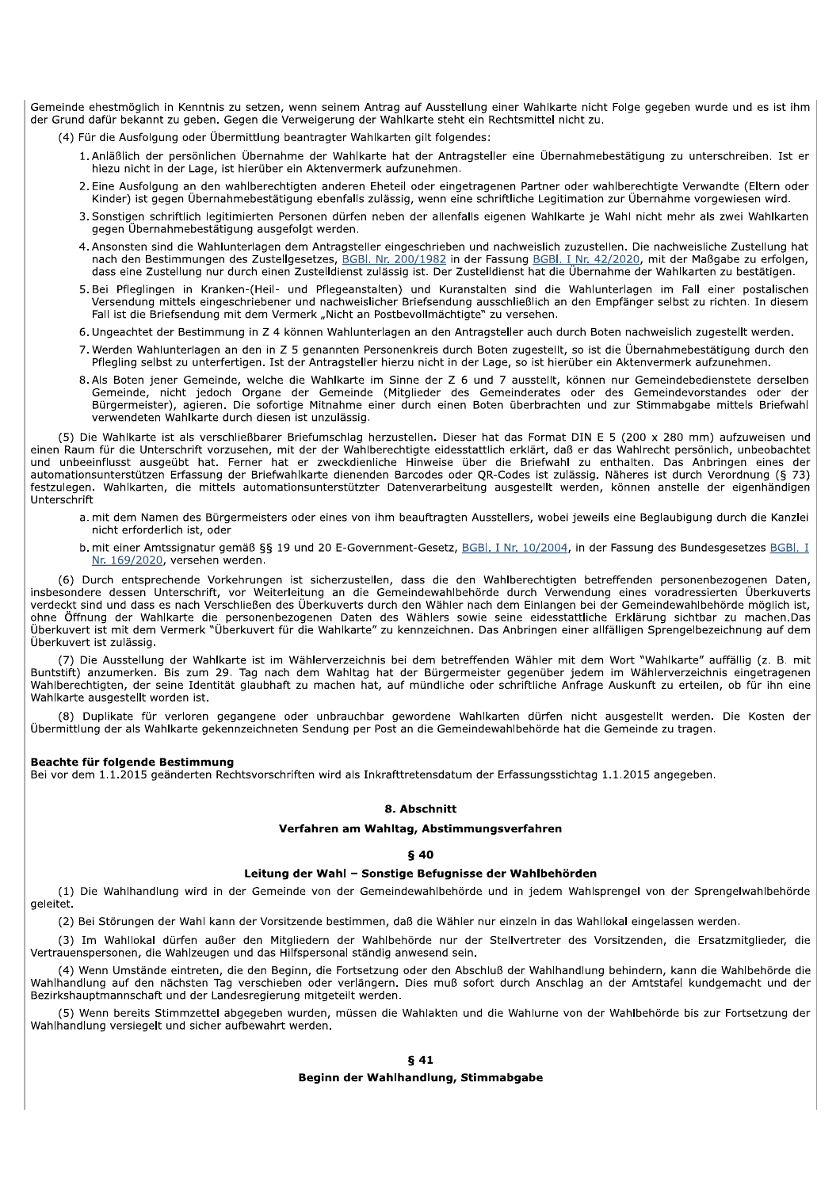Gemeinde ehestmöglich in Kenntnis zu setzen, wenn seinem Antrag auf Ausstellung einer Wahlkarte nicht Folge gegeben wurde und es ist ihm der Grund dafür bekannt zu geben. Gegen die Verweigerung der Wahlkarte steht ein Rechtsmittel nicht zu.

(4) Für die Ausfolgung oder Übermittlung beantragter Wahlkarten gilt folgendes:

- 1. Anläßlich der persönlichen Übernahme der Wahlkarte hat der Antragsteller eine Übernahmebestätigung zu unterschreiben. Ist er hiezu nicht in der Lage, ist hierüber ein Aktenvermerk aufzunehmen.
- 2. Eine Ausfolgung an den wahlberechtigten anderen Eheteil oder eingetragenen Partner oder wahlberechtigte Verwandte (Eltern oder Kinder) ist gegen Übernahmebestätigung ebenfalls zulässig, wenn eine schriftliche Legitimation zur Übernahme vorgewiesen wird.
- 3. Sonstigen schriftlich legitimierten Personen dürfen neben der allenfalls eigenen Wahlkarte je Wahl nicht mehr als zwei Wahlkarten gegen Übernahmebestätigung ausgefolgt werden.
- 4. Ansonsten sind die Wahlunterlagen dem Antragsteller eingeschrieben und nachweislich zuzustellen. Die nachweisliche Zustellung hat nach den Bestimmungen des Zustellgesetzes, BGBI. Nr. 200/1982 in der Fassung BGBI. I Nr. 42/2020, mit der Maßgabe zu erfolgen, dass eine Zustellung nur durch einen Zustelldienst zulässig ist. Der Zustelldienst hat die Übernahme der Wahlkarten zu bestätigen.
- 5. Bei Pfleglingen in Kranken-(Heil- und Pflegeanstalten) und Kuranstalten sind die Wahlunterlagen im Fall einer postalischen Versendung mittels eingeschriebener und nachweislicher Briefsendung ausschließlich an den Empfänger selbst zu richten. In diesem Fall ist die Briefsendung mit dem Vermerk "Nicht an Postbevollmächtigte" zu versehen.
- 6. Ungeachtet der Bestimmung in Z 4 können Wahlunterlagen an den Antragsteller auch durch Boten nachweislich zugestellt werden.
- 7. Werden Wahlunterlagen an den in Z 5 genannten Personenkreis durch Boten zugestellt, so ist die Übernahmebestätigung durch den Pflegling selbst zu unterfertigen. Ist der Antragsteller hierzu nicht in der Lage, so ist hierüber ein Aktenvermerk aufzunehmen.
- 8. Als Boten jener Gemeinde, welche die Wahlkarte im Sinne der Z 6 und 7 ausstellt, können nur Gemeindebedienstete derselben Gemeinde, nicht jedoch Organe der Gemeinde (Mitglieder des Gemeinderates oder des Gemeindevorstandes oder der Bürgermeister), agieren. Die sofortige Mitnahme einer durch einen Boten überbrachten und zur Stimmabgabe mittels Briefwahl verwendeten Wahlkarte durch diesen ist unzulässig.

(5) Die Wahlkarte ist als verschließbarer Briefumschlag herzustellen. Dieser hat das Format DIN E 5 (200 x 280 mm) aufzuweisen und einen Raum für die Unterschrift vorzusehen, mit der der Wahlberechtigte eidesstattlich erklärt, daß er das Wahlrecht persönlich, unbeobachtet and unbeeinflusst ausgeübt hat. Ferner hat er zweckdienliche Hinweise über die Briefwahl zu enthalten. Das Anbringen eines der<br>automationsunterstützen Erfassung der Briefwahlkarte dienenden Barcodes oder QR-Codes ist zuläs festzulegen. Wahlkarten, die mittels automationsunterstützter Datenverarbeitung ausgestellt werden, können anstelle der eigenhändigen Unterschrift

- a. mit dem Namen des Bürgermeisters oder eines von ihm beauftragten Ausstellers, wobei jeweils eine Beglaubigung durch die Kanzlei nicht erforderlich ist, oder
- b. mit einer Amtssignatur gemäß §§ 19 und 20 E-Government-Gesetz, BGBI. I Nr. 10/2004, in der Fassung des Bundesgesetzes BGBI. I Nr. 169/2020, versehen werden.

(6) Durch entsprechende Vorkehrungen ist sicherzustellen, dass die den Wahlberechtigten betreffenden personenbezogenen Daten, insbesondere dessen Unterschrift, vor Weiterleitung an die Gemeindewahlbehörde durch Verwendung eines voradressierten Überkuverts verdeckt sind und dass es nach Verschließen des Überkuverts durch den Wähler nach dem Einlangen bei der Gemeindewahlbehörde möglich ist, ohne Öffnung der Wahlkarte die personenbezogenen Daten des Wählers sowie seine eidesstattliche Erklärung sichtbar zu machen.Das Überkuvert ist mit dem Vermerk "Überkuvert für die Wahlkarte" zu kennzeichnen. Das Anbringen einer allfälligen Sprengelbezeichnung auf dem Überkuvert ist zulässig.

(7) Die Ausstellung der Wahlkarte ist im Wählerverzeichnis bei dem betreffenden Wähler mit dem Wort "Wahlkarte" auffällig (z. B. mit Buntstift) anzumerken. Bis zum 29. Tag nach dem Wahltag hat der Bürgermeister gegenüber jedem im Wählerverzeichnis eingetragenen Wahlberechtigten, der seine Identität glaubhaft zu machen hat, auf mündliche oder schriftliche Anfrage Auskunft zu erteilen, ob für ihn eine Wahlkarte ausgestellt worden ist.

(8) Duplikate für verloren gegangene oder unbrauchbar gewordene Wahlkarten dürfen nicht ausgestellt werden. Die Kosten der Übermittlung der als Wahlkarte gekennzeichneten Sendung per Post an die Gemeindewahlbehörde hat die Gemeinde zu tragen.

## **Beachte für folgende Bestimmung**

Bei vor dem 1.1.2015 geänderten Rechtsvorschriften wird als Inkrafttretensdatum der Erfassungsstichtag 1.1.2015 angegeben.

## 8. Abschnitt

#### Verfahren am Wahltag, Abstimmungsverfahren

## **840**

## Leitung der Wahl - Sonstige Befugnisse der Wahlbehörden

(1) Die Wahlhandlung wird in der Gemeinde von der Gemeindewahlbehörde und in jedem Wahlsprengel von der Sprengelwahlbehörde geleitet.

(2) Bei Störungen der Wahl kann der Vorsitzende bestimmen, daß die Wähler nur einzeln in das Wahllokal eingelassen werden.

(3) Im Wahllokal dürfen außer den Mitgliedern der Wahlbehörde nur der Stellvertreter des Vorsitzenden, die Ersatzmitglieder, die Vertrauenspersonen, die Wahlzeugen und das Hilfspersonal ständig anwesend sein.

(4) Wenn Umstände eintreten, die den Beginn, die Fortsetzung oder den Abschluß der Wahlhandlung behindern, kann die Wahlbehörde die Wahlhandlung auf den nächsten Tag verschieben oder verlängern. Dies muß sofort durch Anschlag an der Amtstafel kundgemacht und der Bezirkshauptmannschaft und der Landesregierung mitgeteilt werden.

(5) Wenn bereits Stimmzettel abgegeben wurden, müssen die Wahlakten und die Wahlurne von der Wahlbehörde bis zur Fortsetzung der Wahlhandlung versiegelt und sicher aufbewahrt werden.

## **641**

#### Beginn der Wahlhandlung, Stimmabgabe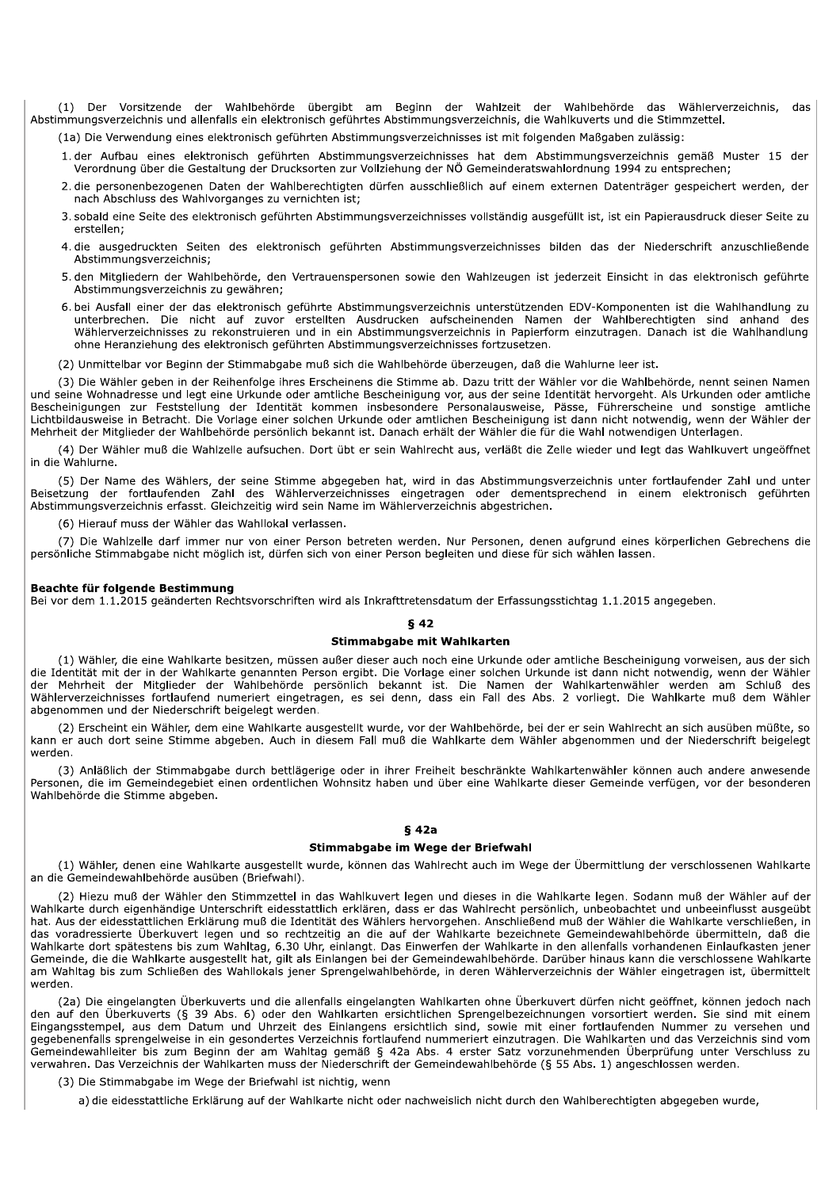(1) Der Vorsitzende der Wahlbehörde übergibt am Beginn der Wahlzeit der Wahlbehörde das Wählerverzeichnis, das Abstimmungsverzeichnis und allenfalls ein elektronisch geführtes Abstimmungsverzeichnis, die Wahlkuverts und die Stimmzettel.

(1) Die Verwendung eines elektronisch geführten Abstimmungsverzeichnisses ist mit folgenden Maßgaben zulässig:

- 1. der Aufbau eines elektronisch geführten Abstimmungsverzeichnisses hat dem Abstimmungsverzeichnis gemäß Muster 15 der Verordnung über die Gestaltung der Drucksorten zur Vollziehung der NÖ Gemeinderatswahlordnung 1994 zu entsprechen;
- 2. die personenbezogenen Daten der Wahlberechtigten dürfen ausschließlich auf einem externen Datenträger gespeichert werden, der nach Abschluss des Wahlvorganges zu vernichten ist;
- 3. sobald eine Seite des elektronisch geführten Abstimmungsverzeichnisses vollständig ausgefüllt ist, ist ein Papierausdruck dieser Seite zu erstellen;
- 4. die ausgedruckten Seiten des elektronisch geführten Abstimmungsverzeichnisses bilden das der Niederschrift anzuschließende Abstimmungsverzeichnis:
- 5. den Mitgliedern der Wahlbehörde, den Vertrauenspersonen sowie den Wahlzeugen ist jederzeit Einsicht in das elektronisch geführte Abstimmungsverzeichnis zu gewähren;
- 6. bei Ausfall einer der das elektronisch geführte Abstimmungsverzeichnis unterstützenden EDV-Komponenten ist die Wahlhandlung zu unterbrechen. Die nicht auf zuvor erstellten Ausdrucken aufscheinenden Namen der Wahlberechtigten sind anhand des Wählerverzeichnisses zu rekonstruieren und in ein Abstimmungsverzeichnis in Papierform einzutragen. Danach ist die Wahlhandlung ohne Heranziehung des elektronisch geführten Abstimmungsverzeichnisses fortzusetzen.
- (2) Unmittelbar vor Beginn der Stimmabgabe muß sich die Wahlbehörde überzeugen, daß die Wahlurne leer ist.

(3) Die Wähler geben in der Reihenfolge ihres Erscheinens die Stimme ab. Dazu tritt der Wähler vor die Wahlbehörde, nennt seinen Namen und seine Wohnadresse und legt eine Urkunde oder amtliche Bescheinigung vor, aus der seine Identität hervorgeht. Als Urkunden oder amtliche Bescheinigungen zur Feststellung der Identität kommen insbesondere Personalausweise, Pässe, Führerscheine und sonstige amtliche Lichtbildausweise in Betracht. Die Vorlage einer solchen Urkunde oder amtlichen Bescheinigung ist dann nicht notwendig, wenn der Wähler der Mehrheit der Mitglieder der Wahlbehörde persönlich bekannt ist. Danach erhält der Wähler die für die Wahl notwendigen Unterlagen.

(4) Der Wähler muß die Wahlzelle aufsuchen. Dort übt er sein Wahlrecht aus, verläßt die Zelle wieder und legt das Wahlkuvert ungeöffnet in die Wahlurne

(5) Der Name des Wählers, der seine Stimme abgegeben hat, wird in das Abstimmungsverzeichnis unter fortlaufender Zahl und unter Beisetzung der fortlaufenden Zahl des Wählerverzeichnisses eingetragen oder dementsprechend in einem elektronisch geführten Abstimmungsverzeichnis erfasst. Gleichzeitig wird sein Name im Wählerverzeichnis abgestrichen.

(6) Hierauf muss der Wähler das Wahllokal verlassen.

(7) Die Wahlzelle darf immer nur von einer Person betreten werden. Nur Personen, denen aufgrund eines körperlichen Gebrechens die persönliche Stimmabgabe nicht möglich ist, dürfen sich von einer Person begleiten und diese für sich wählen lassen.

#### Beachte für folgende Bestimmung

Bei vor dem 1.1.2015 geänderten Rechtsvorschriften wird als Inkrafttretensdatum der Erfassungsstichtag 1.1.2015 angegeben.

## **842**

#### Stimmabgabe mit Wahlkarten

(1) Wähler, die eine Wahlkarte besitzen, müssen außer dieser auch noch eine Urkunde oder amtliche Bescheinigung vorweisen, aus der sich die Identität mit der in der Wahlkarte genannten Person ergibt. Die Vorlage einer solchen Urkunde ist dann nicht notwendig, wenn der Wähler der Mehrheit der Mitglieder der Wahlbehörde persönlich bekannt ist. Die Namen der Wahlkartenwähler werden am Schluß des Wählerverzeichnisses fortlaufend numeriert eingetragen, es sei denn, dass ein Fall des Abs. 2 vorliegt. Die Wahlkarte muß dem Wähler abgenommen und der Niederschrift beigelegt werden.

(2) Erscheint ein Wähler, dem eine Wahlkarte ausgestellt wurde, vor der Wahlbehörde, bei der er sein Wahlrecht an sich ausüben müßte, so kann er auch dort seine Stimme abgeben. Auch in diesem Fall muß die Wahlkarte dem Wähler abgenommen und der Niederschrift beigelegt werden.

(3) Anläßlich der Stimmabgabe durch bettlägerige oder in ihrer Freiheit beschränkte Wahlkartenwähler können auch andere anwesende Personen, die im Gemeindegebiet einen ordentlichen Wohnsitz haben und über eine Wahlkarte dieser Gemeinde verfügen, vor der besonderen Wahlbehörde die Stimme abgeben.

## **642a**

#### Stimmabgabe im Wege der Briefwahl

(1) Wähler, denen eine Wahlkarte ausgestellt wurde, können das Wahlrecht auch im Wege der Übermittlung der verschlossenen Wahlkarte an die Gemeindewahlbehörde ausüben (Briefwahl).

(2) Hiezu muß der Wähler den Stimmzettel in das Wahlkuvert legen und dieses in die Wahlkarte legen. Sodann muß der Wähler auf der Wahlkarte durch eigenhändige Unterschrift eidesstattlich erklären, dass er das Wahlrecht persönlich, unbeobachtet und unbeeinflusst ausgeübt hat. Aus der eidesstattlichen Erklärung muß die Identität des Wählers hervorgehen. Anschließend muß der Wähler die Wahlkarte verschließen, in das voradressierte Überkuvert legen und so rechtzeitig an die auf der Wahlkarte bezeichnete Gemeindewahlbehörde übermitteln, daß die Wahlkarte dort spätestens bis zum Wahltag, 6.30 Uhr, einlangt. Das Einwerfen der Wahlkarte in den allenfalls vorhandenen Einlaufkasten jener Gemeinde, die die Wahlkarte ausgestellt hat, gilt als Einlangen bei der Gemeindewahlbehörde. Darüber hinaus kann die verschlossene Wahlkarte am Wahltag bis zum Schließen des Wahllokals jener Sprengelwahlbehörde, in deren Wählerverzeichnis der Wähler eingetragen ist, übermittelt werden.

(2a) Die eingelangten Überkuverts und die allenfalls eingelangten Wahlkarten ohne Überkuvert dürfen nicht geöffnet, können jedoch nach den auf den Überkuverts (§ 39 Abs. 6) oder den Wahlkarten ersichtlichen Sprengelbezeichnungen vorsortiert werden. Sie sind mit einem Eingangsstempel, aus dem Datum und Uhrzeit des Einlangens ersichtlich sind, sowie mit einer fortlaufenden Nummer zu versehen und gegebenenfalls sprengelweise in ein gesondertes Verzeichnis fortlaufend nummeriert einzutragen. Die Wahlkarten und das Verzeichnis sind vom Gemeindewahlleiter bis zum Beginn der am Wahltag gemäß § 42a Abs. 4 erster Satz vorzunehmenden Überprüfung unter Verschluss zu verwahren. Das Verzeichnis der Wahlkarten muss der Niederschrift der Gemeindewahlbehörde (§ 55 Abs. 1) angeschlossen werden.

(3) Die Stimmabgabe im Wege der Briefwahl ist nichtig, wenn

a) die eidesstattliche Erklärung auf der Wahlkarte nicht oder nachweislich nicht durch den Wahlberechtigten abgegeben wurde,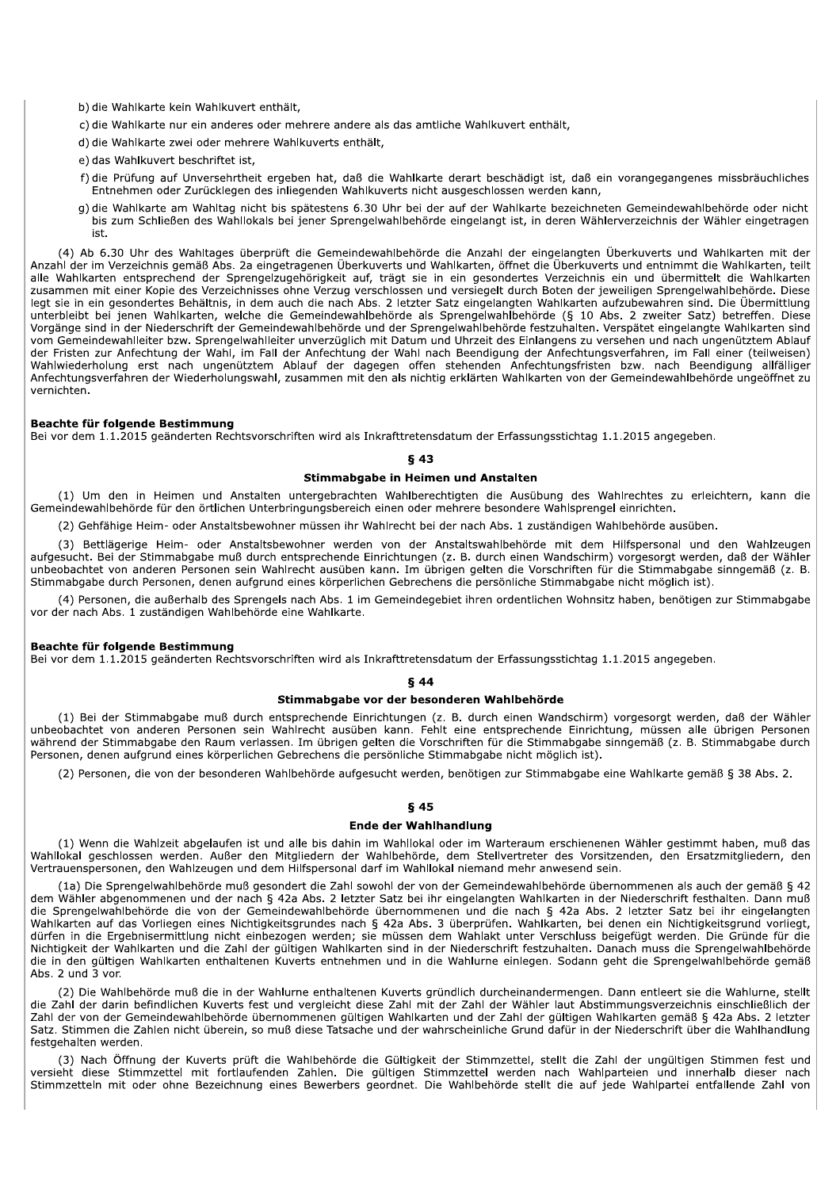b) die Wahlkarte kein Wahlkuvert enthält,

- c) die Wahlkarte nur ein anderes oder mehrere andere als das amtliche Wahlkuvert enthält,
- d) die Wahlkarte zwei oder mehrere Wahlkuverts enthält,
- e) das Wahlkuvert beschriftet ist.
- f) die Prüfung auf Unversehrtheit ergeben hat, daß die Wahlkarte derart beschädigt ist, daß ein vorangegangenes missbräuchliches Entnehmen oder Zurücklegen des inliegenden Wahlkuverts nicht ausgeschlossen werden kann,
- g) die Wahlkarte am Wahltag nicht bis spätestens 6.30 Uhr bei der auf der Wahlkarte bezeichneten Gemeindewahlbehörde oder nicht bis zum Schließen des Wahllokals bei jener Sprengelwahlbehörde eingelangt ist, in deren Wählerverzeichnis der Wähler eingetragen ist.

(4) Ab 6.30 Uhr des Wahltages überprüft die Gemeindewahlbehörde die Anzahl der eingelangten Überkuverts und Wahlkarten mit der Anzahl der im Verzeichnis gemäß Abs. 2a eingetragenen Überkuverts und Wahlkarten, öffnet die Überkuverts und entnimmt die Wahlkarten, teilt alle Wahlkarten entsprechend der Sprengelzugehörigkeit auf, trägt sie in ein gesondertes Verzeichnis ein und übermittelt die Wahlkarten zusammen mit einer Kopie des Verzeichnisses ohne Verzug verschlossen und versiegelt durch Boten der jeweiligen Sprengelwahlbehörde. Diese legt sie in ein gesondertes Behältnis, in dem auch die nach Abs. 2 letzter Satz eingelangten Wahlkarten aufzubewahren sind. Die Übermittlung<br>unterbleibt bei jenen Wahlkarten, welche die Gemeindewahlbehörde als Sprengelwahl Vorgänge sind in der Niederschrift der Gemeindewahlbehörde und der Sprengelwahlbehörde festzuhalten. Verspätet eingelangte Wahlkarten sind vom Gemeindewahlleiter bzw. Sprengelwahlleiter unverzüglich mit Datum und Uhrzeit des Einlangens zu versehen und nach ungenütztem Ablauf der Fristen zur Anfechtung der Wahl, im Fall der Anfechtung der Wahl nach Beendigung der Anfechtungsverfahren, im Fall einer (teilweisen) Wahlwiederholung erst nach ungenütztem Ablauf der dagegen offen stehenden Anfechtungsfristen bzw. nach Beendigung allfälliger Anfechtungsverfahren der Wiederholungswahl, zusammen mit den als nichtig erklärten Wahlkarten von der Gemeindewahlbehörde ungeöffnet zu vernichten.

#### Beachte für folgende Bestimmung

Bei vor dem 1.1.2015 geänderten Rechtsvorschriften wird als Inkrafttretensdatum der Erfassungsstichtag 1.1.2015 angegeben.

#### $§$  43

#### Stimmabgabe in Heimen und Anstalten

(1) Um den in Heimen und Anstalten untergebrachten Wahlberechtigten die Ausübung des Wahlrechtes zu erleichtern, kann die Gemeindewahlbehörde für den örtlichen Unterbringungsbereich einen oder mehrere besondere Wahlsprengel einrichten.

(2) Gehfähige Heim- oder Anstaltsbewohner müssen ihr Wahlrecht bei der nach Abs. 1 zuständigen Wahlbehörde ausüben.

(3) Bettlägerige Heim- oder Anstaltsbewohner werden von der Anstaltswahlbehörde mit dem Hilfspersonal und den Wahlzeugen aufgesucht. Bei der Stimmabgabe muß durch entsprechende Einrichtungen (z. B. durch einen Wandschirm) vorgesorgt werden, daß der Wähler unbeobachtet von anderen Personen sein Wahlrecht ausüben kann. Im übrigen gelten die Vo Stimmabgabe durch Personen, denen aufgrund eines körperlichen Gebrechens die persönliche Stimmabgabe nicht möglich ist).

(4) Personen, die außerhalb des Sprengels nach Abs. 1 im Gemeindegebiet ihren ordentlichen Wohnsitz haben, benötigen zur Stimmabgabe vor der nach Abs. 1 zuständigen Wahlbehörde eine Wahlkarte.

## Beachte für folgende Bestimmung

Bei vor dem 1.1.2015 geänderten Rechtsvorschriften wird als Inkrafttretensdatum der Erfassungsstichtag 1.1.2015 angegeben.

#### **644**

#### Stimmabgabe vor der besonderen Wahlbehörde

(1) Bei der Stimmabgabe muß durch entsprechende Einrichtungen (z. B. durch einen Wandschirm) vorgesorgt werden, daß der Wähler unbeobachtet von anderen Personen sein Wahlrecht ausüben kann. Fehlt eine entsprechende Einrichtung, müssen alle übrigen Personen während der Stimmabgabe den Raum verlassen. Im übrigen gelten die Vorschriften für die Stimmabgabe sinngemäß (z. B. Stimmabgabe durch Personen, denen aufgrund eines körperlichen Gebrechens die persönliche Stimmabgabe nicht möglich ist).

(2) Personen, die von der besonderen Wahlbehörde aufgesucht werden, benötigen zur Stimmabgabe eine Wahlkarte gemäß § 38 Abs. 2.

# $§$  45

## **Ende der Wahlhandlung**

(1) Wenn die Wahlzeit abgelaufen ist und alle bis dahin im Wahllokal oder im Warteraum erschienenen Wähler gestimmt haben, muß das Wahllokal geschlossen werden. Außer den Mitgliedern der Wahlbehörde, dem Stellvertreter des Vorsitzenden, den Ersatzmitgliedern, den Vertrauenspersonen, den Wahlzeugen und dem Hilfspersonal darf im Wahllokal niemand mehr anwesend sein.

(1a) Die Sprengelwahlbehörde muß gesondert die Zahl sowohl der von der Gemeindewahlbehörde übernommenen als auch der gemäß § 42 dem Wähler abgenommenen und der nach § 42a Abs. 2 letzter Satz bei ihr eingelangten Wahlkarten in der Niederschrift festhalten. Dann muß die Sprengelwahlbehörde die von der Gemeindewahlbehörde übernommenen und die nach § 42a Abs. 2 letzter Satz bei ihr eingelangten Wahlkarten auf das Vorliegen eines Nichtigkeitsgrundes nach § 42a Abs. 3 überprüfen. Wahlkarten, bei denen ein Nichtigkeitsgrund vorliegt, dürfen in die Ergebnisermittlung nicht einbezogen werden; sie müssen dem Wahlakt unter Verschluss beigefügt werden. Die Gründe für die Nichtigkeit der Wahlkarten und die Zahl der gültigen Wahlkarten sind in der Niederschrift festzuhalten. Danach muss die Sprengelwahlbehörde die in den gültigen Wahlkarten enthaltenen Kuverts entnehmen und in die Wahlurne einlegen. Sodann geht die Sprengelwahlbehörde gemäß Abs. 2 und 3 vor.

(2) Die Wahlbehörde muß die in der Wahlurne enthaltenen Kuverts gründlich durcheinandermengen. Dann entleert sie die Wahlurne, stellt die Zahl der darin befindlichen Kuverts fest und vergleicht diese Zahl mit der Zahl der Wähler laut Abstimmungsverzeichnis einschließlich der Zahl der von der Gemeindewahlbehörde übernommenen gültigen Wahlkarten und der Zahl der gültigen Wahlkarten gemäß § 42a Abs. 2 letzter Satz. Stimmen die Zahlen nicht überein, so muß diese Tatsache und der wahrscheinliche Grund dafür in der Niederschrift über die Wahlhandlung festgehalten werden.

(3) Nach Öffnung der Kuverts prüft die Wahlbehörde die Gültigkeit der Stimmzettel, stellt die Zahl der ungültigen Stimmen fest und versieht diese Stimmzettel mit fortlaufenden Zahlen. Die gültigen Stimmzettel werden nach Wahlparteien und innerhalb dieser nach Stimmzetteln mit oder ohne Bezeichnung eines Bewerbers geordnet. Die Wahlbehörde stellt die auf jede Wahlpartei entfallende Zahl von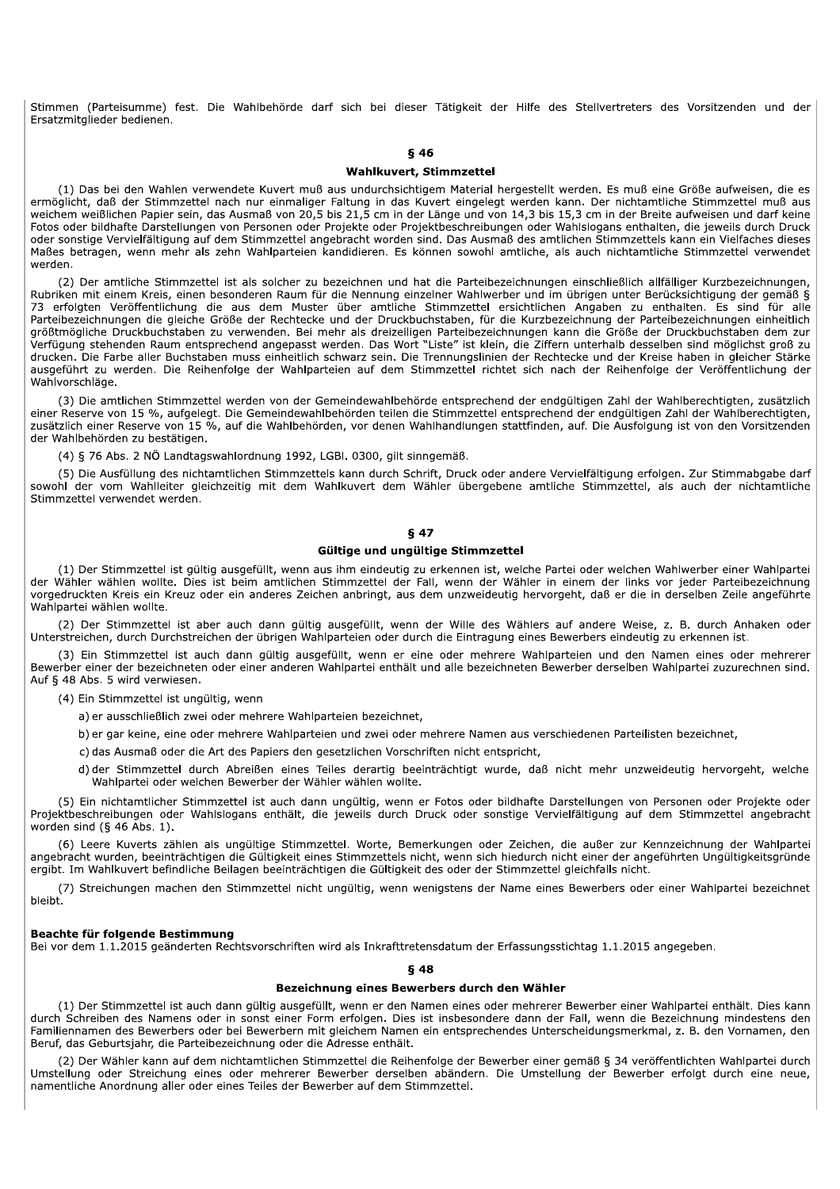Stimmen (Parteisumme) fest. Die Wahlbehörde darf sich bei dieser Tätigkeit der Hilfe des Stellvertreters des Vorsitzenden und der Ersatzmitglieder bedienen.

#### **846**

#### **Wahlkuvert, Stimmzettel**

(1) Das bei den Wahlen verwendete Kuvert muß aus undurchsichtigem Material hergestellt werden. Es muß eine Größe aufweisen, die es ermöglicht, daß der Stimmzettel nach nur einmaliger Faltung in das Kuvert eingelegt werden kann. Der nichtamtliche Stimmzettel muß aus weichem weißlichen Papier sein, das Ausmaß von 20,5 bis 21,5 cm in der Länge und von 14,3 bis 15,3 cm in der Breite aufweisen und darf keine Fotos oder bildhafte Darstellungen von Personen oder Projekte oder Projektbeschreibungen oder Wahlslogans enthalten, die jeweils durch Druck oder sonstige Vervielfältigung auf dem Stimmzettel angebracht worden sind. Das Ausmaß des amtlichen Stimmzettels kann ein Vielfaches dieses Maßes betragen, wenn mehr als zehn Wahlparteien kandidieren. Es können sowohl amtliche, als auch nichtamtliche Stimmzettel verwendet werden.

(2) Der amtliche Stimmzettel ist als solcher zu bezeichnen und hat die Parteibezeichnungen einschließlich allfälliger Kurzbezeichnungen, Rubriken mit einem Kreis, einen besonderen Raum für die Nennung einzelner Wahlwerber und im übrigen unter Berücksichtigung der gemäß § 73 erfolgten Veröffentlichung die aus dem Muster über amtliche Stimmzettel ersichtlichen Angaben zu enthalten. Es sind für alle Parteibezeichnungen die gleiche Größe der Rechtecke und der Druckbuchstaben, für die Kurzbezeichnung der Parteibezeichnungen einheitlich größtmögliche Druckbuchstaben zu verwenden. Bei mehr als dreizeiligen Parteibezeichnungen kann die Größe der Druckbuchstaben dem zur Verfügung stehenden Raum entsprechend angepasst werden. Das Wort "Liste" ist klein, die Ziffern unterhalb desselben sind möglichst groß zu drucken. Die Farbe aller Buchstaben muss einheitlich schwarz sein. Die Trennungslinien der Rechtecke und der Kreise haben in gleicher Stärke ausgeführt zu werden. Die Reihenfolge der Wahlparteien auf dem Stimmzettel richtet sich nach der Reihenfolge der Veröffentlichung der Wahlvorschläge.

(3) Die amtlichen Stimmzettel werden von der Gemeindewahlbehörde entsprechend der endgültigen Zahl der Wahlberechtigten, zusätzlich einer Reserve von 15 %, aufgelegt. Die Gemeindewahlbehörden teilen die Stimmzettel entsprechend der endgültigen Zahl der Wahlberechtigten, zusätzlich einer Reserve von 15 %, auf die Wahlbehörden, vor denen Wahlhandlungen stattfinden, auf. Die Ausfolgung ist von den Vorsitzenden der Wahlbehörden zu bestätigen.

(4) § 76 Abs. 2 NÖ Landtagswahlordnung 1992, LGBI. 0300, gilt sinngemäß.

(5) Die Ausfüllung des nichtamtlichen Stimmzettels kann durch Schrift, Druck oder andere Vervielfältigung erfolgen. Zur Stimmabgabe darf sowohl der vom Wahlleiter gleichzeitig mit dem Wahlkuvert dem Wähler übergebene amtliche Stimmzettel, als auch der nichtamtliche Stimmzettel verwendet werden.

# **847**

#### Gültige und ungültige Stimmzettel

(1) Der Stimmzettel ist gültig ausgefüllt, wenn aus ihm eindeutig zu erkennen ist, welche Partei oder welchen Wahlwerber einer Wahlpartei der Wähler wählen wollte. Dies ist beim amtlichen Stimmzettel der Fall, wenn der Wähler in einem der links vor jeder Parteibezeichnung vorgedruckten Kreis ein Kreuz oder ein anderes Zeichen anbringt, aus dem unzweideutig hervorgeht, daß er die in derselben Zeile angeführte Wahlpartei wählen wollte.

(2) Der Stimmzettel ist aber auch dann gültig ausgefüllt, wenn der Wille des Wählers auf andere Weise, z. B. durch Anhaken oder Unterstreichen, durch Durchstreichen der übrigen Wahlparteien oder durch die Eintragung eines Bewerbers eindeutig zu erkennen ist.

(3) Ein Stimmzettel ist auch dann gültig ausgefüllt, wenn er eine oder mehrere Wahlparteien und den Namen eines oder mehrerer Bewerber einer der bezeichneten oder einer anderen Wahlpartei enthält und alle bezeichneten Bewerber derselben Wahlpartei zuzurechnen sind. Auf § 48 Abs. 5 wird verwiesen.

#### (4) Ein Stimmzettel ist ungültig, wenn

a) er ausschließlich zwei oder mehrere Wahlparteien bezeichnet,

- b) er gar keine, eine oder mehrere Wahlparteien und zwei oder mehrere Namen aus verschiedenen Parteilisten bezeichnet,
- c) das Ausmaß oder die Art des Papiers den gesetzlichen Vorschriften nicht entspricht,
- d) der Stimmzettel durch Abreißen eines Teiles derartig beeinträchtigt wurde, daß nicht mehr unzweideutig hervorgeht, welche Wahlpartei oder welchen Bewerber der Wähler wählen wollte.

(5) Ein nichtamtlicher Stimmzettel ist auch dann ungültig, wenn er Fotos oder bildhafte Darstellungen von Personen oder Projekte oder<br>Projektbeschreibungen oder Wahlslogans enthält, die jeweils durch Druck oder sonstige Ve worden sind  $(§ 46 Abs. 1).$ 

(6) Leere Kuverts zählen als ungültige Stimmzettel. Worte, Bemerkungen oder Zeichen, die außer zur Kennzeichnung der Wahlpartei angebracht wurden, beeinträchtigen die Gültigkeit eines Stimmzettels nicht, wenn sich hiedurch nicht einer der angeführten Ungültigkeitsgründe ergibt. Im Wahlkuvert befindliche Beilagen beeinträchtigen die Gültigkeit des oder der Stimmzettel gleichfalls nicht.

(7) Streichungen machen den Stimmzettel nicht ungültig, wenn wenigstens der Name eines Bewerbers oder einer Wahlpartei bezeichnet **hleiht** 

#### Beachte für folgende Bestimmung

Bei vor dem 1.1.2015 geänderten Rechtsvorschriften wird als Inkrafttretensdatum der Erfassungsstichtag 1.1.2015 angegeben.

# **648**

#### Bezeichnung eines Bewerbers durch den Wähler

(1) Der Stimmzettel ist auch dann gültig ausgefüllt, wenn er den Namen eines oder mehrerer Bewerber einer Wahlpartei enthält. Dies kann durch Schreiben des Namens oder in sonst einer Form erfolgen. Dies ist insbesondere dann der Fall, wenn die Bezeichnung mindestens den Familiennamen des Bewerbers oder bei Bewerbern mit gleichem Namen ein entsprechendes Unterscheidungsmerkmal, z. B. den Vornamen, den Beruf, das Geburtsjahr, die Parteibezeichnung oder die Adresse enthält.

(2) Der Wähler kann auf dem nichtamtlichen Stimmzettel die Reihenfolge der Bewerber einer gemäß § 34 veröffentlichten Wahlpartei durch Umstellung oder Streichung eines oder mehrerer Bewerber derselben abändern. Die Umstellung der Bewerber erfolgt durch eine neue, namentliche Anordnung aller oder eines Teiles der Bewerber auf dem Stimmzettel.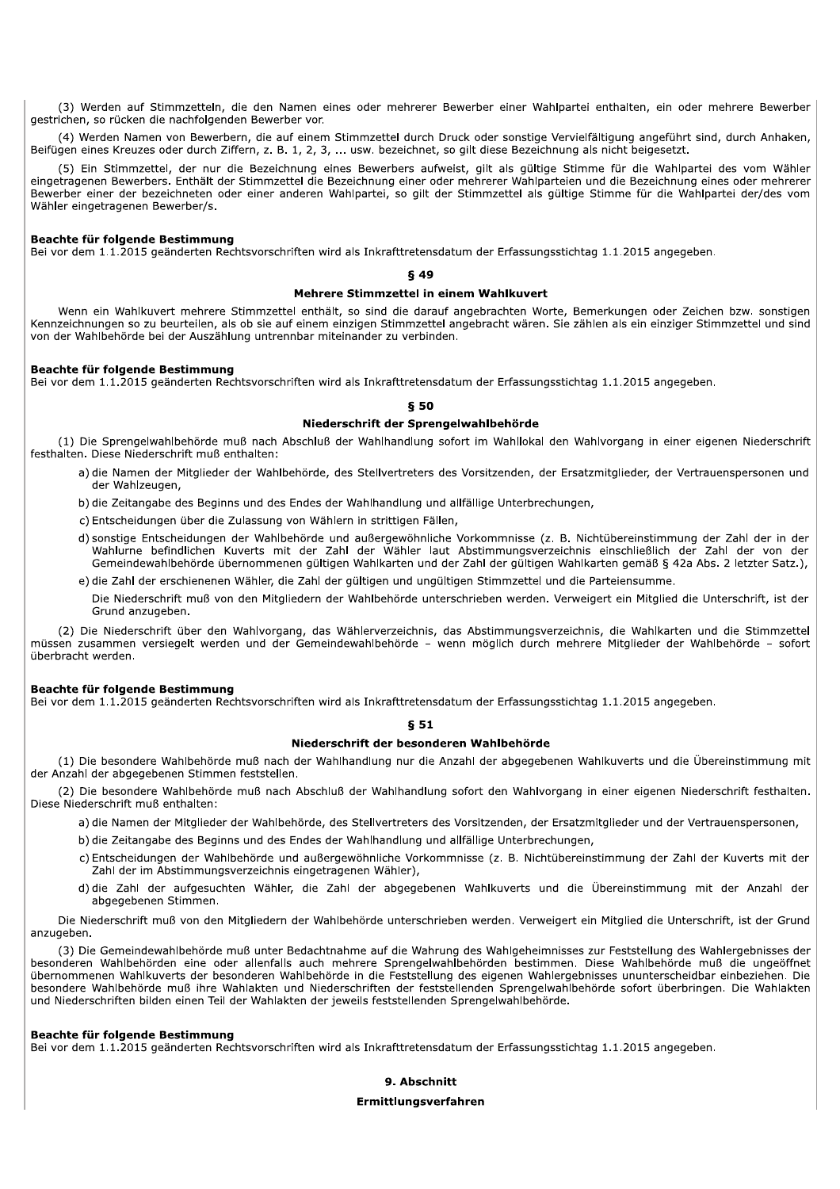(3) Werden auf Stimmzetteln, die den Namen eines oder mehrerer Bewerber einer Wahlpartei enthalten, ein oder mehrere Bewerber gestrichen, so rücken die nachfolgenden Bewerber vor.

(4) Werden Namen von Bewerbern, die auf einem Stimmzettel durch Druck oder sonstige Vervielfältigung angeführt sind, durch Anhaken, Beifügen eines Kreuzes oder durch Ziffern, z. B. 1, 2, 3, ... usw. bezeichnet, so gilt diese Bezeichnung als nicht beigesetzt.

(5) Ein Stimmzettel, der nur die Bezeichnung eines Bewerbers aufweist, gilt als gültige Stimme für die Wahlpartei des vom Wähler eingetragenen Bewerbers. Enthält der Stimmzettel die Bezeichnung einer oder mehrerer Wahlparteien und die Bezeichnung eines oder mehrerer Bewerber einer der bezeichneten oder einer anderen Wahlpartei, so gilt der Stimmzettel als gültige Stimme für die Wahlpartei der/des vom Wähler eingetragenen Bewerber/s.

#### Beachte für folgende Bestimmung

Bei vor dem 1.1.2015 geänderten Rechtsvorschriften wird als Inkrafttretensdatum der Erfassungsstichtag 1.1.2015 angegeben.

## **849**

#### Mehrere Stimmzettel in einem Wahlkuvert

Wenn ein Wahlkuvert mehrere Stimmzettel enthält, so sind die darauf angebrachten Worte, Bemerkungen oder Zeichen bzw. sonstigen Kennzeichnungen so zu beurteilen, als ob sie auf einem einzigen Stimmzettel angebracht wären. Sie zählen als ein einziger Stimmzettel und sind von der Wahlbehörde bei der Auszählung untrennbar miteinander zu verbinden.

#### Beachte für folgende Bestimmung

Bei vor dem 1.1.2015 geänderten Rechtsvorschriften wird als Inkrafttretensdatum der Erfassungsstichtag 1.1.2015 angegeben.

## **850**

#### Niederschrift der Sprengelwahlbehörde

(1) Die Sprengelwahlbehörde muß nach Abschluß der Wahlhandlung sofort im Wahllokal den Wahlvorgang in einer eigenen Niederschrift festhalten. Diese Niederschrift muß enthalten:

- a) die Namen der Mitglieder der Wahlbehörde, des Stellvertreters des Vorsitzenden, der Ersatzmitglieder, der Vertrauenspersonen und der Wahlzeugen,
- b) die Zeitangabe des Beginns und des Endes der Wahlhandlung und allfällige Unterbrechungen,
- c) Entscheidungen über die Zulassung von Wählern in strittigen Fällen.
- d) sonstige Entscheidungen der Wahlbehörde und außergewöhnliche Vorkommnisse (z. B. Nichtübereinstimmung der Zahl der in der Wahlurne befindlichen Kuverts mit der Zahl der Wähler laut Abstimmungsverzeichnis einschließlich der Zahl der von der Gemeindewahlbehörde übernommenen gültigen Wahlkarten und der Zahl der gültigen Wahlkarten gemäß § 42a Abs. 2 letzter Satz.),
- e) die Zahl der erschienenen Wähler, die Zahl der gültigen und ungültigen Stimmzettel und die Parteiensumme.
	- Die Niederschrift muß von den Mitgliedern der Wahlbehörde unterschrieben werden. Verweigert ein Mitglied die Unterschrift, ist der Grund anzugeben.

(2) Die Niederschrift über den Wahlvorgang, das Wählerverzeichnis, das Abstimmungsverzeichnis, die Wahlkarten und die Stimmzettel müssen zusammen versiegelt werden und der Gemeindewahlbehörde – wenn möglich durch mehrere Mitglieder der Wahlbehörde – sofort überbracht werden.

## Beachte für folgende Bestimmung

Bei vor dem 1.1.2015 geänderten Rechtsvorschriften wird als Inkrafttretensdatum der Erfassungsstichtag 1.1.2015 angegeben.

# $$51$

## Niederschrift der besonderen Wahlbehörde

(1) Die besondere Wahlbehörde muß nach der Wahlhandlung nur die Anzahl der abgegebenen Wahlkuverts und die Übereinstimmung mit der Anzahl der abgegebenen Stimmen feststellen.

(2) Die besondere Wahlbehörde muß nach Abschluß der Wahlhandlung sofort den Wahlvorgang in einer eigenen Niederschrift festhalten. Diese Niederschrift muß enthalten:

- a) die Namen der Mitglieder der Wahlbehörde, des Stellvertreters des Vorsitzenden, der Ersatzmitglieder und der Vertrauenspersonen,
- b) die Zeitangabe des Beginns und des Endes der Wahlhandlung und allfällige Unterbrechungen,
- c) Entscheidungen der Wahlbehörde und außergewöhnliche Vorkommnisse (z. B. Nichtübereinstimmung der Zahl der Kuverts mit der Zahl der im Abstimmungsverzeichnis eingetragenen Wähler),
- d) die Zahl der aufgesuchten Wähler, die Zahl der abgegebenen Wahlkuverts und die Übereinstimmung mit der Anzahl der abgegebenen Stimmen.

Die Niederschrift muß von den Mitgliedern der Wahlbehörde unterschrieben werden. Verweigert ein Mitglied die Unterschrift, ist der Grund anzugeben.

(3) Die Gemeindewahlbehörde muß unter Bedachtnahme auf die Wahrung des Wahlgeheimnisses zur Feststellung des Wahlergebnisses der besonderen Wahlbehörden eine oder allenfalls auch mehrere Sprengelwahlbehörden bestimmen. Diese Wahlbehörde muß die ungeöffnet übernommenen Wahlkuverts der besonderen Wahlbehörde in die Feststellung des eigenen Wahlergebnisses ununterscheidbar einbeziehen. Die besondere Wahlbehörde muß ihre Wahlakten und Niederschriften der feststellenden Sprengelwahlbehörde sofort überbringen. Die Wahlakten und Niederschriften bilden einen Teil der Wahlakten der jeweils feststellenden Sprengelwahlbehörde.

## Beachte für folgende Bestimmung

Bei vor dem 1.1.2015 geänderten Rechtsvorschriften wird als Inkrafttretensdatum der Erfassungsstichtag 1.1.2015 angegeben.

## 9. Abschnitt

#### Ermittlungsverfahren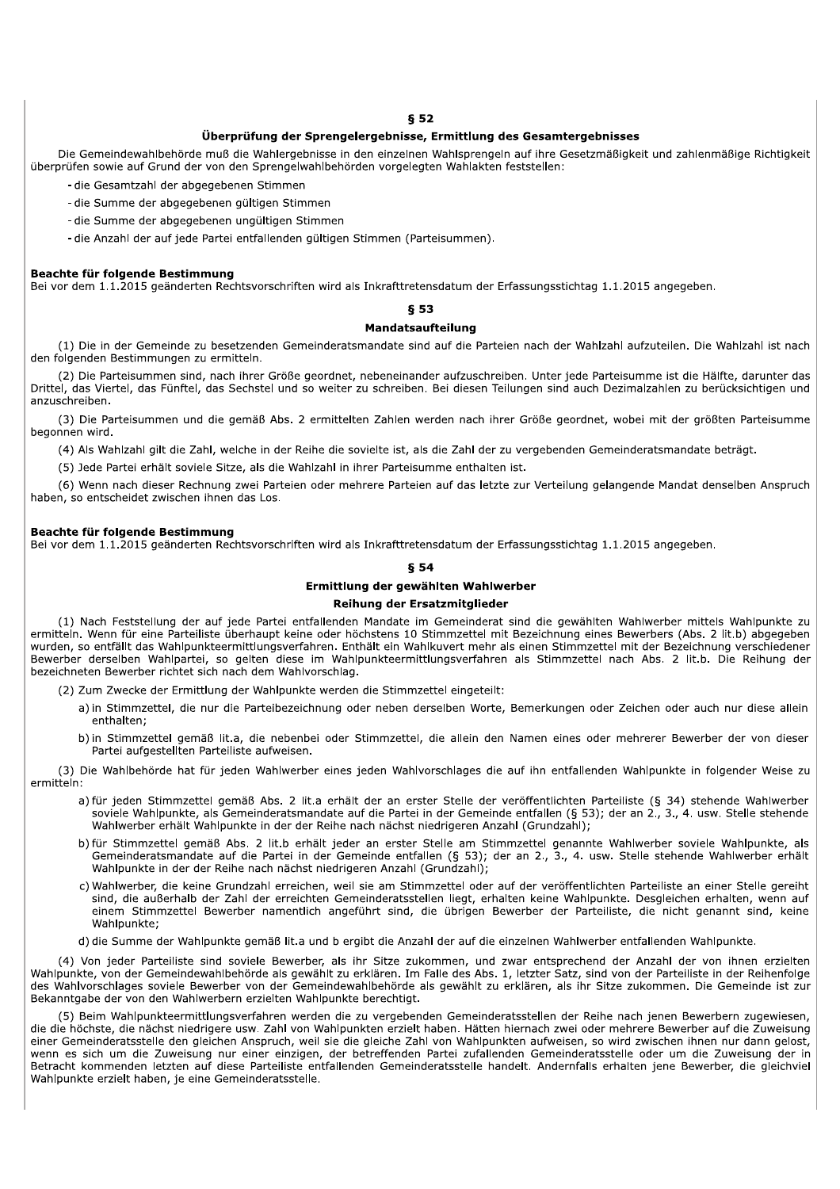## **§ 52**

# Überprüfung der Sprengelergebnisse, Ermittlung des Gesamtergebnisses

Die Gemeindewahlbehörde muß die Wahlergebnisse in den einzelnen Wahlsprengeln auf ihre Gesetzmäßigkeit und zahlenmäßige Richtigkeit überprüfen sowie auf Grund der von den Sprengelwahlbehörden vorgelegten Wahlakten feststellen:

- die Gesamtzahl der abgegebenen Stimmen

- die Summe der abgegebenen gültigen Stimmen
- die Summe der abgegebenen ungültigen Stimmen
- die Anzahl der auf jede Partei entfallenden gültigen Stimmen (Parteisummen).

#### Beachte für folgende Bestimmung

Bei vor dem 1.1.2015 geänderten Rechtsvorschriften wird als Inkrafttretensdatum der Erfassungsstichtag 1.1.2015 angegeben.

## **§ 53**

#### Mandatsaufteilung

(1) Die in der Gemeinde zu besetzenden Gemeinderatsmandate sind auf die Parteien nach der Wahlzahl aufzuteilen. Die Wahlzahl ist nach den folgenden Bestimmungen zu ermitteln.

(2) Die Parteisummen sind, nach ihrer Größe geordnet, nebeneinander aufzuschreiben. Unter jede Parteisumme ist die Hälfte, darunter das Drittel, das Viertel, das Fünftel, das Sechstel und so weiter zu schreiben. Bei diesen Teilungen sind auch Dezimalzahlen zu berücksichtigen und anzuschreiben

(3) Die Parteisummen und die gemäß Abs. 2 ermittelten Zahlen werden nach ihrer Größe geordnet, wobei mit der größten Parteisumme begonnen wird.

(4) Als Wahlzahl gilt die Zahl, welche in der Reihe die sovielte ist, als die Zahl der zu vergebenden Gemeinderatsmandate beträgt.

(5) Jede Partei erhält soviele Sitze, als die Wahlzahl in ihrer Parteisumme enthalten ist.

(6) Wenn nach dieser Rechnung zwei Parteien oder mehrere Parteien auf das letzte zur Verteilung gelangende Mandat denselben Anspruch haben, so entscheidet zwischen ihnen das Los.

## Beachte für folgende Bestimmung

Bei vor dem 1.1.2015 geänderten Rechtsvorschriften wird als Inkrafttretensdatum der Erfassungsstichtag 1.1.2015 angegeben.

## **854**

## Ermittlung der gewählten Wahlwerber

## Reihung der Ersatzmitglieder

(1) Nach Feststellung der auf jede Partei entfallenden Mandate im Gemeinderat sind die gewählten Wahlwerber mittels Wahlpunkte zu ermitteln. Wenn für eine Parteiliste überhaupt keine oder höchstens 10 Stimmzettel mit Bezeichnung eines Bewerbers (Abs. 2 lit.b) abgegeben wurden, so entfällt das Wahlpunkteermittlungsverfahren. Enthält ein Wahlkuvert mehr als einen Stimmzettel mit der Bezeichnung verschiedener Bewerber derselben Wahlpartei, so gelten diese im Wahlpunkteermittlungsverfahren als Stimmzettel nach Abs. 2 lit.b. Die Reihung der bezeichneten Bewerber richtet sich nach dem Wahlvorschlag.

- (2) Zum Zwecke der Ermittlung der Wahlpunkte werden die Stimmzettel eingeteilt:
	- a) in Stimmzettel, die nur die Parteibezeichnung oder neben derselben Worte, Bemerkungen oder Zeichen oder auch nur diese allein enthalten;
	- b) in Stimmzettel gemäß lit.a, die nebenbei oder Stimmzettel, die allein den Namen eines oder mehrerer Bewerber der von dieser Partei aufgestellten Parteiliste aufweisen.

(3) Die Wahlbehörde hat für jeden Wahlwerber eines jeden Wahlvorschlages die auf ihn entfallenden Wahlpunkte in folgender Weise zu ermitteln:

- a) für jeden Stimmzettel gemäß Abs. 2 lit.a erhält der an erster Stelle der veröffentlichten Parteiliste (§ 34) stehende Wahlwerber soviele Wahlpunkte, als Gemeinderatsmandate auf die Partei in der Gemeinde entfallen (§ 53); der an 2., 3., 4. usw. Stelle stehende Wahlwerber erhält Wahlpunkte in der der Reihe nach nächst niedrigeren Anzahl (Grundzahl);
- b) für Stimmzettel gemäß Abs. 2 lit.b erhält jeder an erster Stelle am Stimmzettel genannte Wahlwerber soviele Wahlpunkte, als Gemeinderatsmandate auf die Partei in der Gemeinde entfallen (§ 53); der an 2., 3., 4. usw. Stelle stehende Wahlwerber erhält Wahlpunkte in der der Reihe nach nächst niedrigeren Anzahl (Grundzahl);
- c) Wahlwerber, die keine Grundzahl erreichen, weil sie am Stimmzettel oder auf der veröffentlichten Parteiliste an einer Stelle gereiht sind, die außerhalb der Zahl der erreichten Gemeinderatsstellen liegt, erhalten keine Wahlpunkte. Desgleichen erhalten, wenn auf einem Stimmzettel Bewerber namentlich angeführt sind, die übrigen Bewerber der Parteiliste, die nicht genannt sind, keine Wahlnunkte:
- d) die Summe der Wahlpunkte gemäß lit.a und b ergibt die Anzahl der auf die einzelnen Wahlwerber entfallenden Wahlpunkte.

(4) Von jeder Parteiliste sind soviele Bewerber, als ihr Sitze zukommen, und zwar entsprechend der Anzahl der von ihnen erzielten Wahlpunkte, von der Gemeindewahlbehörde als gewählt zu erklären. Im Falle des Abs. 1, letzter Satz, sind von der Parteiliste in der Reihenfolge des Wahlvorschlages soviele Bewerber von der Gemeindewahlbehörde als gewählt zu erklären, als ihr Sitze zukommen. Die Gemeinde ist zur Bekanntgabe der von den Wahlwerbern erzielten Wahlpunkte berechtigt.

(5) Beim Wahlpunkteermittlungsverfahren werden die zu vergebenden Gemeinderatsstellen der Reihe nach jenen Bewerbern zugewiesen. die die höchste, die nächst niedrigere usw. Zahl von Wahlpunkten erzielt haben. Hätten hiernach zwei oder mehrere Bewerber auf die Zuweisung einer Gemeinderatsstelle den gleichen Anspruch, weil sie die gleiche Zahl von Wahlpunkten aufweisen, so wird zwischen ihnen nur dann gelost, wenn es sich um die Zuweisung nur einer einzigen, der betreffenden Partei zufallenden Gemeinderatsstelle oder um die Zuweisung der in Betracht kommenden letzten auf diese Parteiliste entfallenden Gemeinderatsstelle handelt. Andernfalls erhalten jene Bewerber, die gleichviel Wahlpunkte erzielt haben, je eine Gemeinderatsstelle.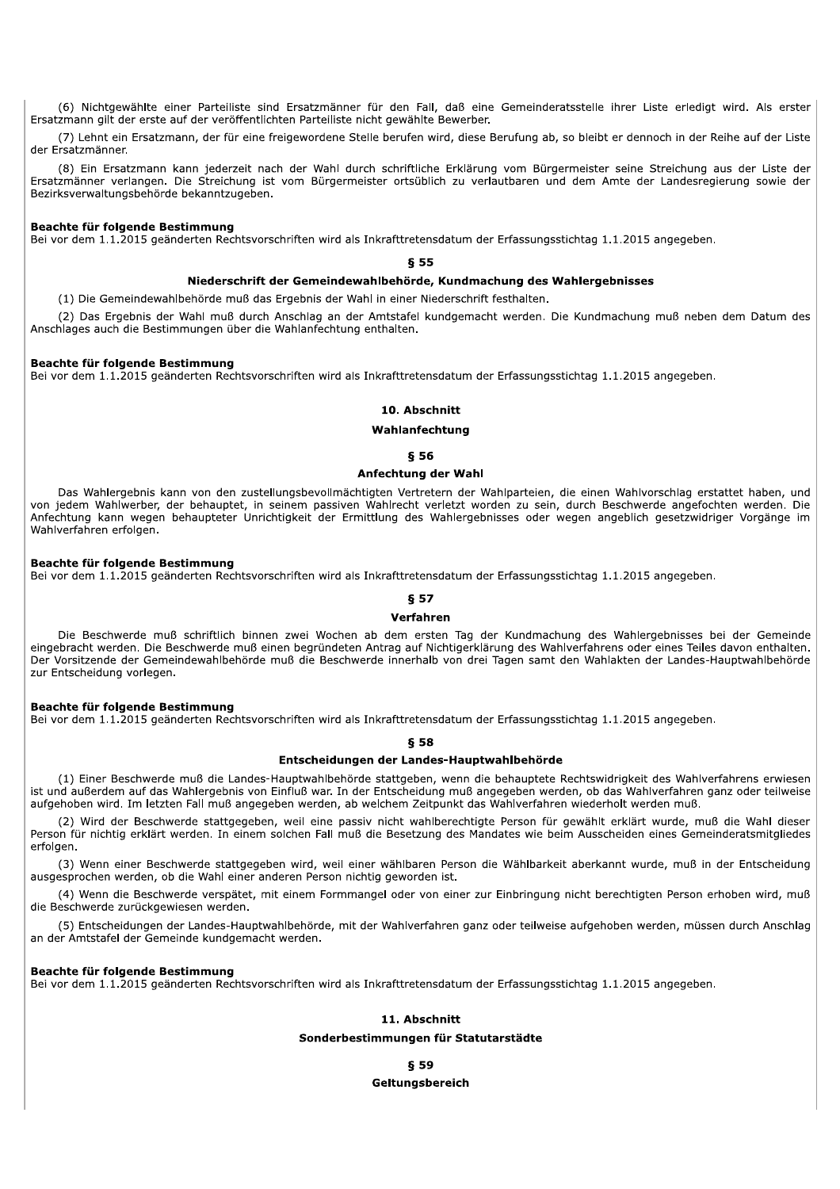(6) Nichtgewählte einer Parteiliste sind Ersatzmänner für den Fall, daß eine Gemeinderatsstelle ihrer Liste erledigt wird. Als erster Ersatzmann gilt der erste auf der veröffentlichten Parteiliste nicht gewählte Bewerber.

(7) Lehnt ein Ersatzmann, der für eine freigewordene Stelle berufen wird, diese Berufung ab, so bleibt er dennoch in der Reihe auf der Liste der Ersatzmänner.

(8) Ein Ersatzmann kann jederzeit nach der Wahl durch schriftliche Erklärung vom Bürgermeister seine Streichung aus der Liste der Ersatzmänner verlangen. Die Streichung ist vom Bürgermeister ortsüblich zu verlautbaren und dem Amte der Landesregierung sowie der Bezirksverwaltungsbehörde bekanntzugeben.

## Beachte für folgende Bestimmung

Bei vor dem 1.1.2015 geänderten Rechtsvorschriften wird als Inkrafttretensdatum der Erfassungsstichtag 1.1.2015 angegeben.

#### **§ 55**

#### Niederschrift der Gemeindewahlbehörde, Kundmachung des Wahlergebnisses

(1) Die Gemeindewahlbehörde muß das Ergebnis der Wahl in einer Niederschrift festhalten.

(2) Das Ergebnis der Wahl muß durch Anschlag an der Amtstafel kundgemacht werden. Die Kundmachung muß neben dem Datum des Anschlages auch die Bestimmungen über die Wahlanfechtung enthalten.

## Beachte für folgende Bestimmung

Bei vor dem 1.1.2015 geänderten Rechtsvorschriften wird als Inkrafttretensdatum der Erfassungsstichtag 1.1.2015 angegeben.

#### 10. Abschnitt

## Wahlanfechtung

#### **856**

#### Anfechtung der Wahl

Das Wahlergebnis kann von den zustellungsbevollmächtigten Vertretern der Wahlparteien, die einen Wahlvorschlag erstattet haben, und von jedem Wahlwerber, der behauptet, in seinem passiven Wahlrecht verletzt worden zu sein, durch Beschwerde angefochten werden. Die Anfechtung kann wegen behaupteter Unrichtigkeit der Ermittlung des Wahlergebnisses oder wegen angeblich gesetzwidriger Vorgänge im Wahlverfahren erfolgen.

#### Beachte für folgende Bestimmung

Bei vor dem 1.1.2015 geänderten Rechtsvorschriften wird als Inkrafttretensdatum der Erfassungsstichtag 1.1.2015 angegeben.

# **857**

#### Verfahren

Die Beschwerde muß schriftlich binnen zwei Wochen ab dem ersten Tag der Kundmachung des Wahlergebnisses bei der Gemeinde eingebracht werden. Die Beschwerde muß einen begründeten Antrag auf Nichtigerklärung des Wahlverfahrens oder eines Teiles davon enthalten. Der Vorsitzende der Gemeindewahlbehörde muß die Beschwerde innerhalb von drei Tagen samt den Wahlakten der Landes-Hauptwahlbehörde zur Entscheidung vorlegen.

#### Beachte für folgende Bestimmung

Bei vor dem 1.1.2015 geänderten Rechtsvorschriften wird als Inkrafttretensdatum der Erfassungsstichtag 1.1.2015 angegeben.

## **858**

## Entscheidungen der Landes-Hauptwahlbehörde

(1) Einer Beschwerde muß die Landes-Hauptwahlbehörde stattgeben, wenn die behauptete Rechtswidrigkeit des Wahlverfahrens erwiesen ist und außerdem auf das Wahlergebnis von Einfluß war. In der Entscheidung muß angegeben werden, ob das Wahlverfahren ganz oder teilweise aufgehoben wird. Im letzten Fall muß angegeben werden, ab welchem Zeitpunkt das Wahlverfahren wiederholt werden muß.

(2) Wird der Beschwerde stattgegeben, weil eine passiv nicht wahlberechtigte Person für gewählt erklärt wurde, muß die Wahl dieser Person für nichtig erklärt werden. In einem solchen Fall muß die Besetzung des Mandates wie beim Ausscheiden eines Gemeinderatsmitgliedes erfolgen

(3) Wenn einer Beschwerde stattgegeben wird, weil einer wählbaren Person die Wählbarkeit aberkannt wurde, muß in der Entscheidung ausgesprochen werden, ob die Wahl einer anderen Person nichtig geworden ist.

(4) Wenn die Beschwerde verspätet, mit einem Formmangel oder von einer zur Einbringung nicht berechtigten Person erhoben wird, muß die Beschwerde zurückgewiesen werden.

(5) Entscheidungen der Landes-Hauptwahlbehörde, mit der Wahlverfahren ganz oder teilweise aufgehoben werden, müssen durch Anschlag an der Amtstafel der Gemeinde kundgemacht werden.

# Beachte für folgende Bestimmung

Bei vor dem 1.1.2015 geänderten Rechtsvorschriften wird als Inkrafttretensdatum der Erfassungsstichtag 1.1.2015 angegeben.

## 11. Ahschnitt

## Sonderbestimmungen für Statutarstädte

**859** Geltungsbereich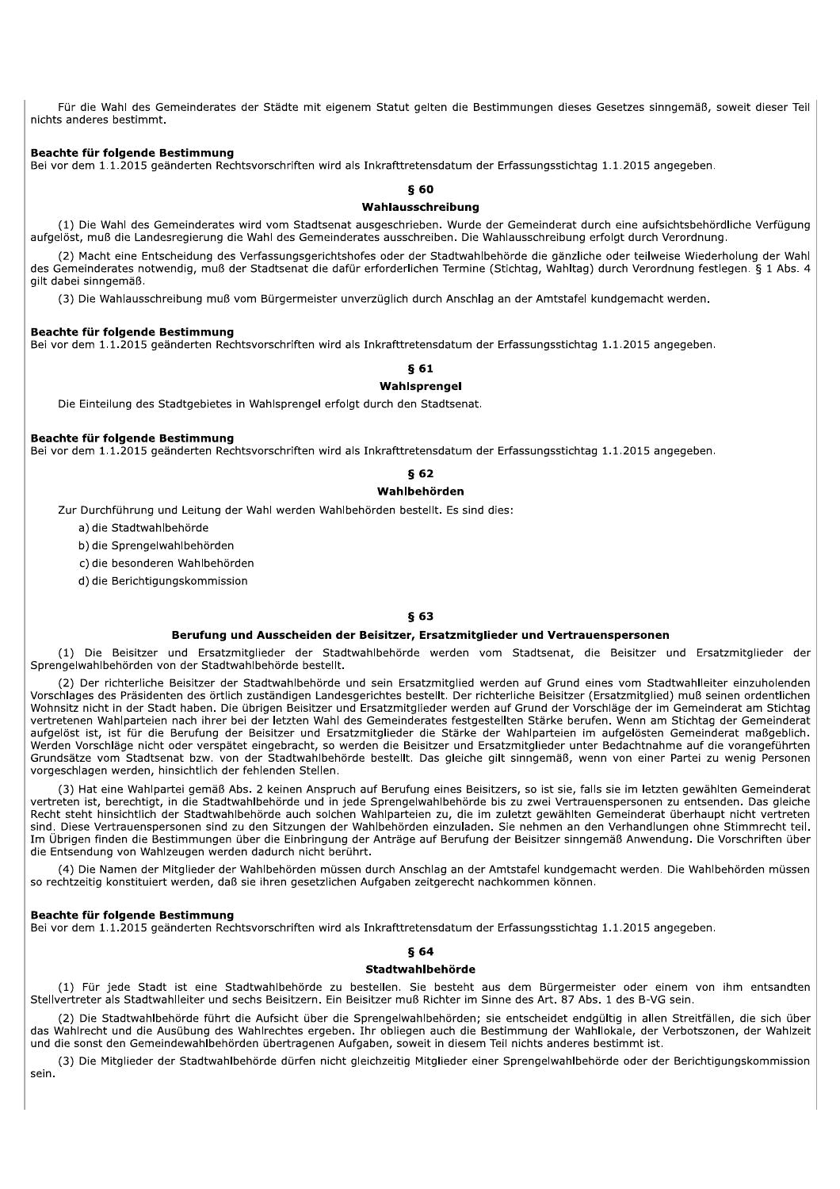Für die Wahl des Gemeinderates der Städte mit eigenem Statut gelten die Bestimmungen dieses Gesetzes sinngemäß, soweit dieser Teil nichts anderes bestimmt.

## Beachte für folgende Bestimmung

Bei vor dem 1.1.2015 geänderten Rechtsvorschriften wird als Inkrafttretensdatum der Erfassungsstichtag 1.1.2015 angegeben.

## $§60$

## Wahlausschreibung

(1) Die Wahl des Gemeinderates wird vom Stadtsenat ausgeschrieben. Wurde der Gemeinderat durch eine aufsichtsbehördliche Verfügung aufgelöst, muß die Landesregierung die Wahl des Gemeinderates ausschreiben. Die Wahlausschreibung erfolgt durch Verordnung.

(2) Macht eine Entscheidung des Verfassungsgerichtshofes oder der Stadtwahlbehörde die gänzliche oder teilweise Wiederholung der Wahl des Gemeinderates notwendig, muß der Stadtsenat die dafür erforderlichen Termine (Stichtag, Wahltag) durch Verordnung festlegen. § 1 Abs. 4 gilt dabei sinngemäß.

(3) Die Wahlausschreibung muß vom Bürgermeister unverzüglich durch Anschlag an der Amtstafel kundgemacht werden.

#### Beachte für folgende Bestimmung

Bei vor dem 1.1.2015 geänderten Rechtsvorschriften wird als Inkrafttretensdatum der Erfassungsstichtag 1.1.2015 angegeben.

## **861**

## Wahlsprengel

Die Einteilung des Stadtgebietes in Wahlsprengel erfolgt durch den Stadtsenat.

#### Beachte für folgende Bestimmung

Bei vor dem 1.1.2015 geänderten Rechtsvorschriften wird als Inkrafttretensdatum der Erfassungsstichtag 1.1.2015 angegeben.

# **862**

# Wahlbehörden

Zur Durchführung und Leitung der Wahl werden Wahlbehörden bestellt. Es sind dies:

a) die Stadtwahlbehörde

b) die Sprengelwahlbehörden

c) die besonderen Wahlbehörden

d) die Berichtigungskommission

# **863**

#### Berufung und Ausscheiden der Beisitzer, Ersatzmitglieder und Vertrauenspersonen

(1) Die Beisitzer und Ersatzmitglieder der Stadtwahlbehörde werden vom Stadtsenat, die Beisitzer und Ersatzmitglieder der Sprengelwahlbehörden von der Stadtwahlbehörde bestellt.

(2) Der richterliche Beisitzer der Stadtwahlbehörde und sein Ersatzmitglied werden auf Grund eines vom Stadtwahlleiter einzuholenden Vorschlages des Präsidenten des örtlich zuständigen Landesgerichtes bestellt. Der richterliche Beisitzer (Ersatzmitglied) muß seinen ordentlichen Wohnsitz nicht in der Stadt haben. Die übrigen Beisitzer und Ersatzmitglieder werden auf Grund der Vorschläge der im Gemeinderat am Stichtag vertretenen Wahlparteien nach ihrer bei der letzten Wahl des Gemeinderates festgestellten Stärke berufen. Wenn am Stichtag der Gemeinderat aufgelöst ist, ist für die Berufung der Beisitzer und Ersatzmitglieder die Stärke der Wahlparteien im aufgelösten Gemeinderat maßgeblich. Werden Vorschläge nicht oder verspätet eingebracht, so werden die Beisitzer und Ersatzmitglieder unter Bedachtnahme auf die vorangeführten Grundsätze vom Stadtsenat bzw. von der Stadtwahlbehörde bestellt. Das gleiche gilt sinngemäß, wenn von einer Partei zu wenig Personen vorgeschlagen werden, hinsichtlich der fehlenden Stellen.

(3) Hat eine Wahlpartei gemäß Abs. 2 keinen Anspruch auf Berufung eines Beisitzers, so ist sie, falls sie im letzten gewählten Gemeinderat vertreten ist, berechtigt, in die Stadtwahlbehörde und in jede Sprengelwahlbehörde bis zu zwei Vertrauenspersonen zu entsenden. Das gleiche Recht steht hinsichtlich der Stadtwahlbehörde auch solchen Wahlparteien zu, die im zuletzt gewählten Gemeinderat überhaupt nicht vertreten sind. Diese Vertrauenspersonen sind zu den Sitzungen der Wahlbehörden einzuladen. Sie nehmen an den Verhandlungen ohne Stimmrecht teil. Im Übrigen finden die Bestimmungen über die Einbringung der Anträge auf Berufung der Beisitzer sinngemäß Anwendung. Die Vorschriften über die Entsendung von Wahlzeugen werden dadurch nicht berührt.

(4) Die Namen der Mitglieder der Wahlbehörden müssen durch Anschlag an der Amtstafel kundgemacht werden. Die Wahlbehörden müssen so rechtzeitig konstituiert werden, daß sie ihren gesetzlichen Aufgaben zeitgerecht nachkommen können.

#### Beachte für folgende Bestimmung

Bei vor dem 1.1.2015 geänderten Rechtsvorschriften wird als Inkrafttretensdatum der Erfassungsstichtag 1.1.2015 angegeben.

## **864**

## Stadtwahlbehörde

(1) Für jede Stadt ist eine Stadtwahlbehörde zu bestellen. Sie besteht aus dem Bürgermeister oder einem von ihm entsandten Stellvertreter als Stadtwahlleiter und sechs Beisitzern. Ein Beisitzer muß Richter im Sinne des Art. 87 Abs. 1 des B-VG sein.

(2) Die Stadtwahlbehörde führt die Aufsicht über die Sprengelwahlbehörden; sie entscheidet endgültig in allen Streitfällen, die sich über das Wahlrecht und die Ausübung des Wahlrechtes ergeben. Ihr obliegen auch die Bestimmung der Wahllokale, der Verbotszonen, der Wahlzeit und die sonst den Gemeindewahlbehörden übertragenen Aufgaben, soweit in diesem Teil nichts anderes bestimmt ist.

(3) Die Mitglieder der Stadtwahlbehörde dürfen nicht gleichzeitig Mitglieder einer Sprengelwahlbehörde oder der Berichtigungskommission sein.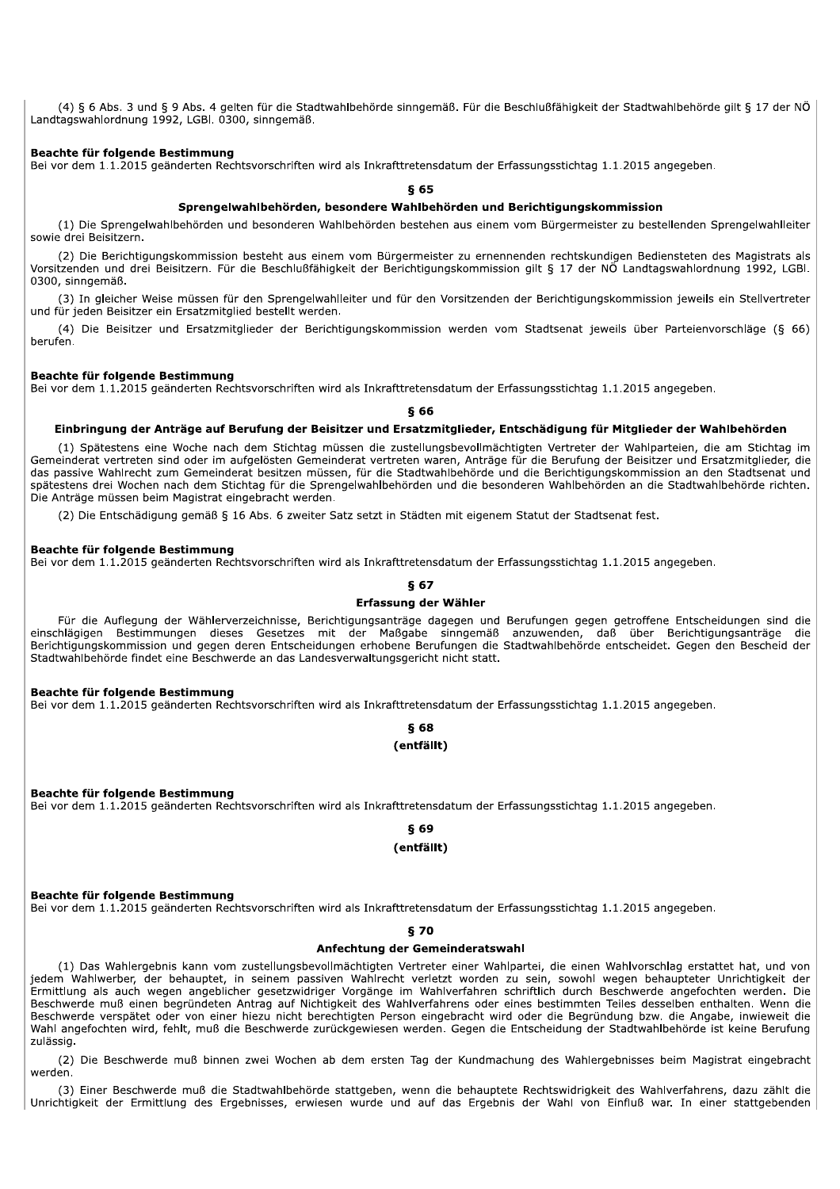(4) § 6 Abs. 3 und § 9 Abs. 4 gelten für die Stadtwahlbehörde sinngemäß. Für die Beschlußfähigkeit der Stadtwahlbehörde gilt § 17 der NÖ Landtagswahlordnung 1992, LGBI, 0300, sinngemäß.

## Beachte für folgende Bestimmung

Bei vor dem 1.1.2015 geänderten Rechtsvorschriften wird als Inkrafttretensdatum der Erfassungsstichtag 1.1.2015 angegeben.

 $§$  65

## Sprengelwahlbehörden, besondere Wahlbehörden und Berichtigungskommission

(1) Die Sprengelwahlbehörden und besonderen Wahlbehörden bestehen aus einem vom Bürgermeister zu bestellenden Sprengelwahlleiter sowie drei Beisitzern.

(2) Die Berichtigungskommission besteht aus einem vom Bürgermeister zu ernennenden rechtskundigen Bediensteten des Magistrats als Vorsitzenden und drei Beisitzern. Für die Beschlußfähigkeit der Berichtigungskommission gilt § 17 der NÖ Landtagswahlordnung 1992, LGBI. 0300, sinngemäß.

(3) In gleicher Weise müssen für den Sprengelwahlleiter und für den Vorsitzenden der Berichtigungskommission jeweils ein Stellvertreter und für jeden Beisitzer ein Ersatzmitglied bestellt werden.

(4) Die Beisitzer und Ersatzmitglieder der Berichtigungskommission werden vom Stadtsenat jeweils über Parteienvorschläge (§ 66) berufen.

#### Beachte für folgende Bestimmung

Bei vor dem 1.1.2015 geänderten Rechtsvorschriften wird als Inkrafttretensdatum der Erfassungsstichtag 1.1.2015 angegeben.

 $$66$ 

#### Einbringung der Anträge auf Berufung der Beisitzer und Ersatzmitglieder, Entschädigung für Mitglieder der Wahlbehörden

(1) Spätestens eine Woche nach dem Stichtag müssen die zustellungsbevollmächtigten Vertreter der Wahlparteien, die am Stichtag im Gemeinderat vertreten sind oder im aufgelösten Gemeinderat vertreten waren, Anträge für die Berufung der Beisitzer und Ersatzmitglieder, die das passive Wahlrecht zum Gemeinderat besitzen müssen, für die Stadtwahlbehörde und die Berichtigungskommission an den Stadtsenat und spätestens drei Wochen nach dem Stichtag für die Sprengelwahlbehörden und die besonderen Wahlbehörden an die Stadtwahlbehörde richten. Die Anträge müssen beim Magistrat eingebracht werden.

(2) Die Entschädigung gemäß § 16 Abs. 6 zweiter Satz setzt in Städten mit eigenem Statut der Stadtsenat fest.

## Beachte für folgende Bestimmung

Bei vor dem 1.1.2015 geänderten Rechtsvorschriften wird als Inkrafttretensdatum der Erfassungsstichtag 1.1.2015 angegeben.

## **867** Erfassung der Wähler

Für die Auflegung der Wählerverzeichnisse, Berichtigungsanträge dagegen und Berufungen gegen getroffene Entscheidungen sind die einschlägigen Bestimmungen dieses Gesetzes mit der Maßgabe sinngemäß anzuwenden, daß über Berichtigungsanträge die Berichtigungskommission und gegen deren Entscheidungen erhobene Berufungen die Stadtwahlbehörde entscheidet. Gegen den Bescheid der Stadtwahlbehörde findet eine Beschwerde an das Landesverwaltungsgericht nicht statt.

#### Beachte für folgende Bestimmung

Bei vor dem 1.1.2015 geänderten Rechtsvorschriften wird als Inkrafttretensdatum der Erfassungsstichtag 1.1.2015 angegeben.

# **868** (entfällt)

Beachte für folgende Bestimmung

Bei vor dem 1.1.2015 geänderten Rechtsvorschriften wird als Inkrafttretensdatum der Erfassungsstichtag 1.1.2015 angegeben.

# **§ 69** (entfällt)

#### Beachte für folgende Bestimmung

Bei vor dem 1.1.2015 geänderten Rechtsvorschriften wird als Inkrafttretensdatum der Erfassungsstichtag 1.1.2015 angegeben.

#### §70

#### Anfechtung der Gemeinderatswahl

(1) Das Wahlergebnis kann vom zustellungsbevollmächtigten Vertreter einer Wahlpartei, die einen Wahlvorschlag erstattet hat, und von jedem Wahlwerber, der behauptet, in seinem passiven Wahlrecht verletzt worden zu sein, sowohl wegen behaupteter Unrichtigkeit der Ermittlung als auch wegen angeblicher gesetzwidriger Vorgänge im Wahlverfahren schriftlich durch Beschwerde angefochten werden. Die Beschwerde muß einen begründeten Antrag auf Nichtigkeit des Wahlverfahrens oder eines bestimmten Teiles desselben enthalten. Wenn die Beschwerde verspätet oder von einer hiezu nicht berechtigten Person eingebracht wird oder die Begründung bzw. die Angabe, inwieweit die Wahl angefochten wird, fehlt, muß die Beschwerde zurückgewiesen werden. Gegen die Entscheidung der Stadtwahlbehörde ist keine Berufung zulässig.

(2) Die Beschwerde muß binnen zwei Wochen ab dem ersten Tag der Kundmachung des Wahlergebnisses beim Magistrat eingebracht werden.

(3) Einer Beschwerde muß die Stadtwahlbehörde stattgeben, wenn die behauptete Rechtswidrigkeit des Wahlverfahrens, dazu zählt die Unrichtigkeit der Ermittlung des Ergebnisses, erwiesen wurde und auf das Ergebnis der Wahl von Einfluß war. In einer stattgebenden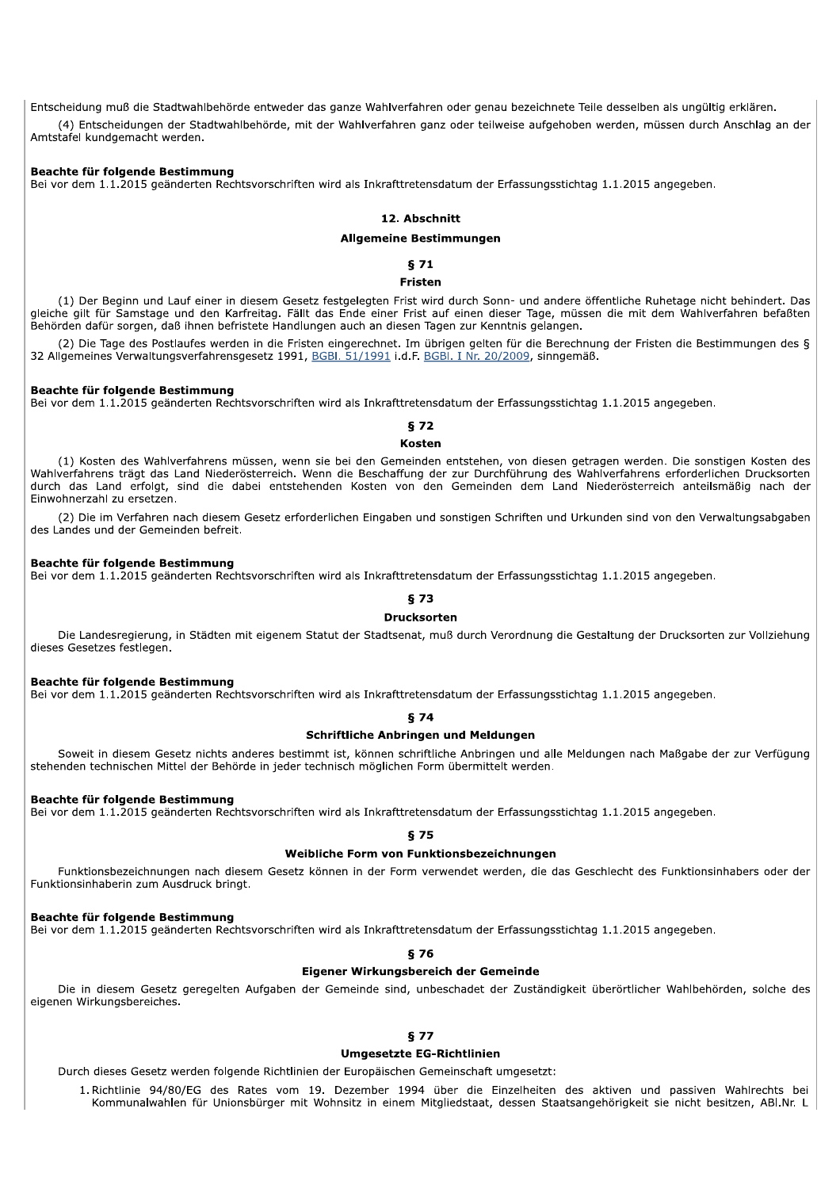Entscheidung muß die Stadtwahlbehörde entweder das ganze Wahlverfahren oder genau bezeichnete Teile desselben als ungültig erklären. (4) Entscheidungen der Stadtwahlbehörde, mit der Wahlverfahren ganz oder teilweise aufgehoben werden, müssen durch Anschlag an der Amtstafel kundgemacht werden.

#### Beachte für folgende Bestimmung

Bei vor dem 1.1.2015 geänderten Rechtsvorschriften wird als Inkrafttretensdatum der Erfassungsstichtag 1.1.2015 angegeben.

## 12. Abschnitt

## **Allgemeine Bestimmungen**

 $§71$ 

## **Fristen**

(1) Der Beginn und Lauf einer in diesem Gesetz festgelegten Frist wird durch Sonn- und andere öffentliche Ruhetage nicht behindert. Das gleiche gilt für Samstage und den Karfreitag. Fällt das Ende einer Frist auf einen dieser Tage, müssen die mit dem Wahlverfahren befaßten Behörden dafür sorgen, daß ihnen befristete Handlungen auch an diesen Tagen zur Kenntnis gelangen.

(2) Die Tage des Postlaufes werden in die Fristen eingerechnet. Im übrigen gelten für die Berechnung der Fristen die Bestimmungen des § 32 Allgemeines Verwaltungsverfahrensgesetz 1991, BGBI. 51/1991 i.d.F. BGBI. I Nr. 20/2009, sinngemäß.

#### Beachte für folgende Bestimmung

Bei vor dem 1.1.2015 geänderten Rechtsvorschriften wird als Inkrafttretensdatum der Erfassungsstichtag 1.1.2015 angegeben.

# **672**

## **Kosten**

(1) Kosten des Wahlverfahrens müssen, wenn sie bei den Gemeinden entstehen, von diesen getragen werden. Die sonstigen Kosten des Wahlverfahrens trägt das Land Niederösterreich. Wenn die Beschaffung der zur Durchführung des Wahlverfahrens erforderlichen Drucksorten durch das Land erfolgt, sind die dabei entstehenden Kosten von den Gemeinden dem Land Niederösterreich anteilsmäßig nach der Einwohnerzahl zu ersetzen.

(2) Die im Verfahren nach diesem Gesetz erforderlichen Eingaben und sonstigen Schriften und Urkunden sind von den Verwaltungsabgaben des Landes und der Gemeinden befreit.

## Beachte für folgende Bestimmung

Bei vor dem 1.1.2015 geänderten Rechtsvorschriften wird als Inkrafttretensdatum der Erfassungsstichtag 1.1.2015 angegeben.

# **873**

#### **Drucksorten**

Die Landesregierung, in Städten mit eigenem Statut der Stadtsenat, muß durch Verordnung die Gestaltung der Drucksorten zur Vollziehung dieses Gesetzes festlegen.

## Beachte für folgende Bestimmung

Bei vor dem 1.1.2015 geänderten Rechtsvorschriften wird als Inkrafttretensdatum der Erfassungsstichtag 1.1.2015 angegeben.

# $$74$

# Schriftliche Anbringen und Meldungen

Soweit in diesem Gesetz nichts anderes bestimmt ist, können schriftliche Anbringen und alle Meldungen nach Maßgabe der zur Verfügung stehenden technischen Mittel der Behörde in jeder technisch möglichen Form übermittelt werden.

## Beachte für folgende Bestimmung

Bei vor dem 1.1.2015 geänderten Rechtsvorschriften wird als Inkrafttretensdatum der Erfassungsstichtag 1.1.2015 angegeben.

## **875**

## Weibliche Form von Funktionsbezeichnungen

Funktionsbezeichnungen nach diesem Gesetz können in der Form verwendet werden, die das Geschlecht des Funktionsinhabers oder der Funktionsinhaberin zum Ausdruck bringt.

## Beachte für folgende Bestimmung

Bei vor dem 1.1.2015 geänderten Rechtsvorschriften wird als Inkrafttretensdatum der Erfassungsstichtag 1.1.2015 angegeben.

## **876**

#### Eigener Wirkungsbereich der Gemeinde

Die in diesem Gesetz geregelten Aufgaben der Gemeinde sind, unbeschadet der Zuständigkeit überörtlicher Wahlbehörden, solche des eigenen Wirkungsbereiches.

## **877**

## **Umgesetzte EG-Richtlinien**

Durch dieses Gesetz werden folgende Richtlinien der Europäischen Gemeinschaft umgesetzt:

1. Richtlinie 94/80/EG des Rates vom 19. Dezember 1994 über die Einzelheiten des aktiven und passiven Wahlrechts bei Kommunalwahlen für Unionsbürger mit Wohnsitz in einem Mitgliedstaat, dessen Staatsangehörigkeit sie nicht besitzen, ABI.Nr. L